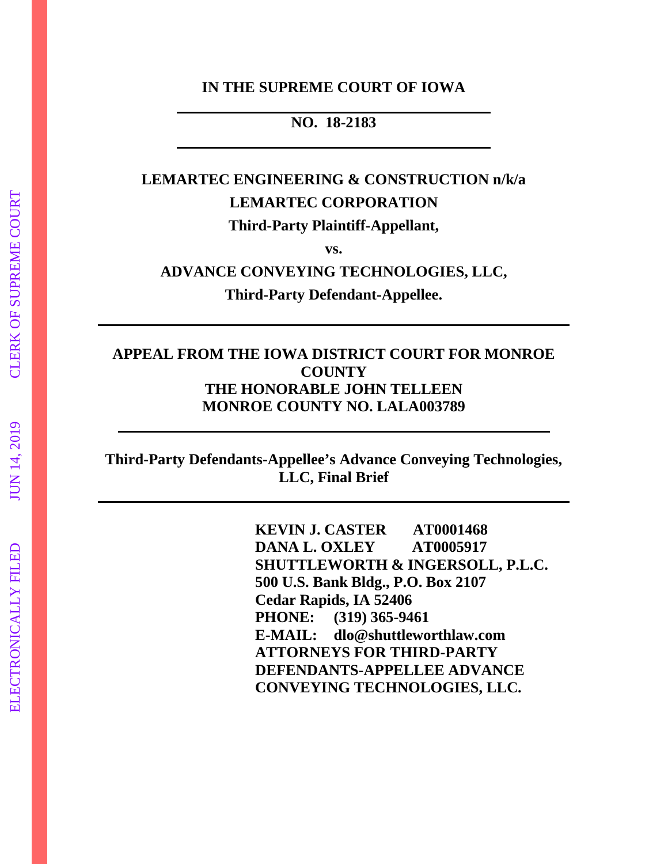#### **IN THE SUPREME COURT OF IOWA**

### **NO. 18-2183**

# **LEMARTEC ENGINEERING & CONSTRUCTION n/k/a LEMARTEC CORPORATION Third-Party Plaintiff-Appellant,**

**vs.**

**ADVANCE CONVEYING TECHNOLOGIES, LLC,**

**Third-Party Defendant-Appellee.**

### **APPEAL FROM THE IOWA DISTRICT COURT FOR MONROE COUNTY THE HONORABLE JOHN TELLEEN MONROE COUNTY NO. LALA003789**

**Third-Party Defendants-Appellee's Advance Conveying Technologies, LLC, Final Brief**

> **KEVIN J. CASTER AT0001468 DANA L. OXLEY AT0005917 SHUTTLEWORTH & INGERSOLL, P.L.C. 500 U.S. Bank Bldg., P.O. Box 2107 Cedar Rapids, IA 52406 PHONE: (319) 365-9461 E-MAIL: dlo@shuttleworthlaw.com ATTORNEYS FOR THIRD-PARTY DEFENDANTS-APPELLEE ADVANCE CONVEYING TECHNOLOGIES, LLC.**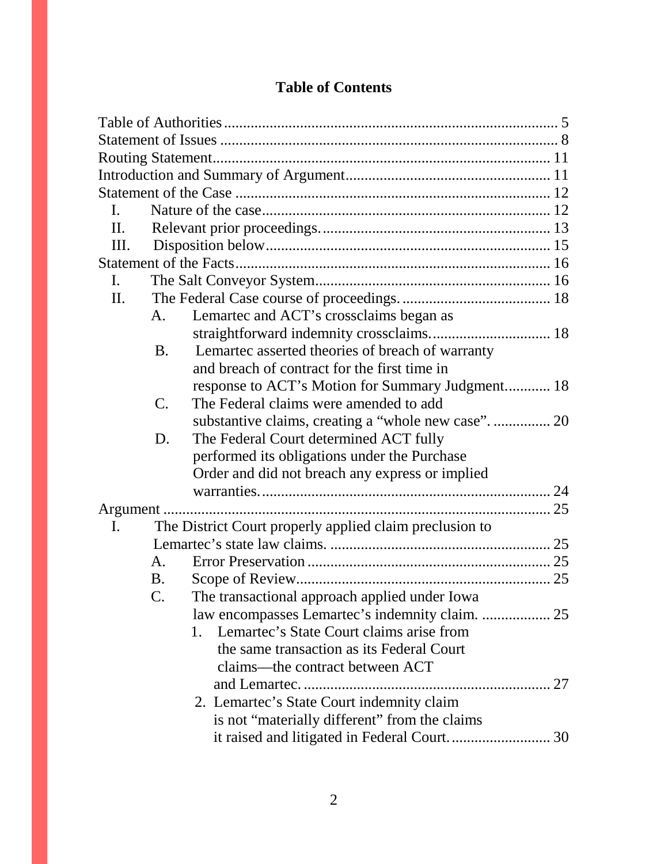| $\mathbf{I}$ . |                |                                                         |  |
|----------------|----------------|---------------------------------------------------------|--|
| П.             |                |                                                         |  |
| Ш.             |                |                                                         |  |
|                |                |                                                         |  |
| I.             |                |                                                         |  |
| П.             |                |                                                         |  |
|                | A.             | Lemartec and ACT's crossclaims began as                 |  |
|                |                |                                                         |  |
|                | <b>B.</b>      | Lemartec asserted theories of breach of warranty        |  |
|                |                | and breach of contract for the first time in            |  |
|                |                | response to ACT's Motion for Summary Judgment 18        |  |
|                | $\mathbf{C}$ . | The Federal claims were amended to add                  |  |
|                |                | substantive claims, creating a "whole new case".  20    |  |
|                | D.             | The Federal Court determined ACT fully                  |  |
|                |                | performed its obligations under the Purchase            |  |
|                |                | Order and did not breach any express or implied         |  |
|                |                |                                                         |  |
| Argument       |                |                                                         |  |
| I.             |                | The District Court properly applied claim preclusion to |  |
|                |                |                                                         |  |
|                | A.             |                                                         |  |
|                | <b>B.</b>      |                                                         |  |
|                | C.             | The transactional approach applied under Iowa           |  |
|                |                |                                                         |  |
|                |                | 1. Lemartec's State Court claims arise from             |  |
|                |                | the same transaction as its Federal Court               |  |
|                |                | claims-the contract between ACT                         |  |
|                |                |                                                         |  |
|                |                | 2. Lemartec's State Court indemnity claim               |  |
|                |                | is not "materially different" from the claims           |  |
|                |                |                                                         |  |

## **Table of Contents**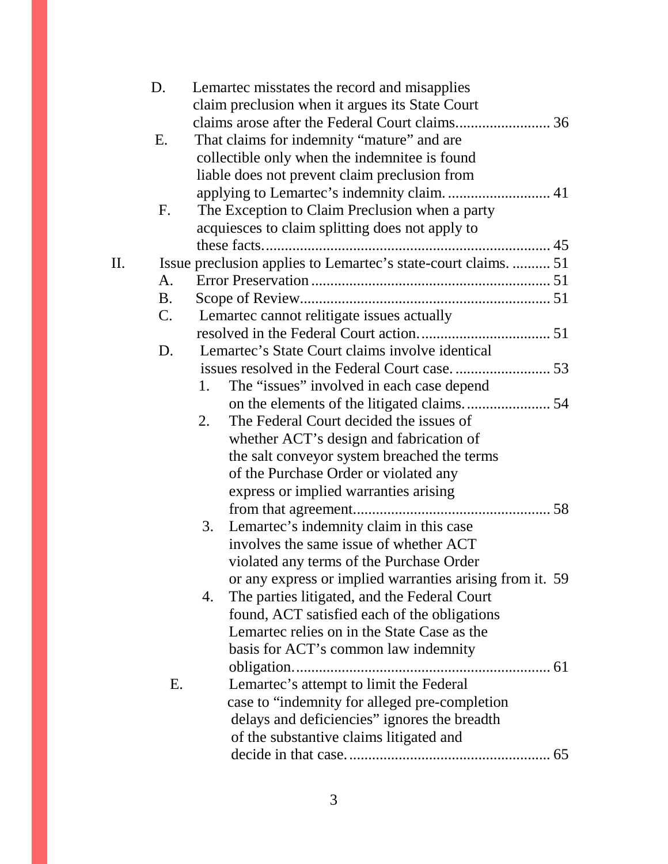|     | D.          | Lemartec misstates the record and misapplies                                            |
|-----|-------------|-----------------------------------------------------------------------------------------|
|     |             | claim preclusion when it argues its State Court                                         |
|     |             |                                                                                         |
|     | Ε.          | That claims for indemnity "mature" and are                                              |
|     |             | collectible only when the indemnitee is found                                           |
|     |             | liable does not prevent claim preclusion from                                           |
|     |             |                                                                                         |
|     | F.          | The Exception to Claim Preclusion when a party                                          |
|     |             | acquiesces to claim splitting does not apply to                                         |
|     |             |                                                                                         |
| II. |             | Issue preclusion applies to Lemartec's state-court claims.  51                          |
|     | A.          |                                                                                         |
|     | <b>B.</b>   |                                                                                         |
|     | $C_{\cdot}$ | Lemartec cannot relitigate issues actually                                              |
|     |             |                                                                                         |
|     | D.          | Lemartec's State Court claims involve identical                                         |
|     |             |                                                                                         |
|     |             | The "issues" involved in each case depend<br>1.                                         |
|     |             |                                                                                         |
|     |             | The Federal Court decided the issues of<br>2.                                           |
|     |             | whether ACT's design and fabrication of                                                 |
|     |             | the salt conveyor system breached the terms                                             |
|     |             | of the Purchase Order or violated any                                                   |
|     |             |                                                                                         |
|     |             | express or implied warranties arising                                                   |
|     |             |                                                                                         |
|     |             | Lemartec's indemnity claim in this case<br>3.<br>involves the same issue of whether ACT |
|     |             |                                                                                         |
|     |             | violated any terms of the Purchase Order                                                |
|     |             | or any express or implied warranties arising from it. 59                                |
|     |             | The parties litigated, and the Federal Court<br>4.                                      |
|     |             | found, ACT satisfied each of the obligations                                            |
|     |             | Lemartec relies on in the State Case as the                                             |
|     |             | basis for ACT's common law indemnity                                                    |
|     |             |                                                                                         |
|     | Ε.          | Lemartec's attempt to limit the Federal                                                 |
|     |             | case to "indemnity for alleged pre-completion                                           |
|     |             | delays and deficiencies" ignores the breadth                                            |
|     |             | of the substantive claims litigated and                                                 |
|     |             |                                                                                         |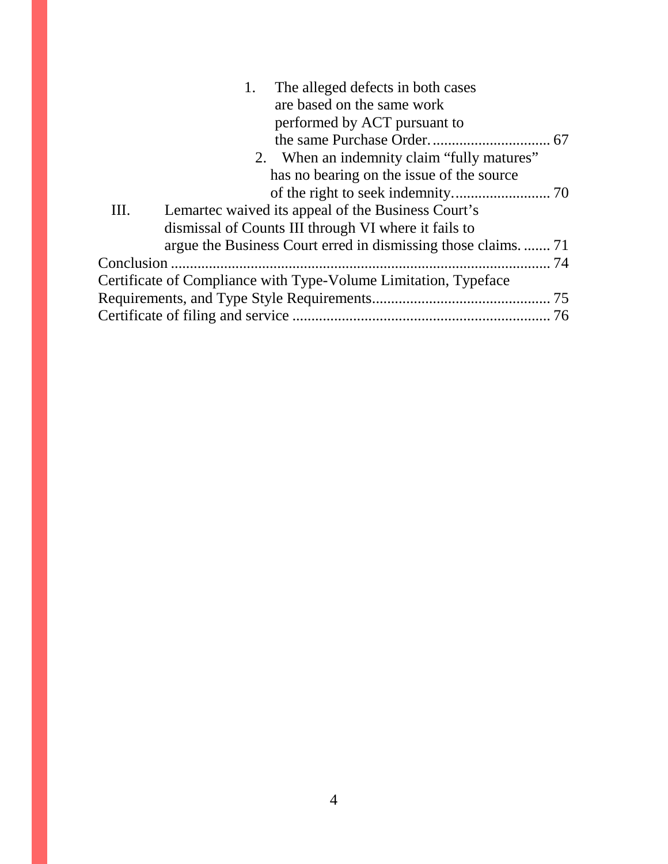|      | The alleged defects in both cases                               |  |
|------|-----------------------------------------------------------------|--|
|      | are based on the same work                                      |  |
|      | performed by ACT pursuant to                                    |  |
|      |                                                                 |  |
|      | 2. When an indemnity claim "fully matures"                      |  |
|      | has no bearing on the issue of the source                       |  |
|      |                                                                 |  |
| III. | Lemartec waived its appeal of the Business Court's              |  |
|      | dismissal of Counts III through VI where it fails to            |  |
|      | argue the Business Court erred in dismissing those claims.  71  |  |
|      |                                                                 |  |
|      | Certificate of Compliance with Type-Volume Limitation, Typeface |  |
|      |                                                                 |  |
|      |                                                                 |  |
|      |                                                                 |  |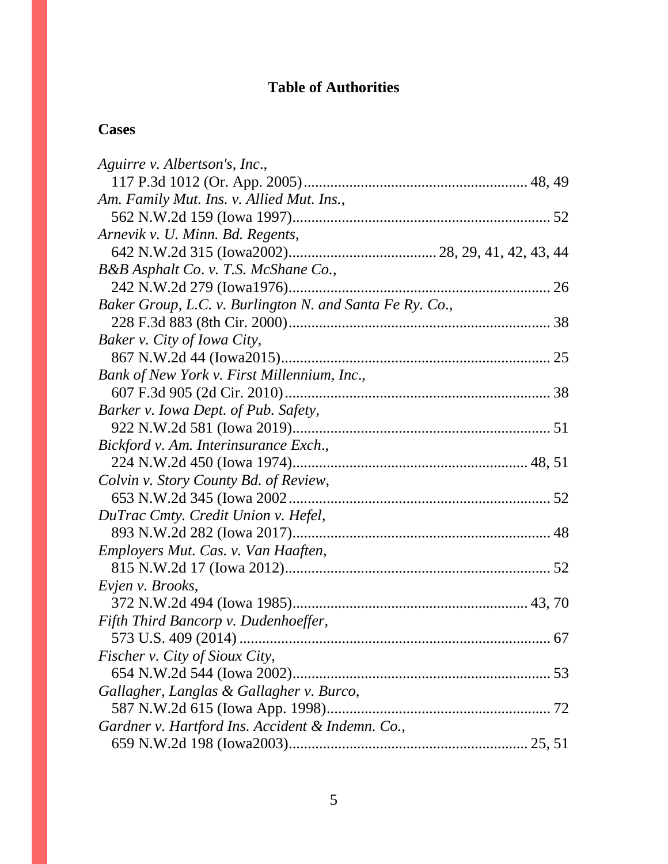# **Table of Authorities**

## **Cases**

| Aguirre v. Albertson's, Inc.,                            |  |
|----------------------------------------------------------|--|
|                                                          |  |
| Am. Family Mut. Ins. v. Allied Mut. Ins.,                |  |
|                                                          |  |
| Arnevik v. U. Minn. Bd. Regents,                         |  |
|                                                          |  |
| B&B Asphalt Co. v. T.S. McShane Co.,                     |  |
|                                                          |  |
| Baker Group, L.C. v. Burlington N. and Santa Fe Ry. Co., |  |
|                                                          |  |
| Baker v. City of Iowa City,                              |  |
|                                                          |  |
| Bank of New York v. First Millennium, Inc.,              |  |
|                                                          |  |
| Barker v. Iowa Dept. of Pub. Safety,                     |  |
|                                                          |  |
| Bickford v. Am. Interinsurance Exch.,                    |  |
|                                                          |  |
| Colvin v. Story County Bd. of Review,                    |  |
|                                                          |  |
| DuTrac Cmty. Credit Union v. Hefel,                      |  |
|                                                          |  |
| Employers Mut. Cas. v. Van Haaften,                      |  |
|                                                          |  |
| Evjen v. Brooks,                                         |  |
|                                                          |  |
| Fifth Third Bancorp v. Dudenhoeffer,                     |  |
|                                                          |  |
| <i>Fischer v. City of Sioux City,</i>                    |  |
|                                                          |  |
| Gallagher, Langlas & Gallagher v. Burco,                 |  |
|                                                          |  |
| Gardner v. Hartford Ins. Accident & Indemn. Co.,         |  |
|                                                          |  |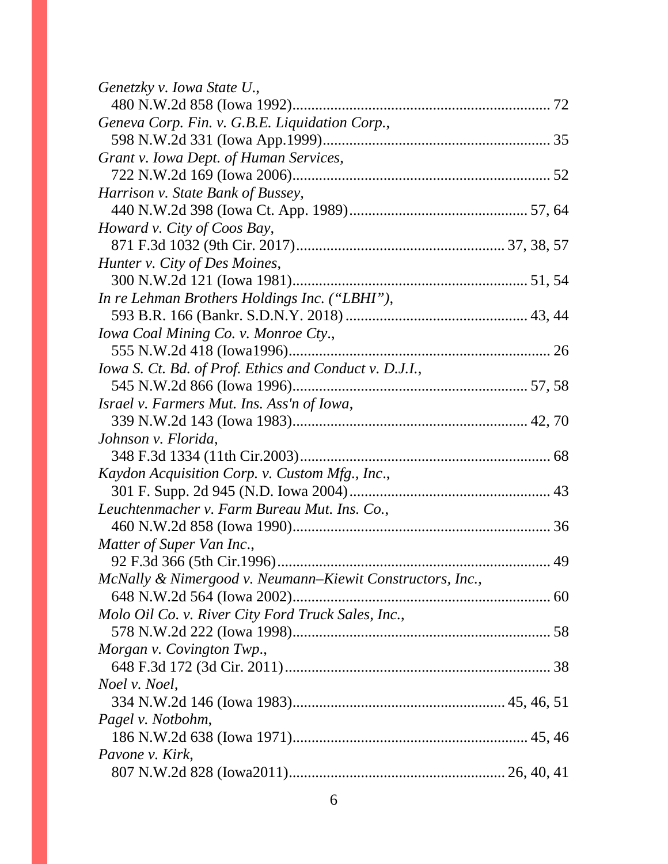| Genetzky v. Iowa State U.,                                |  |
|-----------------------------------------------------------|--|
|                                                           |  |
| Geneva Corp. Fin. v. G.B.E. Liquidation Corp.,            |  |
|                                                           |  |
| Grant v. Iowa Dept. of Human Services,                    |  |
|                                                           |  |
| Harrison v. State Bank of Bussey,                         |  |
|                                                           |  |
| Howard v. City of Coos Bay,                               |  |
|                                                           |  |
| Hunter v. City of Des Moines,                             |  |
|                                                           |  |
| In re Lehman Brothers Holdings Inc. ("LBHI"),             |  |
|                                                           |  |
| Iowa Coal Mining Co. v. Monroe Cty.,                      |  |
|                                                           |  |
| Iowa S. Ct. Bd. of Prof. Ethics and Conduct v. D.J.I.,    |  |
|                                                           |  |
| Israel v. Farmers Mut. Ins. Ass'n of Iowa,                |  |
|                                                           |  |
| Johnson v. Florida,                                       |  |
|                                                           |  |
| Kaydon Acquisition Corp. v. Custom Mfg., Inc.,            |  |
|                                                           |  |
| Leuchtenmacher v. Farm Bureau Mut. Ins. Co.,              |  |
|                                                           |  |
| Matter of Super Van Inc.,                                 |  |
|                                                           |  |
| McNally & Nimergood v. Neumann-Kiewit Constructors, Inc., |  |
|                                                           |  |
| Molo Oil Co. v. River City Ford Truck Sales, Inc.,        |  |
|                                                           |  |
| Morgan v. Covington Twp.,                                 |  |
|                                                           |  |
| Noel v. Noel,                                             |  |
|                                                           |  |
| Pagel v. Notbohm,                                         |  |
|                                                           |  |
| Pavone v. Kirk,                                           |  |
|                                                           |  |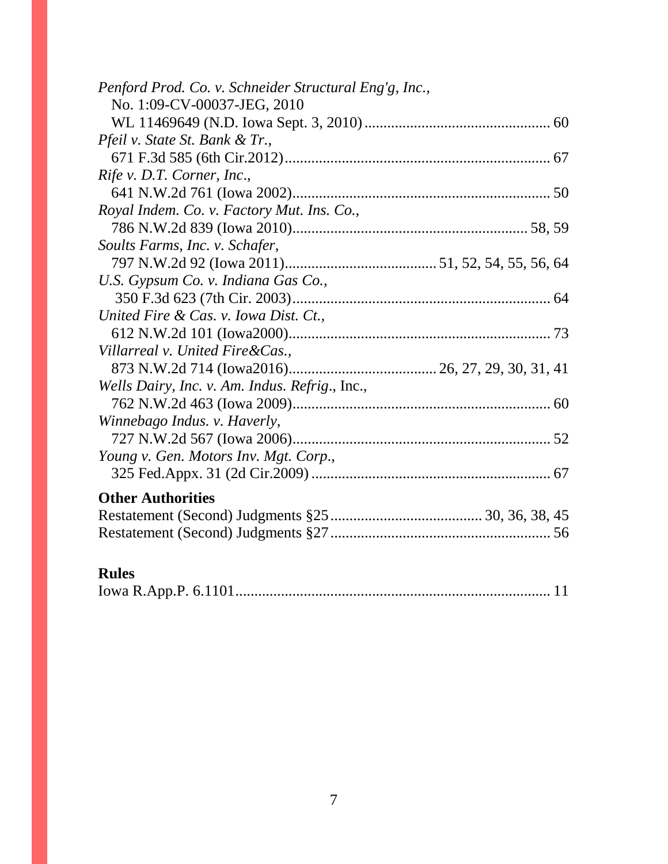| Penford Prod. Co. v. Schneider Structural Eng'g, Inc., |
|--------------------------------------------------------|
| No. 1:09-CV-00037-JEG, 2010                            |
|                                                        |
| Pfeil v. State St. Bank & Tr.,                         |
|                                                        |
| Rife v. D.T. Corner, Inc.,                             |
|                                                        |
| Royal Indem. Co. v. Factory Mut. Ins. Co.,             |
|                                                        |
| Soults Farms, Inc. v. Schafer,                         |
|                                                        |
| U.S. Gypsum Co. v. Indiana Gas Co.,                    |
|                                                        |
| United Fire & Cas. v. Iowa Dist. Ct.,                  |
|                                                        |
| Villarreal v. United Fire & Cas.,                      |
|                                                        |
| Wells Dairy, Inc. v. Am. Indus. Refrig., Inc.,         |
|                                                        |
| Winnebago Indus. v. Haverly,                           |
|                                                        |
| Young v. Gen. Motors Inv. Mgt. Corp.,                  |
|                                                        |
| <b>Other Authorities</b>                               |
|                                                        |
|                                                        |
|                                                        |
| <b>Rules</b>                                           |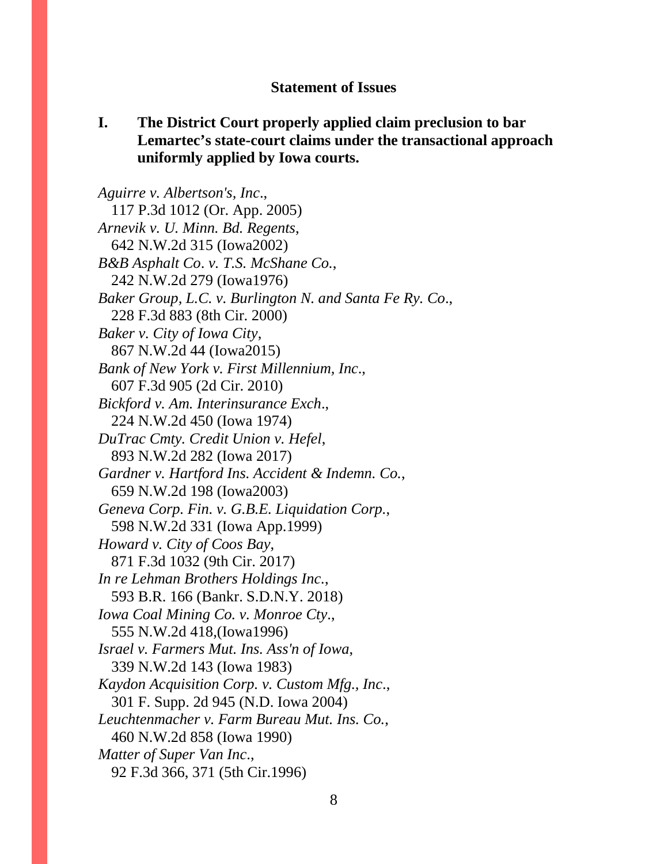#### **Statement of Issues**

### **I. The District Court properly applied claim preclusion to bar Lemartec's state-court claims under the transactional approach uniformly applied by Iowa courts.**

*Aguirre v. Albertson's, Inc*., 117 P.3d 1012 (Or. App. 2005) *Arnevik v. U. Minn. Bd. Regents*, 642 N.W.2d 315 (Iowa2002) *B&B Asphalt Co*. *v. T.S. McShane Co.*, 242 N.W.2d 279 (Iowa1976) *Baker Group, L.C. v. Burlington N. and Santa Fe Ry. Co*., 228 F.3d 883 (8th Cir. 2000) *Baker v. City of Iowa City*, 867 N.W.2d 44 (Iowa2015) *Bank of New York v. First Millennium, Inc*., 607 F.3d 905 (2d Cir. 2010) *Bickford v. Am. Interinsurance Exch*., 224 N.W.2d 450 (Iowa 1974) *DuTrac Cmty. Credit Union v. Hefel*, 893 N.W.2d 282 (Iowa 2017) *Gardner v. Hartford Ins. Accident & Indemn. Co.*, 659 N.W.2d 198 (Iowa2003) *Geneva Corp. Fin. v. G.B.E. Liquidation Corp.*, 598 N.W.2d 331 (Iowa App.1999) *Howard v. City of Coos Bay*, 871 F.3d 1032 (9th Cir. 2017) *In re Lehman Brothers Holdings Inc.*, 593 B.R. 166 (Bankr. S.D.N.Y. 2018) *Iowa Coal Mining Co. v. Monroe Cty*., 555 N.W.2d 418,(Iowa1996) *Israel v. Farmers Mut. Ins. Ass'n of Iowa*, 339 N.W.2d 143 (Iowa 1983) *Kaydon Acquisition Corp. v. Custom Mfg., Inc*., 301 F. Supp. 2d 945 (N.D. Iowa 2004) *Leuchtenmacher v. Farm Bureau Mut. Ins. Co.*, 460 N.W.2d 858 (Iowa 1990) *Matter of Super Van Inc*., 92 F.3d 366, 371 (5th Cir.1996)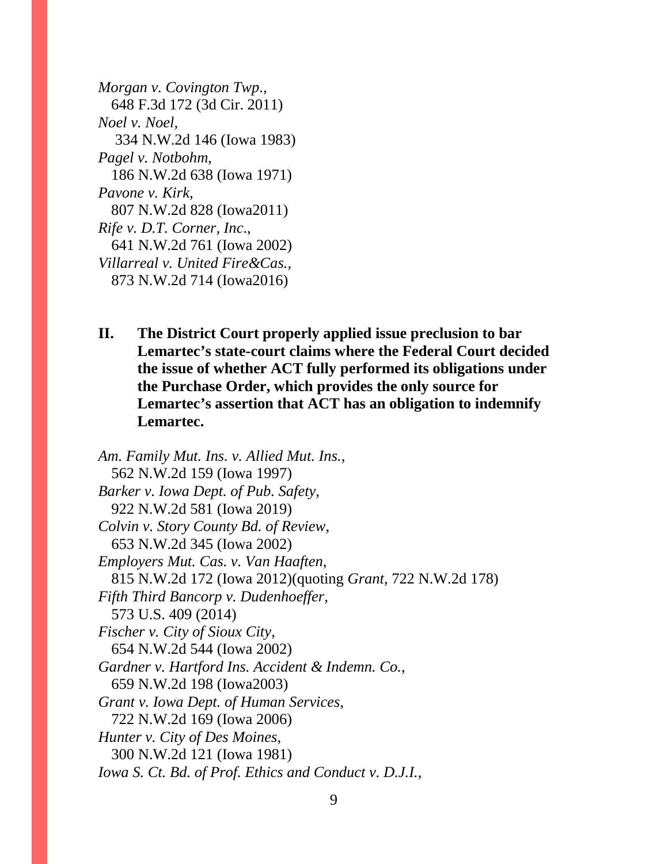*Morgan v. Covington Twp*., 648 F.3d 172 (3d Cir. 2011) *Noel v. Noel,* 334 N.W.2d 146 (Iowa 1983) *Pagel v. Notbohm*, 186 N.W.2d 638 (Iowa 1971) *Pavone v. Kirk*, 807 N.W.2d 828 (Iowa2011) *Rife v. D.T. Corner, Inc*., 641 N.W.2d 761 (Iowa 2002) *Villarreal v. United Fire&Cas.,* 873 N.W.2d 714 (Iowa2016)

**II. The District Court properly applied issue preclusion to bar Lemartec's state-court claims where the Federal Court decided the issue of whether ACT fully performed its obligations under the Purchase Order, which provides the only source for Lemartec's assertion that ACT has an obligation to indemnify Lemartec.**

*Am. Family Mut. Ins. v. Allied Mut. Ins.*, 562 N.W.2d 159 (Iowa 1997) *Barker v. Iowa Dept. of Pub. Safety,*  922 N.W.2d 581 (Iowa 2019) *Colvin v. Story County Bd. of Review*, 653 N.W.2d 345 (Iowa 2002) *Employers Mut. Cas. v. Van Haaften*, 815 N.W.2d 172 (Iowa 2012)(quoting *Grant*, 722 N.W.2d 178) *Fifth Third Bancorp v. Dudenhoeffer,*  573 U.S. 409 (2014) *Fischer v. City of Sioux City*, 654 N.W.2d 544 (Iowa 2002) *Gardner v. Hartford Ins. Accident & Indemn. Co.*, 659 N.W.2d 198 (Iowa2003) *Grant v. Iowa Dept. of Human Services*, 722 N.W.2d 169 (Iowa 2006) *Hunter v. City of Des Moines*, 300 N.W.2d 121 (Iowa 1981) *Iowa S. Ct. Bd. of Prof. Ethics and Conduct v. D.J.I.*,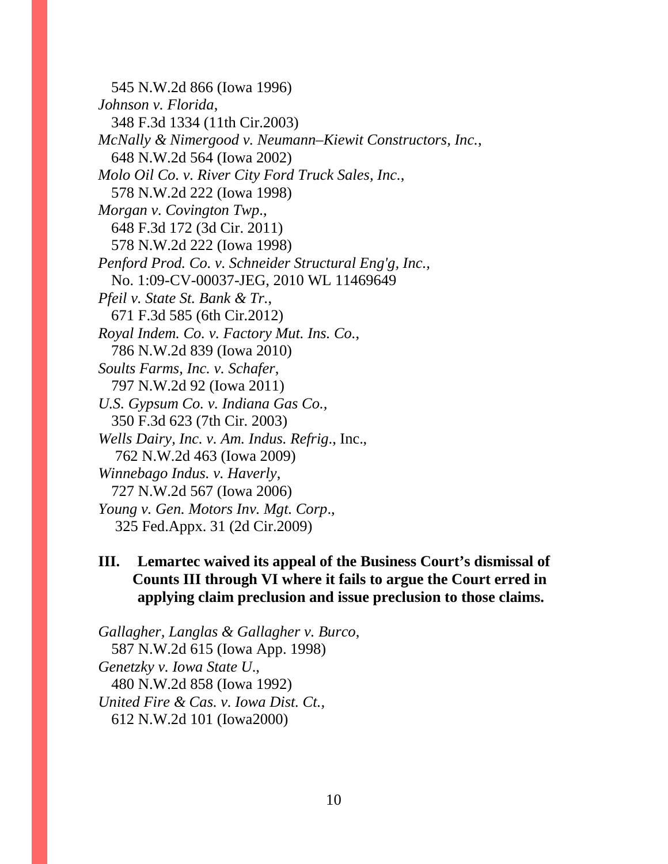545 N.W.2d 866 (Iowa 1996) *Johnson v. Florida*, 348 F.3d 1334 (11th Cir.2003) *McNally & Nimergood v. Neumann–Kiewit Constructors, Inc.*, 648 N.W.2d 564 (Iowa 2002) *Molo Oil Co. v. River City Ford Truck Sales, Inc.*, 578 N.W.2d 222 (Iowa 1998) *Morgan v. Covington Twp*., 648 F.3d 172 (3d Cir. 2011) 578 N.W.2d 222 (Iowa 1998) *Penford Prod. Co. v. Schneider Structural Eng'g, Inc.,*  No. 1:09-CV-00037-JEG, 2010 WL 11469649 *Pfeil v. State St. Bank & Tr.*, 671 F.3d 585 (6th Cir.2012) *Royal Indem. Co. v. Factory Mut. Ins. Co.*, 786 N.W.2d 839 (Iowa 2010) *Soults Farms, Inc. v. Schafer*, 797 N.W.2d 92 (Iowa 2011) *U.S. Gypsum Co. v. Indiana Gas Co.,*  350 F.3d 623 (7th Cir. 2003) *Wells Dairy, Inc. v. Am. Indus. Refrig*., Inc., 762 N.W.2d 463 (Iowa 2009) *Winnebago Indus. v. Haverly*, 727 N.W.2d 567 (Iowa 2006) *Young v. Gen. Motors Inv. Mgt. Corp*., 325 Fed.Appx. 31 (2d Cir.2009)

### **III. Lemartec waived its appeal of the Business Court's dismissal of Counts III through VI where it fails to argue the Court erred in applying claim preclusion and issue preclusion to those claims.**

*Gallagher, Langlas & Gallagher v. Burco*, 587 N.W.2d 615 (Iowa App. 1998) *Genetzky v. Iowa State U*., 480 N.W.2d 858 (Iowa 1992) *United Fire & Cas. v. Iowa Dist. Ct.,*  612 N.W.2d 101 (Iowa2000)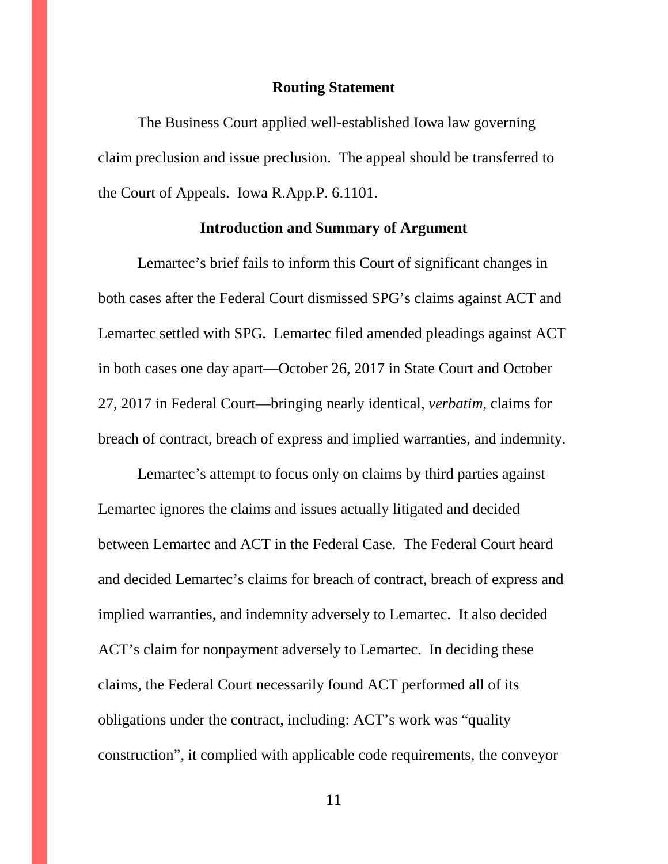#### **Routing Statement**

The Business Court applied well-established Iowa law governing claim preclusion and issue preclusion. The appeal should be transferred to the Court of Appeals. Iowa R.App.P. 6.1101.

#### **Introduction and Summary of Argument**

Lemartec's brief fails to inform this Court of significant changes in both cases after the Federal Court dismissed SPG's claims against ACT and Lemartec settled with SPG. Lemartec filed amended pleadings against ACT in both cases one day apart—October 26, 2017 in State Court and October 27, 2017 in Federal Court—bringing nearly identical, *verbatim*, claims for breach of contract, breach of express and implied warranties, and indemnity.

Lemartec's attempt to focus only on claims by third parties against Lemartec ignores the claims and issues actually litigated and decided between Lemartec and ACT in the Federal Case. The Federal Court heard and decided Lemartec's claims for breach of contract, breach of express and implied warranties, and indemnity adversely to Lemartec. It also decided ACT's claim for nonpayment adversely to Lemartec. In deciding these claims, the Federal Court necessarily found ACT performed all of its obligations under the contract, including: ACT's work was "quality construction", it complied with applicable code requirements, the conveyor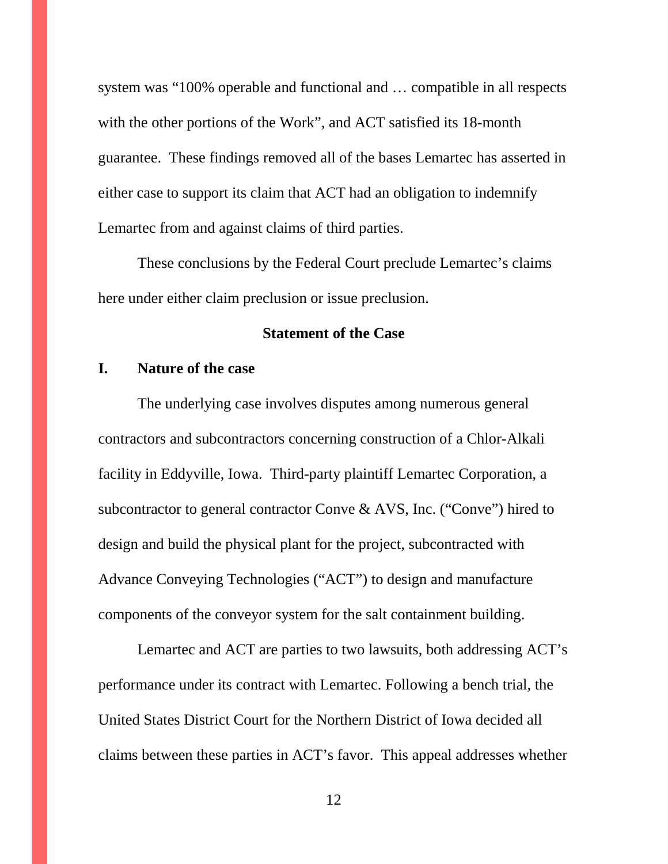system was "100% operable and functional and … compatible in all respects with the other portions of the Work", and ACT satisfied its 18-month guarantee. These findings removed all of the bases Lemartec has asserted in either case to support its claim that ACT had an obligation to indemnify Lemartec from and against claims of third parties.

These conclusions by the Federal Court preclude Lemartec's claims here under either claim preclusion or issue preclusion.

#### **Statement of the Case**

### **I. Nature of the case**

The underlying case involves disputes among numerous general contractors and subcontractors concerning construction of a Chlor-Alkali facility in Eddyville, Iowa. Third-party plaintiff Lemartec Corporation, a subcontractor to general contractor Conve & AVS, Inc. ("Conve") hired to design and build the physical plant for the project, subcontracted with Advance Conveying Technologies ("ACT") to design and manufacture components of the conveyor system for the salt containment building.

Lemartec and ACT are parties to two lawsuits, both addressing ACT's performance under its contract with Lemartec. Following a bench trial, the United States District Court for the Northern District of Iowa decided all claims between these parties in ACT's favor. This appeal addresses whether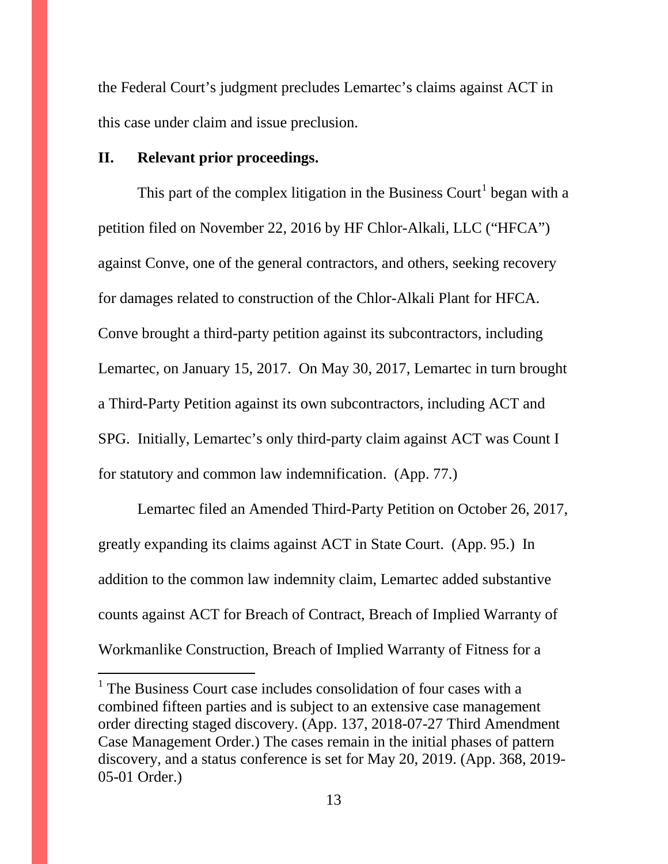the Federal Court's judgment precludes Lemartec's claims against ACT in this case under claim and issue preclusion.

### **II. Relevant prior proceedings.**

This part of the complex litigation in the Business Court<sup>[1](#page-12-0)</sup> began with a petition filed on November 22, 2016 by HF Chlor-Alkali, LLC ("HFCA") against Conve, one of the general contractors, and others, seeking recovery for damages related to construction of the Chlor-Alkali Plant for HFCA. Conve brought a third-party petition against its subcontractors, including Lemartec, on January 15, 2017. On May 30, 2017, Lemartec in turn brought a Third-Party Petition against its own subcontractors, including ACT and SPG. Initially, Lemartec's only third-party claim against ACT was Count I for statutory and common law indemnification. (App. 77.)

Lemartec filed an Amended Third-Party Petition on October 26, 2017, greatly expanding its claims against ACT in State Court. (App. 95.) In addition to the common law indemnity claim, Lemartec added substantive counts against ACT for Breach of Contract, Breach of Implied Warranty of Workmanlike Construction, Breach of Implied Warranty of Fitness for a

<span id="page-12-0"></span><sup>&</sup>lt;sup>1</sup> The Business Court case includes consolidation of four cases with a combined fifteen parties and is subject to an extensive case management order directing staged discovery. (App. 137, 2018-07-27 Third Amendment Case Management Order.) The cases remain in the initial phases of pattern discovery, and a status conference is set for May 20, 2019. (App. 368, 2019- 05-01 Order.)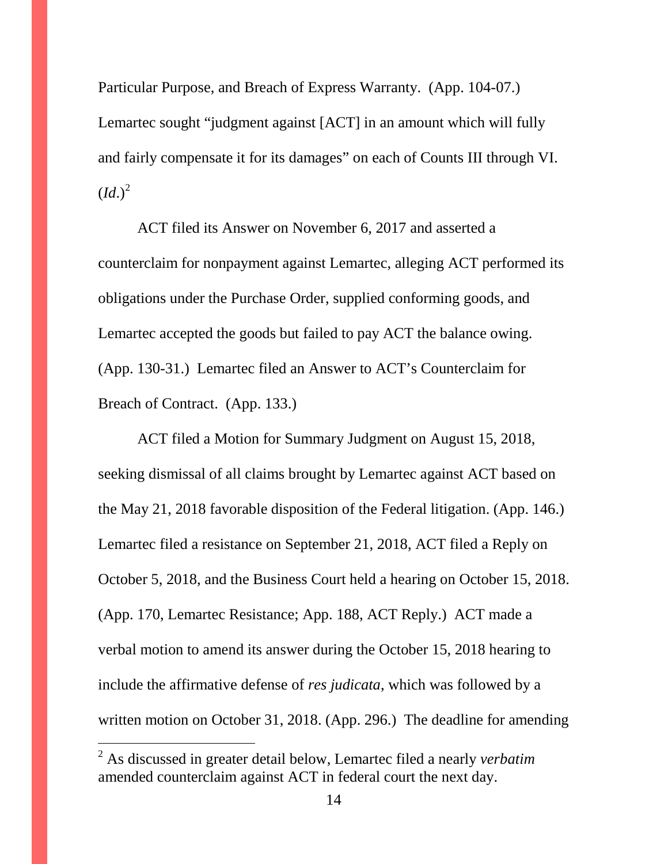Particular Purpose, and Breach of Express Warranty. (App. 104-07.) Lemartec sought "judgment against [ACT] in an amount which will fully and fairly compensate it for its damages" on each of Counts III through VI.  $\left( Id. \right)^2$  $\left( Id. \right)^2$ 

ACT filed its Answer on November 6, 2017 and asserted a counterclaim for nonpayment against Lemartec, alleging ACT performed its obligations under the Purchase Order, supplied conforming goods, and Lemartec accepted the goods but failed to pay ACT the balance owing. (App. 130-31.) Lemartec filed an Answer to ACT's Counterclaim for Breach of Contract. (App. 133.)

ACT filed a Motion for Summary Judgment on August 15, 2018, seeking dismissal of all claims brought by Lemartec against ACT based on the May 21, 2018 favorable disposition of the Federal litigation. (App. 146.) Lemartec filed a resistance on September 21, 2018, ACT filed a Reply on October 5, 2018, and the Business Court held a hearing on October 15, 2018. (App. 170, Lemartec Resistance; App. 188, ACT Reply.) ACT made a verbal motion to amend its answer during the October 15, 2018 hearing to include the affirmative defense of *res judicata*, which was followed by a written motion on October 31, 2018. (App. 296.) The deadline for amending

 $\overline{a}$ 

<span id="page-13-0"></span><sup>2</sup> As discussed in greater detail below, Lemartec filed a nearly *verbatim* amended counterclaim against ACT in federal court the next day.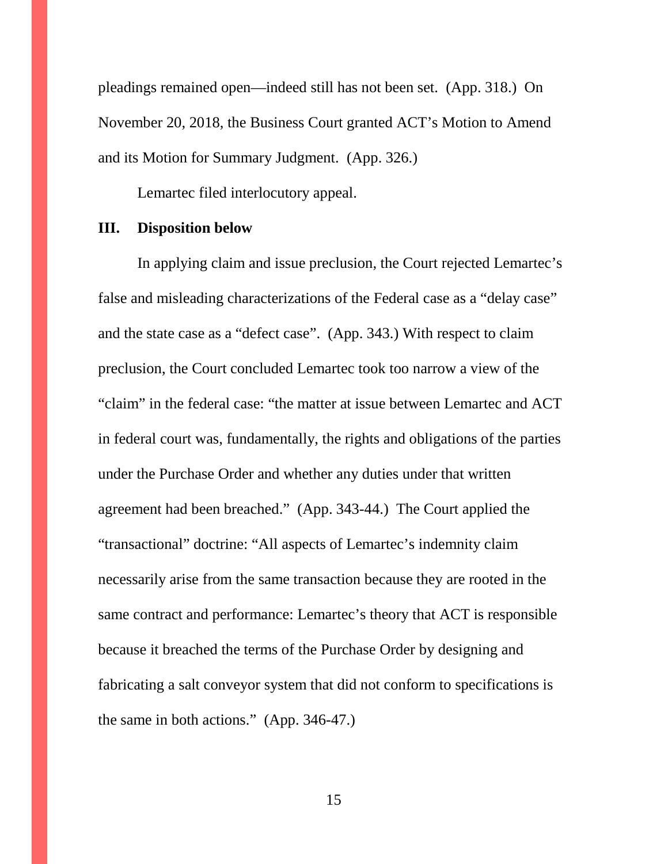pleadings remained open—indeed still has not been set. (App. 318.) On November 20, 2018, the Business Court granted ACT's Motion to Amend and its Motion for Summary Judgment. (App. 326.)

Lemartec filed interlocutory appeal.

#### **III. Disposition below**

In applying claim and issue preclusion, the Court rejected Lemartec's false and misleading characterizations of the Federal case as a "delay case" and the state case as a "defect case". (App. 343.) With respect to claim preclusion, the Court concluded Lemartec took too narrow a view of the "claim" in the federal case: "the matter at issue between Lemartec and ACT in federal court was, fundamentally, the rights and obligations of the parties under the Purchase Order and whether any duties under that written agreement had been breached." (App. 343-44.) The Court applied the "transactional" doctrine: "All aspects of Lemartec's indemnity claim necessarily arise from the same transaction because they are rooted in the same contract and performance: Lemartec's theory that ACT is responsible because it breached the terms of the Purchase Order by designing and fabricating a salt conveyor system that did not conform to specifications is the same in both actions." (App. 346-47.)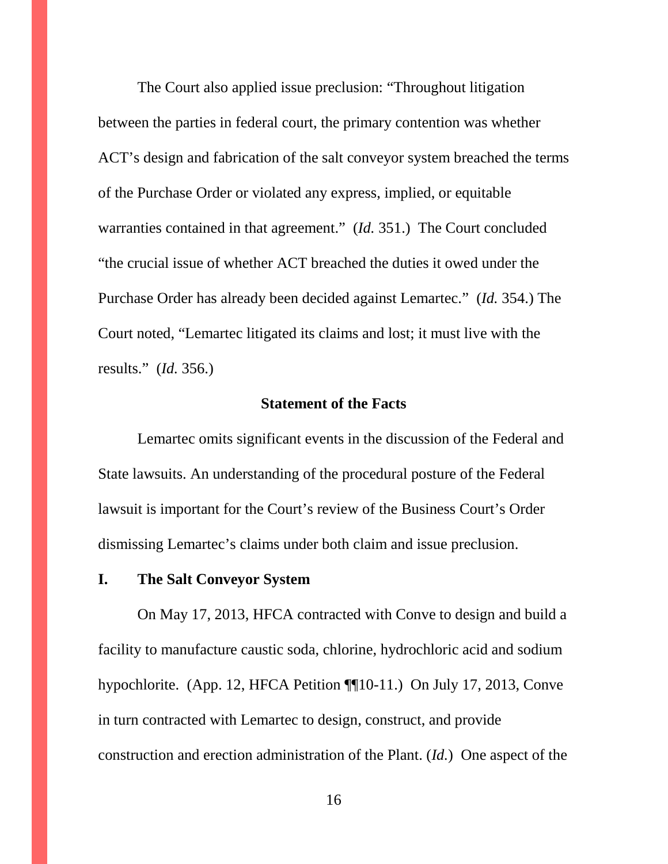The Court also applied issue preclusion: "Throughout litigation between the parties in federal court, the primary contention was whether ACT's design and fabrication of the salt conveyor system breached the terms of the Purchase Order or violated any express, implied, or equitable warranties contained in that agreement." (*Id.* 351.) The Court concluded "the crucial issue of whether ACT breached the duties it owed under the Purchase Order has already been decided against Lemartec." (*Id.* 354.) The Court noted, "Lemartec litigated its claims and lost; it must live with the results." (*Id.* 356.)

### **Statement of the Facts**

Lemartec omits significant events in the discussion of the Federal and State lawsuits. An understanding of the procedural posture of the Federal lawsuit is important for the Court's review of the Business Court's Order dismissing Lemartec's claims under both claim and issue preclusion.

#### **I. The Salt Conveyor System**

On May 17, 2013, HFCA contracted with Conve to design and build a facility to manufacture caustic soda, chlorine, hydrochloric acid and sodium hypochlorite. (App. 12, HFCA Petition ¶¶10-11.) On July 17, 2013, Conve in turn contracted with Lemartec to design, construct, and provide construction and erection administration of the Plant. (*Id.*) One aspect of the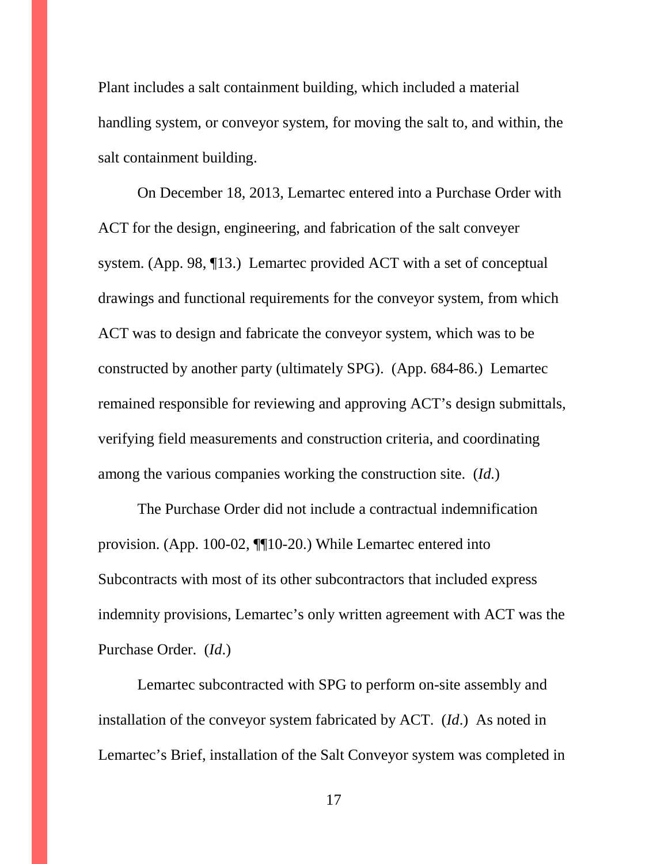Plant includes a salt containment building, which included a material handling system, or conveyor system, for moving the salt to, and within, the salt containment building.

On December 18, 2013, Lemartec entered into a Purchase Order with ACT for the design, engineering, and fabrication of the salt conveyer system. (App. 98, ¶13.) Lemartec provided ACT with a set of conceptual drawings and functional requirements for the conveyor system, from which ACT was to design and fabricate the conveyor system, which was to be constructed by another party (ultimately SPG). (App. 684-86.) Lemartec remained responsible for reviewing and approving ACT's design submittals, verifying field measurements and construction criteria, and coordinating among the various companies working the construction site. (*Id.*)

The Purchase Order did not include a contractual indemnification provision. (App. 100-02, ¶¶10-20.) While Lemartec entered into Subcontracts with most of its other subcontractors that included express indemnity provisions, Lemartec's only written agreement with ACT was the Purchase Order. (*Id*.)

Lemartec subcontracted with SPG to perform on-site assembly and installation of the conveyor system fabricated by ACT. (*Id*.) As noted in Lemartec's Brief, installation of the Salt Conveyor system was completed in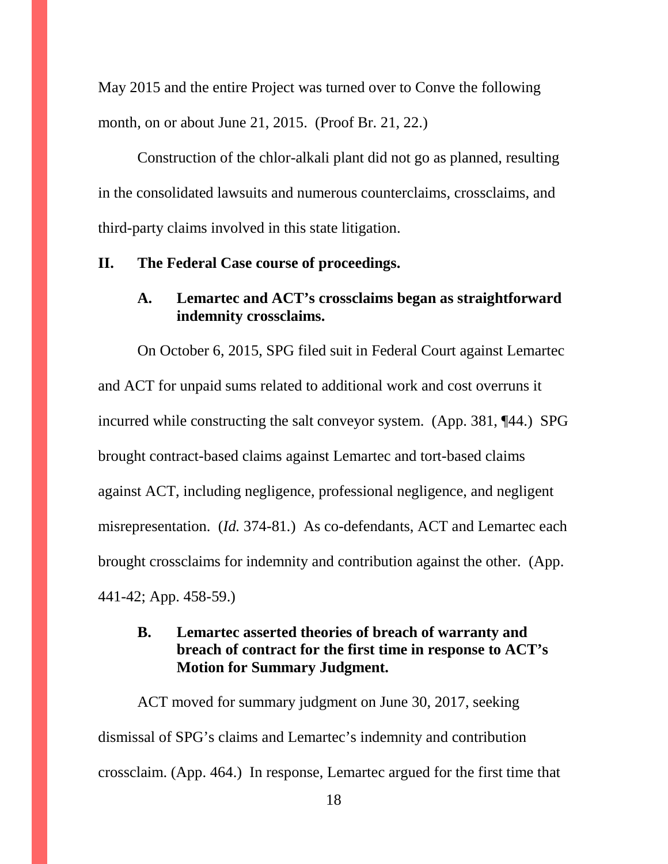May 2015 and the entire Project was turned over to Conve the following month, on or about June 21, 2015. (Proof Br. 21, 22.)

Construction of the chlor-alkali plant did not go as planned, resulting in the consolidated lawsuits and numerous counterclaims, crossclaims, and third-party claims involved in this state litigation.

#### **II. The Federal Case course of proceedings.**

### **A. Lemartec and ACT's crossclaims began as straightforward indemnity crossclaims.**

On October 6, 2015, SPG filed suit in Federal Court against Lemartec and ACT for unpaid sums related to additional work and cost overruns it incurred while constructing the salt conveyor system. (App. 381, ¶44.) SPG brought contract-based claims against Lemartec and tort-based claims against ACT, including negligence, professional negligence, and negligent misrepresentation. (*Id.* 374-81*.*) As co-defendants, ACT and Lemartec each brought crossclaims for indemnity and contribution against the other. (App. 441-42; App. 458-59.)

### **B. Lemartec asserted theories of breach of warranty and breach of contract for the first time in response to ACT's Motion for Summary Judgment.**

ACT moved for summary judgment on June 30, 2017, seeking dismissal of SPG's claims and Lemartec's indemnity and contribution crossclaim. (App. 464.) In response, Lemartec argued for the first time that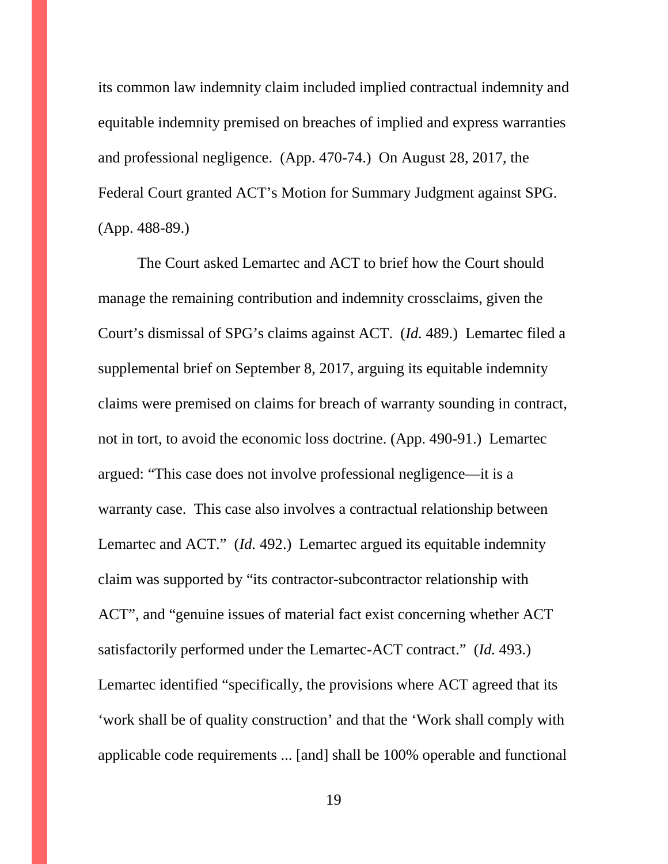its common law indemnity claim included implied contractual indemnity and equitable indemnity premised on breaches of implied and express warranties and professional negligence. (App. 470-74.) On August 28, 2017, the Federal Court granted ACT's Motion for Summary Judgment against SPG. (App. 488-89.)

The Court asked Lemartec and ACT to brief how the Court should manage the remaining contribution and indemnity crossclaims, given the Court's dismissal of SPG's claims against ACT. (*Id.* 489.) Lemartec filed a supplemental brief on September 8, 2017, arguing its equitable indemnity claims were premised on claims for breach of warranty sounding in contract, not in tort, to avoid the economic loss doctrine. (App. 490-91.) Lemartec argued: "This case does not involve professional negligence—it is a warranty case. This case also involves a contractual relationship between Lemartec and ACT." (*Id.* 492.) Lemartec argued its equitable indemnity claim was supported by "its contractor-subcontractor relationship with ACT", and "genuine issues of material fact exist concerning whether ACT satisfactorily performed under the Lemartec-ACT contract." (*Id.* 493.) Lemartec identified "specifically, the provisions where ACT agreed that its 'work shall be of quality construction' and that the 'Work shall comply with applicable code requirements ... [and] shall be 100% operable and functional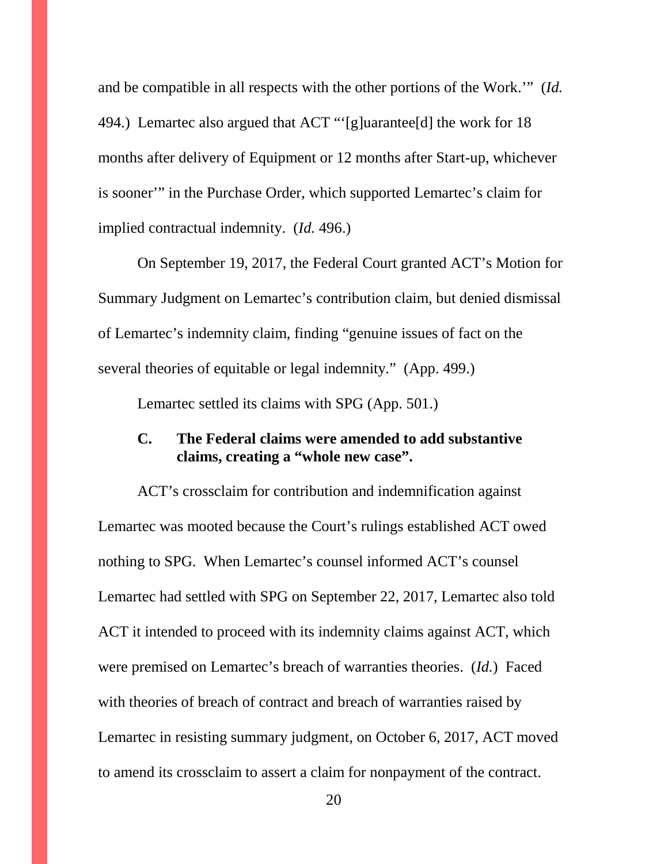and be compatible in all respects with the other portions of the Work.'" (*Id.* 494.) Lemartec also argued that ACT "'[g]uarantee[d] the work for 18 months after delivery of Equipment or 12 months after Start-up, whichever is sooner'" in the Purchase Order, which supported Lemartec's claim for implied contractual indemnity. (*Id.* 496.)

On September 19, 2017, the Federal Court granted ACT's Motion for Summary Judgment on Lemartec's contribution claim, but denied dismissal of Lemartec's indemnity claim, finding "genuine issues of fact on the several theories of equitable or legal indemnity." (App. 499.)

Lemartec settled its claims with SPG (App. 501.)

### **C. The Federal claims were amended to add substantive claims, creating a "whole new case".**

ACT's crossclaim for contribution and indemnification against Lemartec was mooted because the Court's rulings established ACT owed nothing to SPG. When Lemartec's counsel informed ACT's counsel Lemartec had settled with SPG on September 22, 2017, Lemartec also told ACT it intended to proceed with its indemnity claims against ACT, which were premised on Lemartec's breach of warranties theories. (*Id.*) Faced with theories of breach of contract and breach of warranties raised by Lemartec in resisting summary judgment, on October 6, 2017, ACT moved to amend its crossclaim to assert a claim for nonpayment of the contract.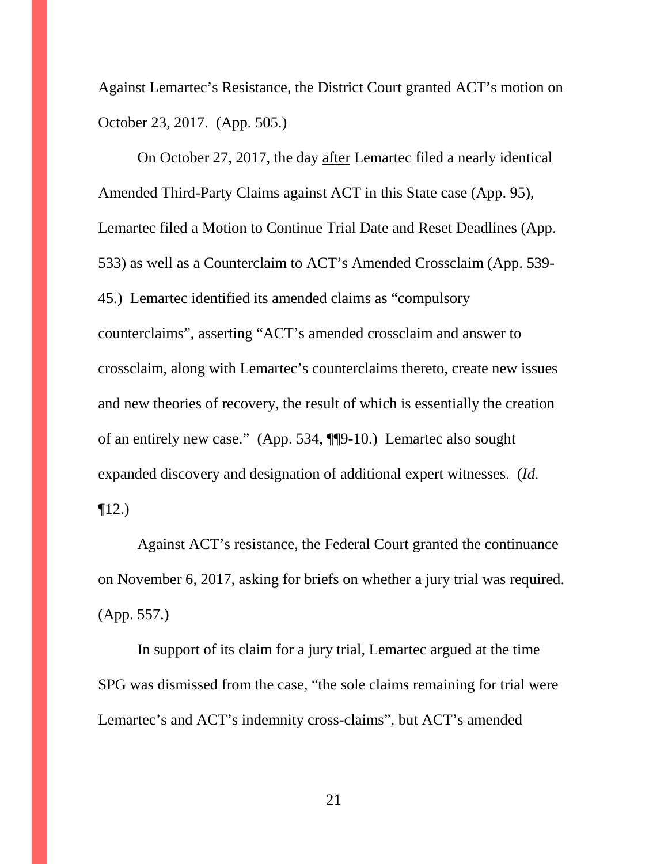Against Lemartec's Resistance, the District Court granted ACT's motion on October 23, 2017. (App. 505.)

On October 27, 2017, the day after Lemartec filed a nearly identical Amended Third-Party Claims against ACT in this State case (App. 95), Lemartec filed a Motion to Continue Trial Date and Reset Deadlines (App. 533) as well as a Counterclaim to ACT's Amended Crossclaim (App. 539- 45.) Lemartec identified its amended claims as "compulsory counterclaims", asserting "ACT's amended crossclaim and answer to crossclaim, along with Lemartec's counterclaims thereto, create new issues and new theories of recovery, the result of which is essentially the creation of an entirely new case." (App. 534, ¶¶9-10.) Lemartec also sought expanded discovery and designation of additional expert witnesses. (*Id.*   $\P$ 12.)

Against ACT's resistance, the Federal Court granted the continuance on November 6, 2017, asking for briefs on whether a jury trial was required. (App. 557.)

In support of its claim for a jury trial, Lemartec argued at the time SPG was dismissed from the case, "the sole claims remaining for trial were Lemartec's and ACT's indemnity cross-claims", but ACT's amended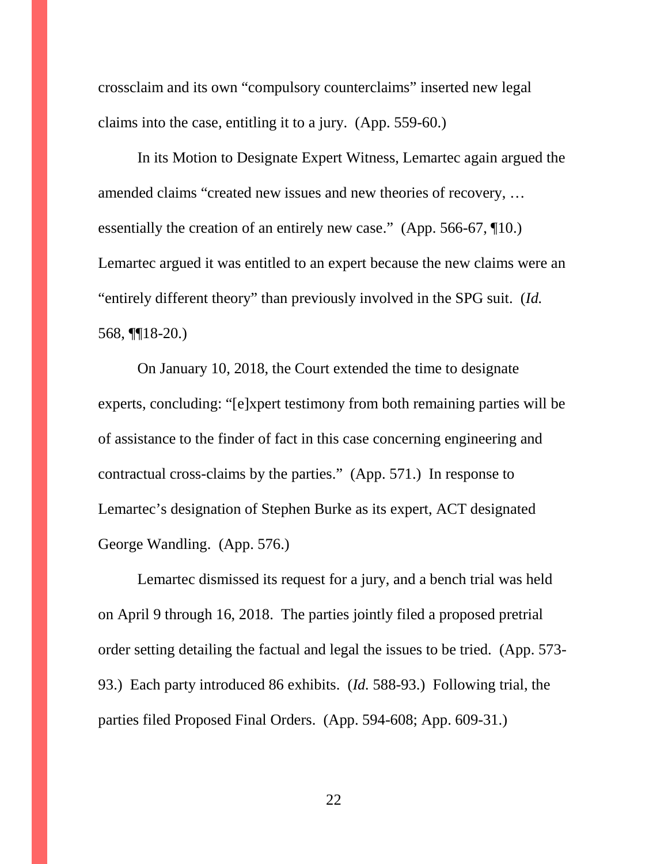crossclaim and its own "compulsory counterclaims" inserted new legal claims into the case, entitling it to a jury. (App. 559-60.)

In its Motion to Designate Expert Witness, Lemartec again argued the amended claims "created new issues and new theories of recovery, … essentially the creation of an entirely new case." (App. 566-67, ¶10.) Lemartec argued it was entitled to an expert because the new claims were an "entirely different theory" than previously involved in the SPG suit. (*Id.* 568, ¶¶18-20.)

On January 10, 2018, the Court extended the time to designate experts, concluding: "[e]xpert testimony from both remaining parties will be of assistance to the finder of fact in this case concerning engineering and contractual cross-claims by the parties." (App. 571.) In response to Lemartec's designation of Stephen Burke as its expert, ACT designated George Wandling. (App. 576.)

Lemartec dismissed its request for a jury, and a bench trial was held on April 9 through 16, 2018. The parties jointly filed a proposed pretrial order setting detailing the factual and legal the issues to be tried. (App. 573- 93.) Each party introduced 86 exhibits. (*Id.* 588-93.) Following trial, the parties filed Proposed Final Orders. (App. 594-608; App. 609-31.)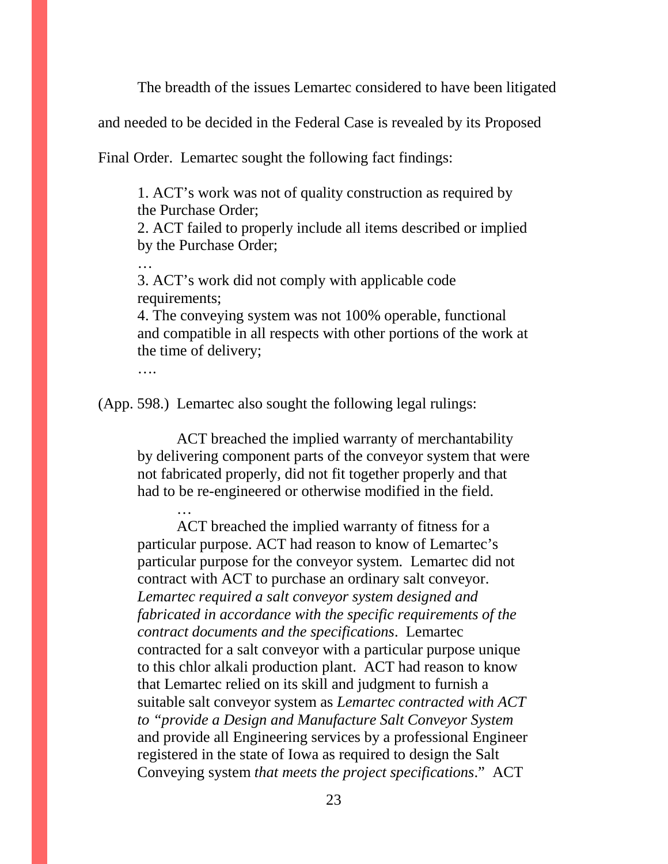The breadth of the issues Lemartec considered to have been litigated

and needed to be decided in the Federal Case is revealed by its Proposed

Final Order. Lemartec sought the following fact findings:

1. ACT's work was not of quality construction as required by the Purchase Order;

2. ACT failed to properly include all items described or implied by the Purchase Order;

3. ACT's work did not comply with applicable code requirements;

4. The conveying system was not 100% operable, functional and compatible in all respects with other portions of the work at the time of delivery;

….

…

…

(App. 598.) Lemartec also sought the following legal rulings:

ACT breached the implied warranty of merchantability by delivering component parts of the conveyor system that were not fabricated properly, did not fit together properly and that had to be re-engineered or otherwise modified in the field.

ACT breached the implied warranty of fitness for a particular purpose. ACT had reason to know of Lemartec's particular purpose for the conveyor system. Lemartec did not contract with ACT to purchase an ordinary salt conveyor. *Lemartec required a salt conveyor system designed and fabricated in accordance with the specific requirements of the contract documents and the specifications*. Lemartec contracted for a salt conveyor with a particular purpose unique to this chlor alkali production plant. ACT had reason to know that Lemartec relied on its skill and judgment to furnish a suitable salt conveyor system as *Lemartec contracted with ACT to "provide a Design and Manufacture Salt Conveyor System* and provide all Engineering services by a professional Engineer registered in the state of Iowa as required to design the Salt Conveying system *that meets the project specifications*." ACT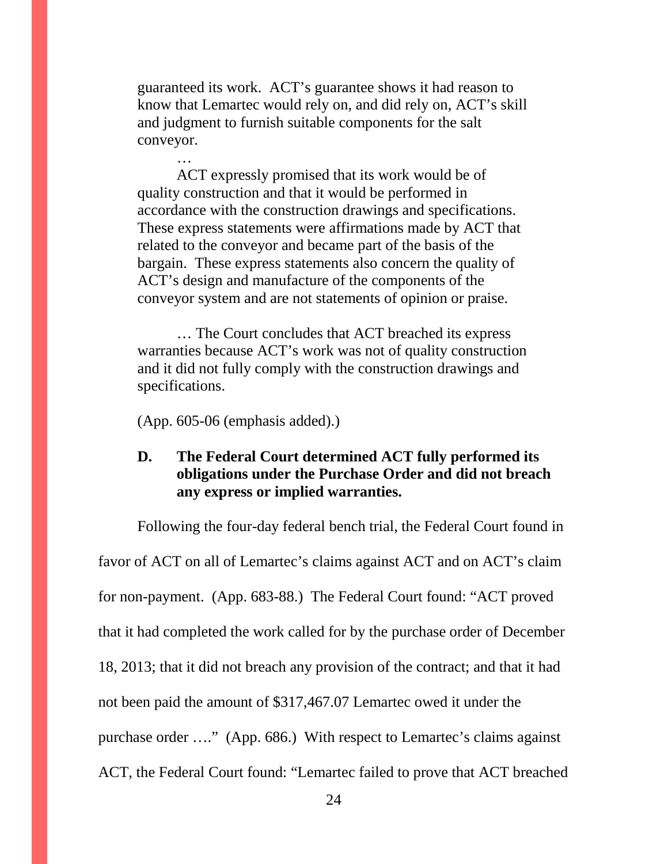guaranteed its work. ACT's guarantee shows it had reason to know that Lemartec would rely on, and did rely on, ACT's skill and judgment to furnish suitable components for the salt conveyor.

ACT expressly promised that its work would be of quality construction and that it would be performed in accordance with the construction drawings and specifications. These express statements were affirmations made by ACT that related to the conveyor and became part of the basis of the bargain. These express statements also concern the quality of ACT's design and manufacture of the components of the conveyor system and are not statements of opinion or praise.

… The Court concludes that ACT breached its express warranties because ACT's work was not of quality construction and it did not fully comply with the construction drawings and specifications.

(App. 605-06 (emphasis added).)

…

### **D. The Federal Court determined ACT fully performed its obligations under the Purchase Order and did not breach any express or implied warranties.**

Following the four-day federal bench trial, the Federal Court found in favor of ACT on all of Lemartec's claims against ACT and on ACT's claim for non-payment. (App. 683-88.) The Federal Court found: "ACT proved that it had completed the work called for by the purchase order of December 18, 2013; that it did not breach any provision of the contract; and that it had not been paid the amount of \$317,467.07 Lemartec owed it under the purchase order …." (App. 686.) With respect to Lemartec's claims against ACT, the Federal Court found: "Lemartec failed to prove that ACT breached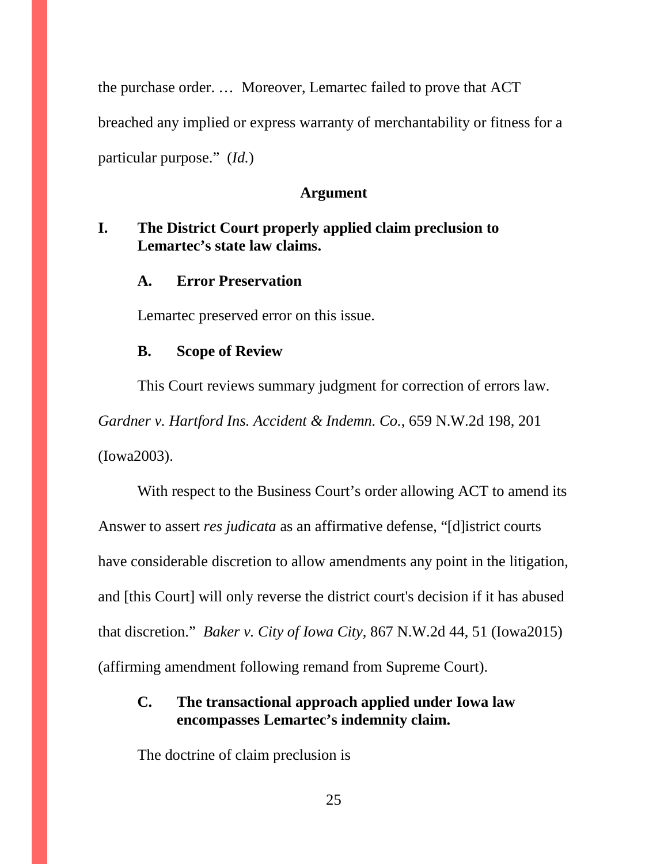the purchase order. … Moreover, Lemartec failed to prove that ACT breached any implied or express warranty of merchantability or fitness for a particular purpose." (*Id.*)

#### **Argument**

### **I. The District Court properly applied claim preclusion to Lemartec's state law claims.**

#### **A. Error Preservation**

Lemartec preserved error on this issue.

#### **B. Scope of Review**

This Court reviews summary judgment for correction of errors law. *Gardner v. Hartford Ins. Accident & Indemn. Co.*, 659 N.W.2d 198, 201 (Iowa2003).

With respect to the Business Court's order allowing ACT to amend its Answer to assert *res judicata* as an affirmative defense, "[d]istrict courts have considerable discretion to allow amendments any point in the litigation, and [this Court] will only reverse the district court's decision if it has abused that discretion." *Baker v. City of Iowa City*, 867 N.W.2d 44, 51 (Iowa2015) (affirming amendment following remand from Supreme Court).

### **C. The transactional approach applied under Iowa law encompasses Lemartec's indemnity claim.**

The doctrine of claim preclusion is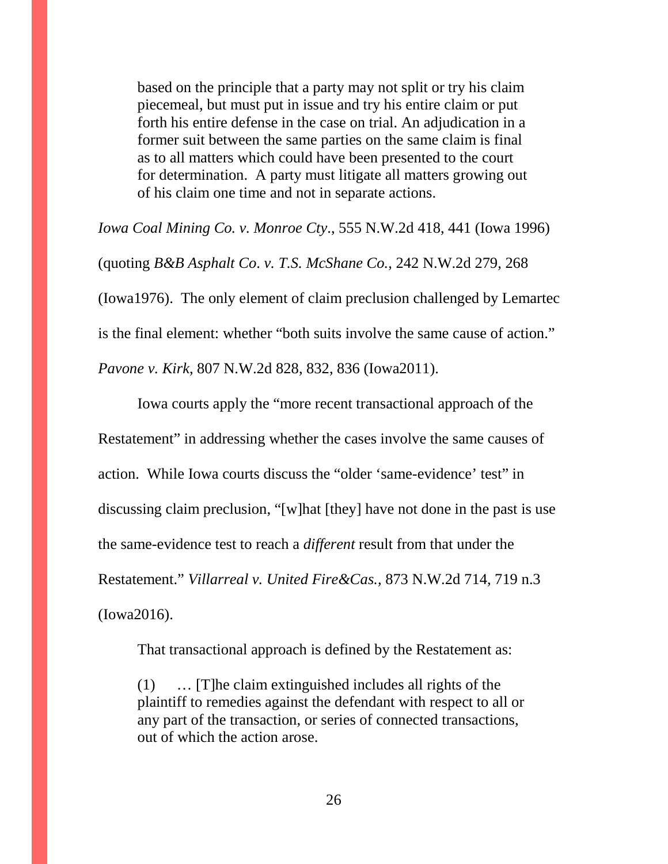based on the principle that a party may not split or try his claim piecemeal, but must put in issue and try his entire claim or put forth his entire defense in the case on trial. An adjudication in a former suit between the same parties on the same claim is final as to all matters which could have been presented to the court for determination. A party must litigate all matters growing out of his claim one time and not in separate actions.

*Iowa Coal Mining Co. v. Monroe Cty*., 555 N.W.2d 418, 441 (Iowa 1996) (quoting *B&B Asphalt Co*. *v. T.S. McShane Co.*, 242 N.W.2d 279, 268 (Iowa1976). The only element of claim preclusion challenged by Lemartec is the final element: whether "both suits involve the same cause of action." *Pavone v. Kirk*, 807 N.W.2d 828, 832, 836 (Iowa2011).

Iowa courts apply the "more recent transactional approach of the Restatement" in addressing whether the cases involve the same causes of action. While Iowa courts discuss the "older 'same-evidence' test" in discussing claim preclusion, "[w]hat [they] have not done in the past is use the same-evidence test to reach a *different* result from that under the Restatement." *Villarreal v. United Fire&Cas.,* 873 N.W.2d 714, 719 n.3 (Iowa2016).

That transactional approach is defined by the Restatement as:

(1) … [T]he claim extinguished includes all rights of the plaintiff to remedies against the defendant with respect to all or any part of the transaction, or series of connected transactions, out of which the action arose.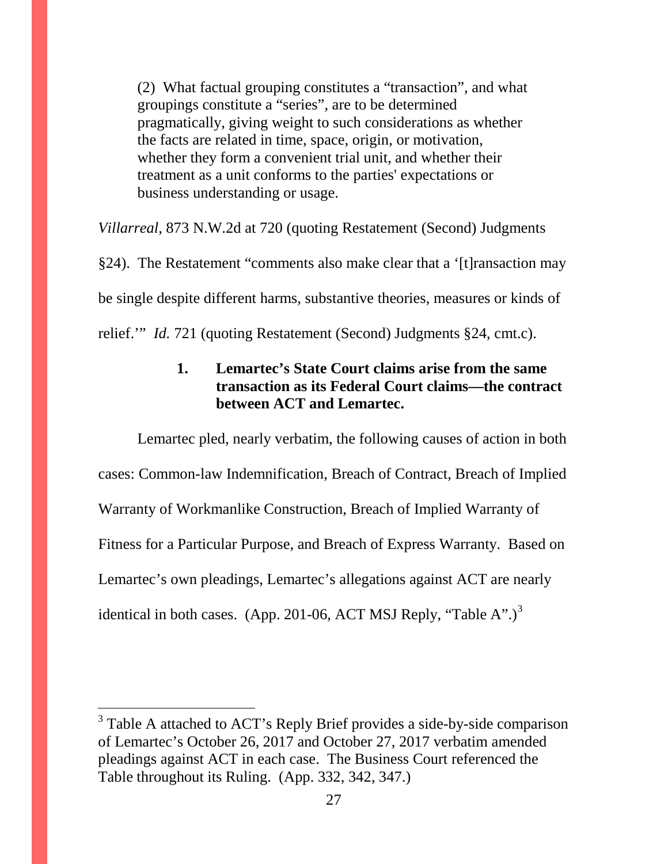(2) What factual grouping constitutes a "transaction", and what groupings constitute a "series", are to be determined pragmatically, giving weight to such considerations as whether the facts are related in time, space, origin, or motivation, whether they form a convenient trial unit, and whether their treatment as a unit conforms to the parties' expectations or business understanding or usage.

*Villarreal*, 873 N.W.2d at 720 (quoting Restatement (Second) Judgments

§24). The Restatement "comments also make clear that a '[t]ransaction may be single despite different harms, substantive theories, measures or kinds of relief.'" *Id.* 721 (quoting Restatement (Second) Judgments §24, cmt.c).

### **1. Lemartec's State Court claims arise from the same transaction as its Federal Court claims—the contract between ACT and Lemartec.**

Lemartec pled, nearly verbatim, the following causes of action in both cases: Common-law Indemnification, Breach of Contract, Breach of Implied Warranty of Workmanlike Construction, Breach of Implied Warranty of Fitness for a Particular Purpose, and Breach of Express Warranty. Based on Lemartec's own pleadings, Lemartec's allegations against ACT are nearly identical in both cases. (App. 201-06, ACT MSJ Reply, "Table A".)<sup>[3](#page-27-0)</sup>

<sup>&</sup>lt;sup>3</sup> Table A attached to ACT's Reply Brief provides a side-by-side comparison of Lemartec's October 26, 2017 and October 27, 2017 verbatim amended pleadings against ACT in each case. The Business Court referenced the Table throughout its Ruling. (App. 332, 342, 347.)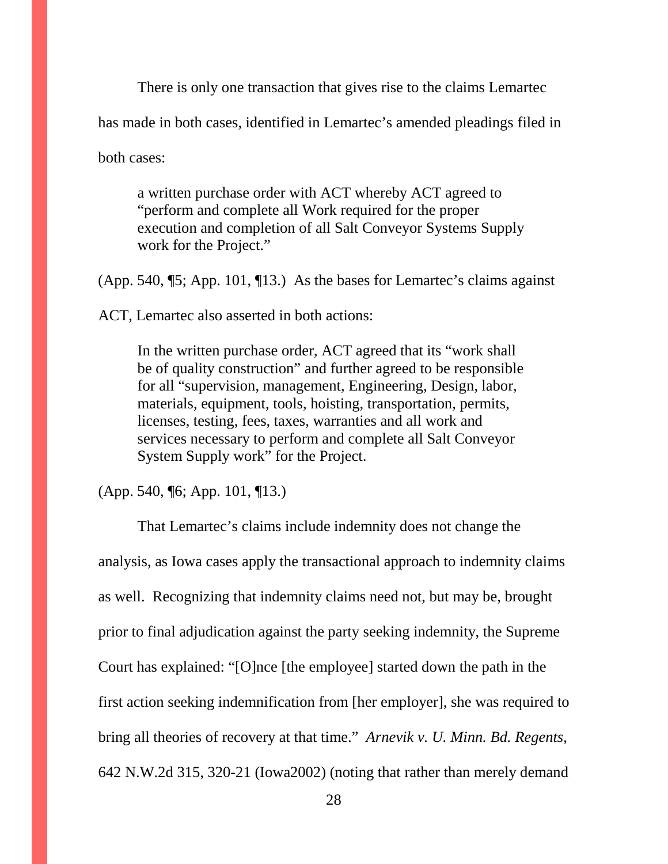There is only one transaction that gives rise to the claims Lemartec has made in both cases, identified in Lemartec's amended pleadings filed in both cases:

a written purchase order with ACT whereby ACT agreed to "perform and complete all Work required for the proper execution and completion of all Salt Conveyor Systems Supply work for the Project."

(App. 540, ¶5; App. 101, ¶13.) As the bases for Lemartec's claims against

ACT, Lemartec also asserted in both actions:

In the written purchase order, ACT agreed that its "work shall be of quality construction" and further agreed to be responsible for all "supervision, management, Engineering, Design, labor, materials, equipment, tools, hoisting, transportation, permits, licenses, testing, fees, taxes, warranties and all work and services necessary to perform and complete all Salt Conveyor System Supply work" for the Project.

(App. 540, ¶6; App. 101, ¶13.)

<span id="page-27-0"></span>That Lemartec's claims include indemnity does not change the analysis, as Iowa cases apply the transactional approach to indemnity claims as well. Recognizing that indemnity claims need not, but may be, brought prior to final adjudication against the party seeking indemnity, the Supreme Court has explained: "[O]nce [the employee] started down the path in the first action seeking indemnification from [her employer], she was required to bring all theories of recovery at that time." *Arnevik v. U. Minn. Bd. Regents*, 642 N.W.2d 315, 320-21 (Iowa2002) (noting that rather than merely demand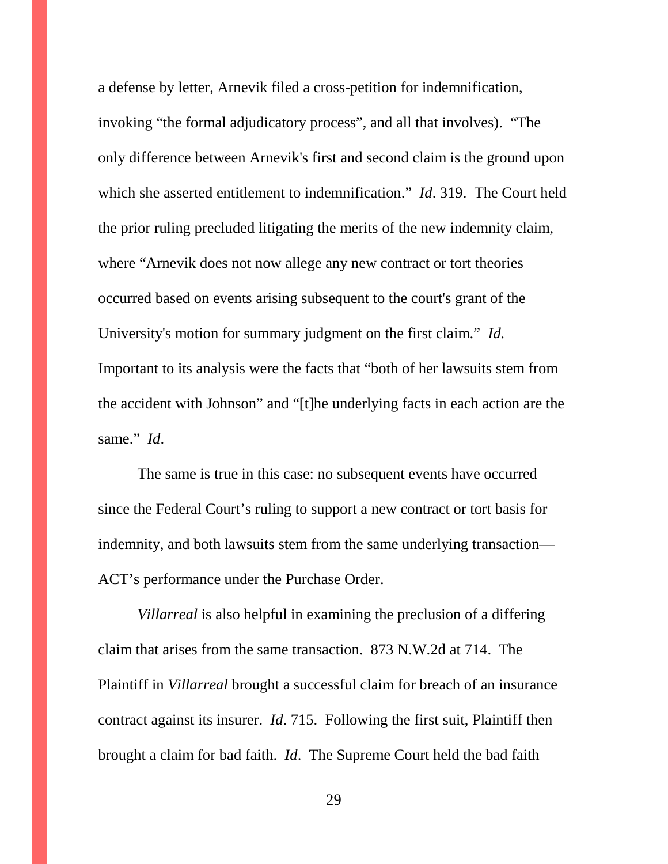a defense by letter, Arnevik filed a cross-petition for indemnification, invoking "the formal adjudicatory process", and all that involves). "The only difference between Arnevik's first and second claim is the ground upon which she asserted entitlement to indemnification." *Id*. 319. The Court held the prior ruling precluded litigating the merits of the new indemnity claim, where "Arnevik does not now allege any new contract or tort theories occurred based on events arising subsequent to the court's grant of the University's motion for summary judgment on the first claim." *Id.* Important to its analysis were the facts that "both of her lawsuits stem from the accident with Johnson" and "[t]he underlying facts in each action are the same." *Id*.

The same is true in this case: no subsequent events have occurred since the Federal Court's ruling to support a new contract or tort basis for indemnity, and both lawsuits stem from the same underlying transaction— ACT's performance under the Purchase Order.

*Villarreal* is also helpful in examining the preclusion of a differing claim that arises from the same transaction. 873 N.W.2d at 714. The Plaintiff in *Villarreal* brought a successful claim for breach of an insurance contract against its insurer. *Id*. 715. Following the first suit, Plaintiff then brought a claim for bad faith. *Id*. The Supreme Court held the bad faith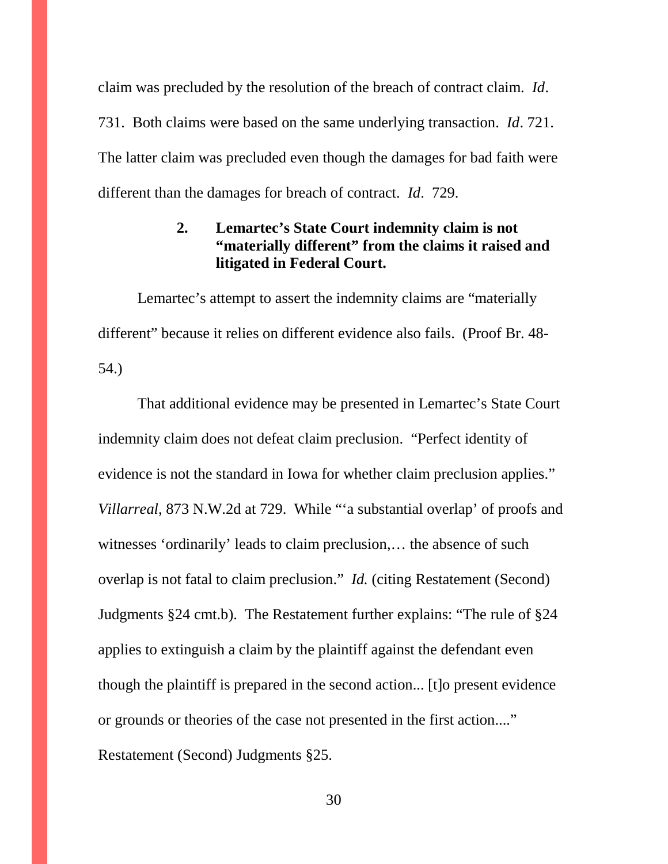claim was precluded by the resolution of the breach of contract claim. *Id*. 731. Both claims were based on the same underlying transaction. *Id*. 721. The latter claim was precluded even though the damages for bad faith were different than the damages for breach of contract. *Id*. 729.

### **2. Lemartec's State Court indemnity claim is not "materially different" from the claims it raised and litigated in Federal Court.**

Lemartec's attempt to assert the indemnity claims are "materially different" because it relies on different evidence also fails. (Proof Br. 48- 54.)

That additional evidence may be presented in Lemartec's State Court indemnity claim does not defeat claim preclusion. "Perfect identity of evidence is not the standard in Iowa for whether claim preclusion applies." *Villarreal*, 873 N.W.2d at 729. While "'a substantial overlap' of proofs and witnesses 'ordinarily' leads to claim preclusion,… the absence of such overlap is not fatal to claim preclusion." *Id.* (citing Restatement (Second) Judgments §24 cmt.b). The Restatement further explains: "The rule of §24 applies to extinguish a claim by the plaintiff against the defendant even though the plaintiff is prepared in the second action... [t]o present evidence or grounds or theories of the case not presented in the first action...." Restatement (Second) Judgments §25.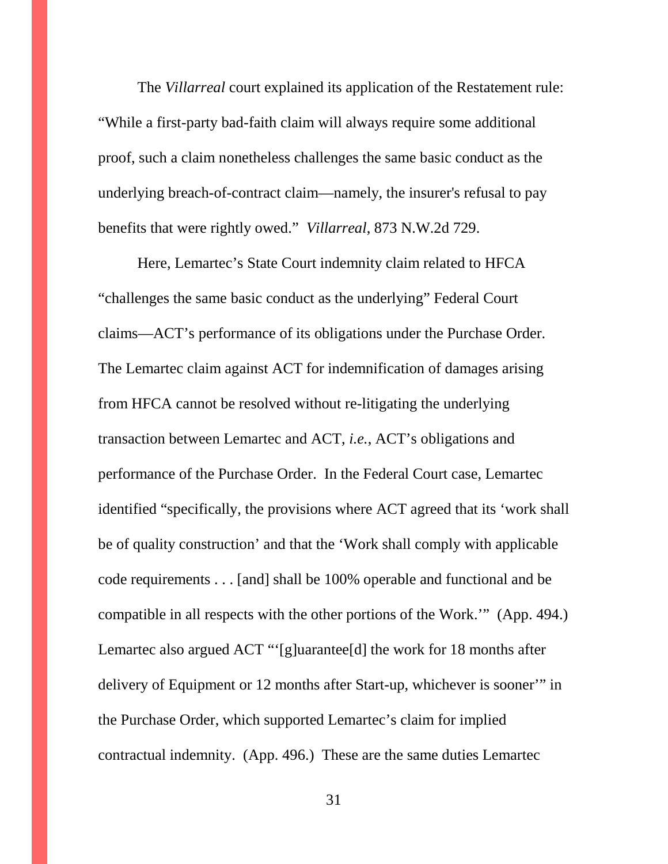The *Villarreal* court explained its application of the Restatement rule: "While a first-party bad-faith claim will always require some additional proof, such a claim nonetheless challenges the same basic conduct as the underlying breach-of-contract claim—namely, the insurer's refusal to pay benefits that were rightly owed." *Villarreal*, 873 N.W.2d 729.

Here, Lemartec's State Court indemnity claim related to HFCA "challenges the same basic conduct as the underlying" Federal Court claims—ACT's performance of its obligations under the Purchase Order. The Lemartec claim against ACT for indemnification of damages arising from HFCA cannot be resolved without re-litigating the underlying transaction between Lemartec and ACT, *i.e.*, ACT's obligations and performance of the Purchase Order. In the Federal Court case, Lemartec identified "specifically, the provisions where ACT agreed that its 'work shall be of quality construction' and that the 'Work shall comply with applicable code requirements . . . [and] shall be 100% operable and functional and be compatible in all respects with the other portions of the Work.'" (App. 494.) Lemartec also argued ACT "'[g]uarantee[d] the work for 18 months after delivery of Equipment or 12 months after Start-up, whichever is sooner'" in the Purchase Order, which supported Lemartec's claim for implied contractual indemnity. (App. 496.) These are the same duties Lemartec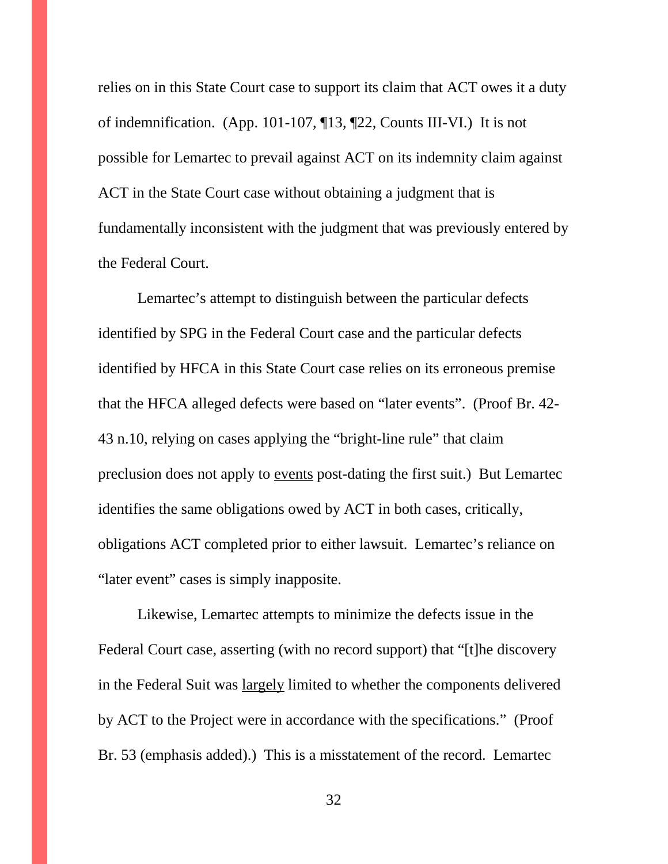relies on in this State Court case to support its claim that ACT owes it a duty of indemnification. (App. 101-107, ¶13, ¶22, Counts III-VI.) It is not possible for Lemartec to prevail against ACT on its indemnity claim against ACT in the State Court case without obtaining a judgment that is fundamentally inconsistent with the judgment that was previously entered by the Federal Court.

Lemartec's attempt to distinguish between the particular defects identified by SPG in the Federal Court case and the particular defects identified by HFCA in this State Court case relies on its erroneous premise that the HFCA alleged defects were based on "later events". (Proof Br. 42- 43 n.10, relying on cases applying the "bright-line rule" that claim preclusion does not apply to events post-dating the first suit.) But Lemartec identifies the same obligations owed by ACT in both cases, critically, obligations ACT completed prior to either lawsuit. Lemartec's reliance on "later event" cases is simply inapposite.

Likewise, Lemartec attempts to minimize the defects issue in the Federal Court case, asserting (with no record support) that "[t]he discovery in the Federal Suit was largely limited to whether the components delivered by ACT to the Project were in accordance with the specifications." (Proof Br. 53 (emphasis added).) This is a misstatement of the record. Lemartec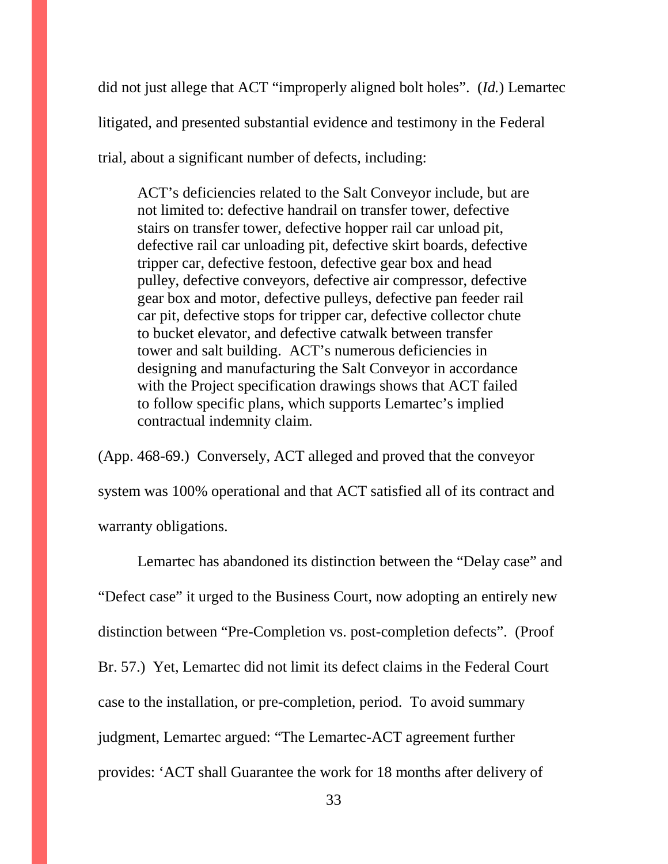did not just allege that ACT "improperly aligned bolt holes". (*Id.*) Lemartec litigated, and presented substantial evidence and testimony in the Federal trial, about a significant number of defects, including:

ACT's deficiencies related to the Salt Conveyor include, but are not limited to: defective handrail on transfer tower, defective stairs on transfer tower, defective hopper rail car unload pit, defective rail car unloading pit, defective skirt boards, defective tripper car, defective festoon, defective gear box and head pulley, defective conveyors, defective air compressor, defective gear box and motor, defective pulleys, defective pan feeder rail car pit, defective stops for tripper car, defective collector chute to bucket elevator, and defective catwalk between transfer tower and salt building. ACT's numerous deficiencies in designing and manufacturing the Salt Conveyor in accordance with the Project specification drawings shows that ACT failed to follow specific plans, which supports Lemartec's implied contractual indemnity claim.

(App. 468-69.) Conversely, ACT alleged and proved that the conveyor system was 100% operational and that ACT satisfied all of its contract and warranty obligations.

Lemartec has abandoned its distinction between the "Delay case" and "Defect case" it urged to the Business Court, now adopting an entirely new distinction between "Pre-Completion vs. post-completion defects". (Proof Br. 57.) Yet, Lemartec did not limit its defect claims in the Federal Court case to the installation, or pre-completion, period. To avoid summary judgment, Lemartec argued: "The Lemartec-ACT agreement further provides: 'ACT shall Guarantee the work for 18 months after delivery of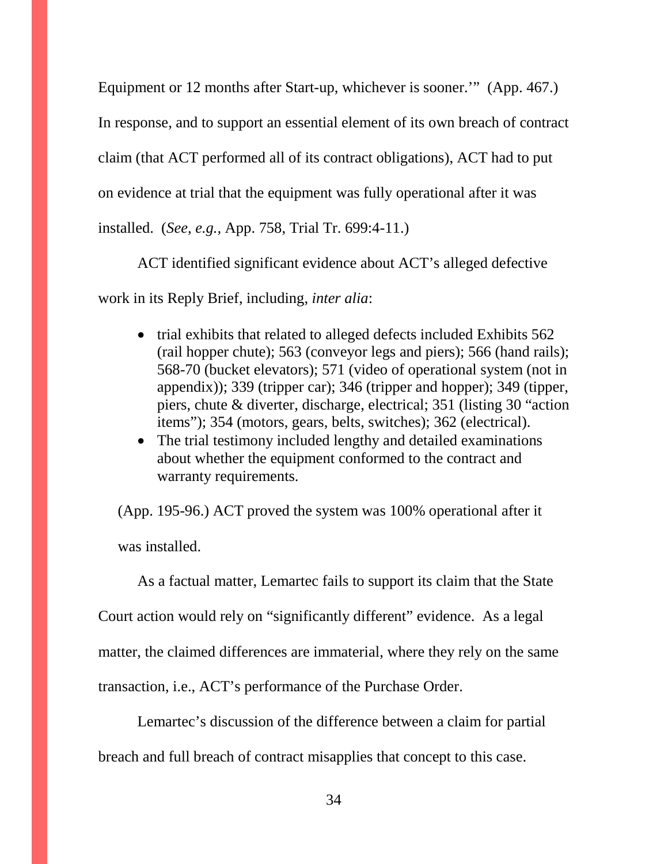Equipment or 12 months after Start-up, whichever is sooner.'" (App. 467.) In response, and to support an essential element of its own breach of contract claim (that ACT performed all of its contract obligations), ACT had to put on evidence at trial that the equipment was fully operational after it was installed. (*See, e.g.,* App. 758, Trial Tr. 699:4-11.)

ACT identified significant evidence about ACT's alleged defective work in its Reply Brief, including, *inter alia*:

- trial exhibits that related to alleged defects included Exhibits 562 (rail hopper chute); 563 (conveyor legs and piers); 566 (hand rails); 568-70 (bucket elevators); 571 (video of operational system (not in appendix)); 339 (tripper car); 346 (tripper and hopper); 349 (tipper, piers, chute & diverter, discharge, electrical; 351 (listing 30 "action items"); 354 (motors, gears, belts, switches); 362 (electrical).
- The trial testimony included lengthy and detailed examinations about whether the equipment conformed to the contract and warranty requirements.

(App. 195-96.) ACT proved the system was 100% operational after it was installed.

As a factual matter, Lemartec fails to support its claim that the State Court action would rely on "significantly different" evidence. As a legal matter, the claimed differences are immaterial, where they rely on the same transaction, i.e., ACT's performance of the Purchase Order.

Lemartec's discussion of the difference between a claim for partial breach and full breach of contract misapplies that concept to this case.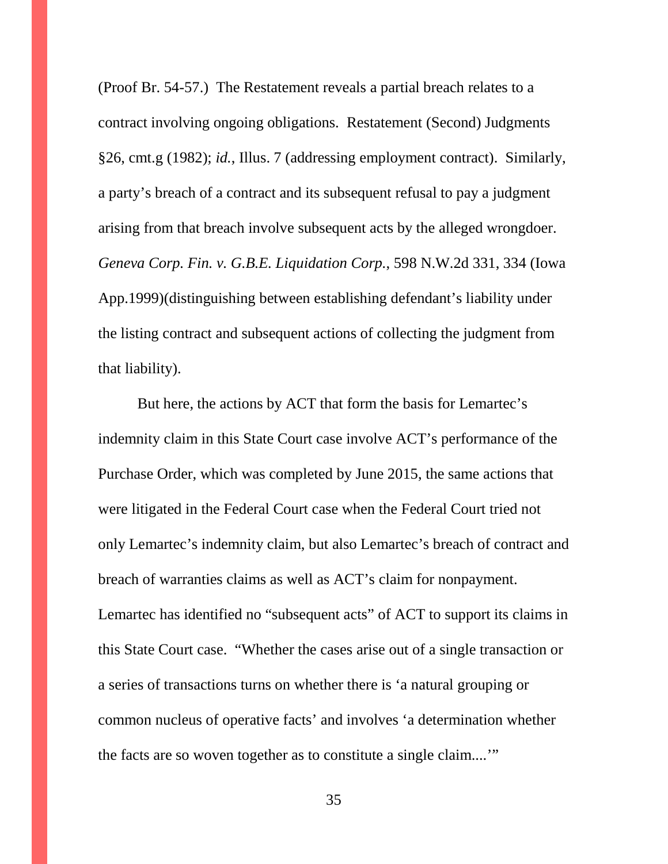(Proof Br. 54-57.) The Restatement reveals a partial breach relates to a contract involving ongoing obligations. Restatement (Second) Judgments §26, cmt.g (1982); *id.*, Illus. 7 (addressing employment contract). Similarly, a party's breach of a contract and its subsequent refusal to pay a judgment arising from that breach involve subsequent acts by the alleged wrongdoer. *Geneva Corp. Fin. v. G.B.E. Liquidation Corp.*, 598 N.W.2d 331, 334 (Iowa App.1999)(distinguishing between establishing defendant's liability under the listing contract and subsequent actions of collecting the judgment from that liability).

But here, the actions by ACT that form the basis for Lemartec's indemnity claim in this State Court case involve ACT's performance of the Purchase Order, which was completed by June 2015, the same actions that were litigated in the Federal Court case when the Federal Court tried not only Lemartec's indemnity claim, but also Lemartec's breach of contract and breach of warranties claims as well as ACT's claim for nonpayment. Lemartec has identified no "subsequent acts" of ACT to support its claims in this State Court case. "Whether the cases arise out of a single transaction or a series of transactions turns on whether there is 'a natural grouping or common nucleus of operative facts' and involves 'a determination whether the facts are so woven together as to constitute a single claim....'"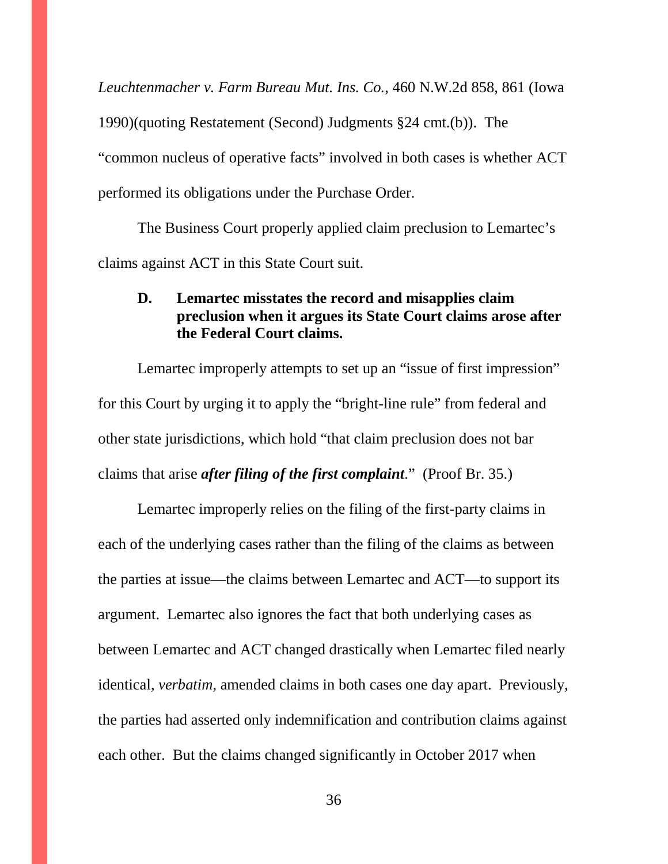*Leuchtenmacher v. Farm Bureau Mut. Ins. Co.*, 460 N.W.2d 858, 861 (Iowa 1990)(quoting Restatement (Second) Judgments §24 cmt.(b)). The "common nucleus of operative facts" involved in both cases is whether ACT performed its obligations under the Purchase Order.

The Business Court properly applied claim preclusion to Lemartec's claims against ACT in this State Court suit.

### **D. Lemartec misstates the record and misapplies claim preclusion when it argues its State Court claims arose after the Federal Court claims.**

Lemartec improperly attempts to set up an "issue of first impression" for this Court by urging it to apply the "bright-line rule" from federal and other state jurisdictions, which hold "that claim preclusion does not bar claims that arise *after filing of the first complaint*." (Proof Br. 35.)

Lemartec improperly relies on the filing of the first-party claims in each of the underlying cases rather than the filing of the claims as between the parties at issue—the claims between Lemartec and ACT—to support its argument. Lemartec also ignores the fact that both underlying cases as between Lemartec and ACT changed drastically when Lemartec filed nearly identical, *verbatim*, amended claims in both cases one day apart. Previously, the parties had asserted only indemnification and contribution claims against each other. But the claims changed significantly in October 2017 when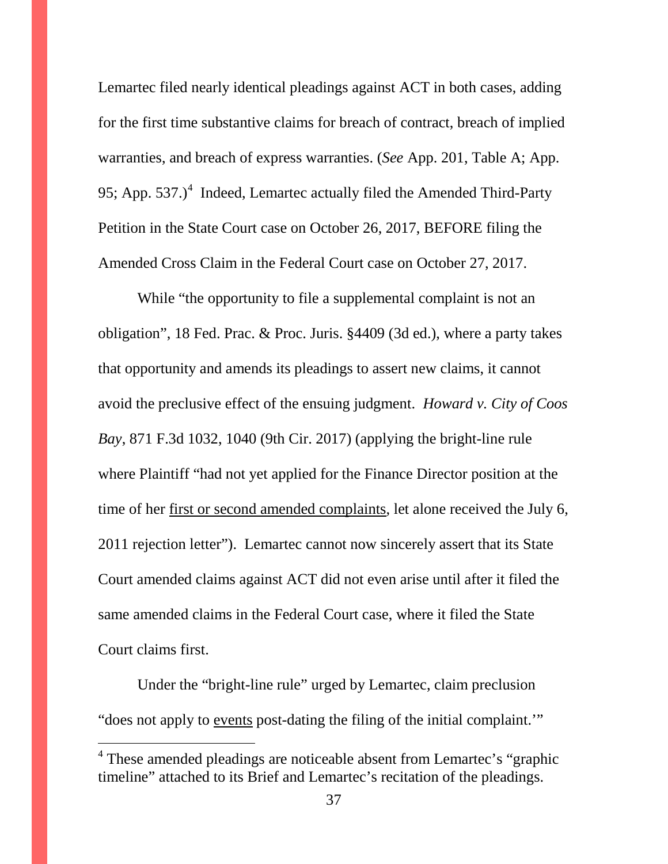Lemartec filed nearly identical pleadings against ACT in both cases, adding for the first time substantive claims for breach of contract, breach of implied warranties, and breach of express warranties. (*See* App. 201, Table A; App. 95; App.  $537.$ )<sup>[4](#page-38-0)</sup> Indeed, Lemartec actually filed the Amended Third-Party Petition in the State Court case on October 26, 2017, BEFORE filing the Amended Cross Claim in the Federal Court case on October 27, 2017.

While "the opportunity to file a supplemental complaint is not an obligation", 18 Fed. Prac. & Proc. Juris. §4409 (3d ed.), where a party takes that opportunity and amends its pleadings to assert new claims, it cannot avoid the preclusive effect of the ensuing judgment. *Howard v. City of Coos Bay*, 871 F.3d 1032, 1040 (9th Cir. 2017) (applying the bright-line rule where Plaintiff "had not yet applied for the Finance Director position at the time of her first or second amended complaints, let alone received the July 6, 2011 rejection letter"). Lemartec cannot now sincerely assert that its State Court amended claims against ACT did not even arise until after it filed the same amended claims in the Federal Court case, where it filed the State Court claims first.

Under the "bright-line rule" urged by Lemartec, claim preclusion "does not apply to events post-dating the filing of the initial complaint.'"

 $\overline{a}$ 

<sup>&</sup>lt;sup>4</sup> These amended pleadings are noticeable absent from Lemartec's "graphic timeline" attached to its Brief and Lemartec's recitation of the pleadings.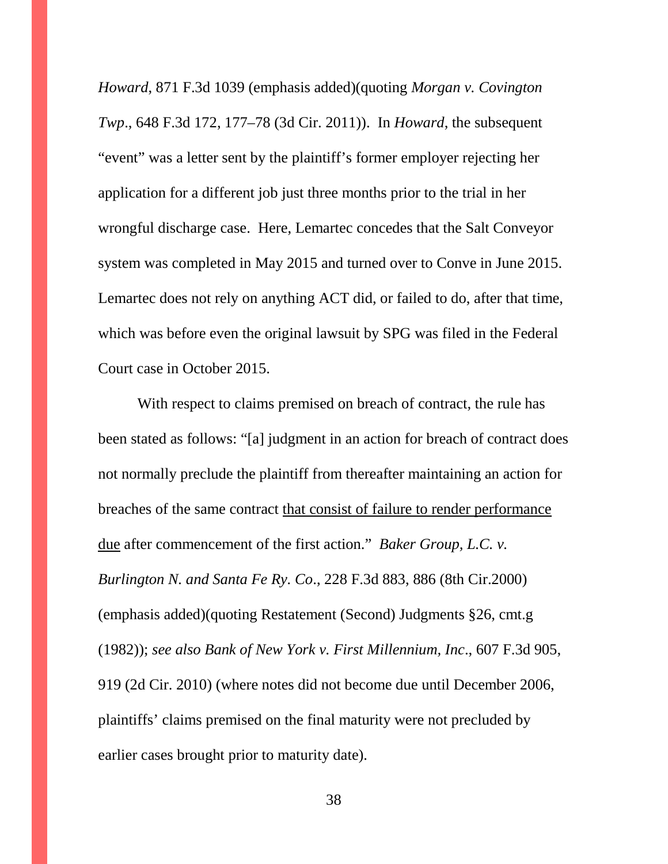*Howard*, 871 F.3d 1039 (emphasis added)(quoting *Morgan v. Covington Twp*., 648 F.3d 172, 177–78 (3d Cir. 2011)). In *Howard*, the subsequent "event" was a letter sent by the plaintiff's former employer rejecting her application for a different job just three months prior to the trial in her wrongful discharge case. Here, Lemartec concedes that the Salt Conveyor system was completed in May 2015 and turned over to Conve in June 2015. Lemartec does not rely on anything ACT did, or failed to do, after that time, which was before even the original lawsuit by SPG was filed in the Federal Court case in October 2015.

With respect to claims premised on breach of contract, the rule has been stated as follows: "[a] judgment in an action for breach of contract does not normally preclude the plaintiff from thereafter maintaining an action for breaches of the same contract that consist of failure to render performance due after commencement of the first action." *Baker Group, L.C. v. Burlington N. and Santa Fe Ry. Co*., 228 F.3d 883, 886 (8th Cir.2000) (emphasis added)(quoting Restatement (Second) Judgments §26, cmt.g (1982)); *see also Bank of New York v. First Millennium, Inc*., 607 F.3d 905, 919 (2d Cir. 2010) (where notes did not become due until December 2006, plaintiffs' claims premised on the final maturity were not precluded by earlier cases brought prior to maturity date).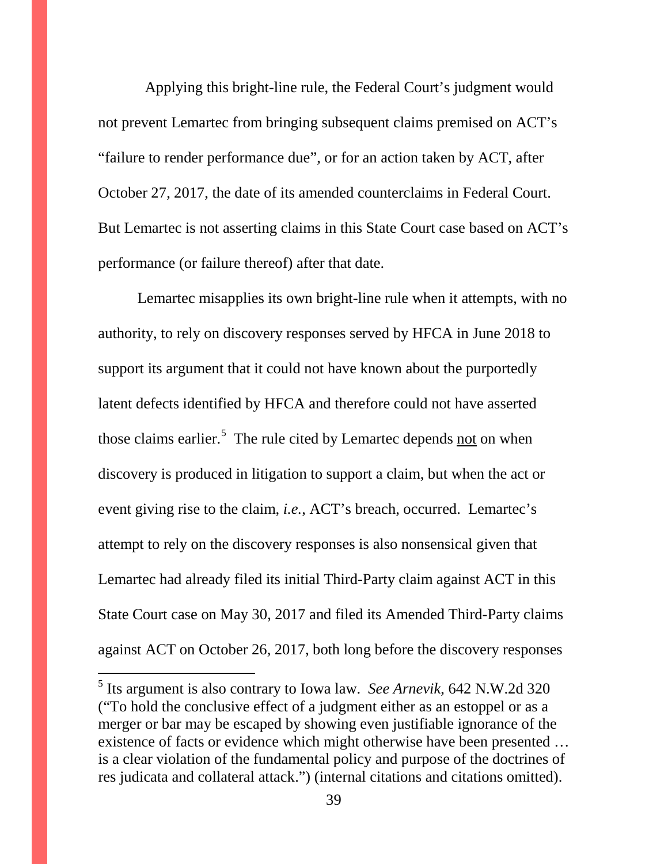Applying this bright-line rule, the Federal Court's judgment would not prevent Lemartec from bringing subsequent claims premised on ACT's "failure to render performance due", or for an action taken by ACT, after October 27, 2017, the date of its amended counterclaims in Federal Court. But Lemartec is not asserting claims in this State Court case based on ACT's performance (or failure thereof) after that date.

Lemartec misapplies its own bright-line rule when it attempts, with no authority, to rely on discovery responses served by HFCA in June 2018 to support its argument that it could not have known about the purportedly latent defects identified by HFCA and therefore could not have asserted those claims earlier. $5$  The rule cited by Lemartec depends not on when discovery is produced in litigation to support a claim, but when the act or event giving rise to the claim, *i.e.*, ACT's breach, occurred. Lemartec's attempt to rely on the discovery responses is also nonsensical given that Lemartec had already filed its initial Third-Party claim against ACT in this State Court case on May 30, 2017 and filed its Amended Third-Party claims against ACT on October 26, 2017, both long before the discovery responses

<span id="page-38-0"></span><sup>5</sup> Its argument is also contrary to Iowa law. *See Arnevik*, 642 N.W.2d <sup>320</sup> ("To hold the conclusive effect of a judgment either as an estoppel or as a merger or bar may be escaped by showing even justifiable ignorance of the existence of facts or evidence which might otherwise have been presented … is a clear violation of the fundamental policy and purpose of the doctrines of res judicata and collateral attack.") (internal citations and citations omitted).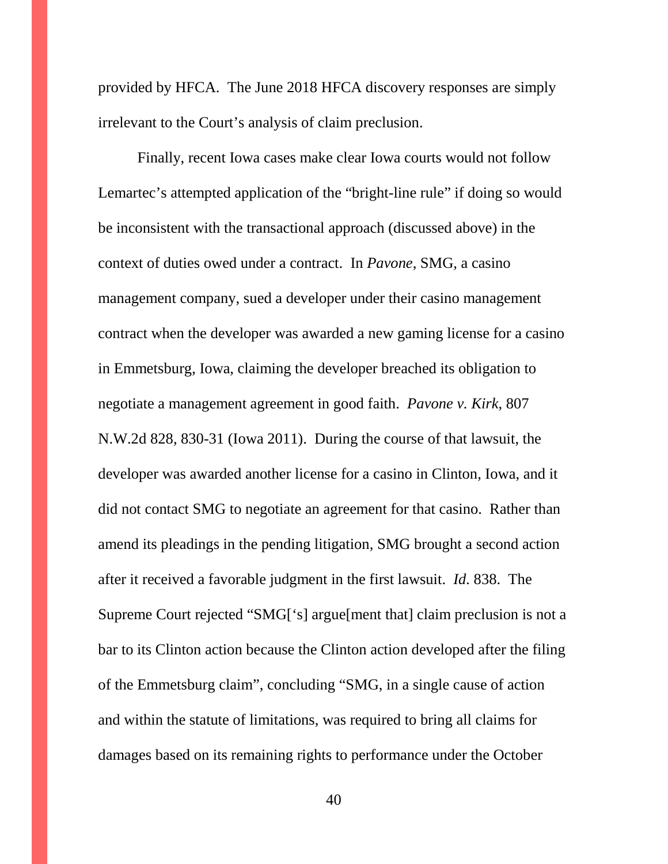provided by HFCA. The June 2018 HFCA discovery responses are simply irrelevant to the Court's analysis of claim preclusion.

Finally, recent Iowa cases make clear Iowa courts would not follow Lemartec's attempted application of the "bright-line rule" if doing so would be inconsistent with the transactional approach (discussed above) in the context of duties owed under a contract. In *Pavone*, SMG, a casino management company, sued a developer under their casino management contract when the developer was awarded a new gaming license for a casino in Emmetsburg, Iowa, claiming the developer breached its obligation to negotiate a management agreement in good faith. *Pavone v. Kirk*, 807 N.W.2d 828, 830-31 (Iowa 2011). During the course of that lawsuit, the developer was awarded another license for a casino in Clinton, Iowa, and it did not contact SMG to negotiate an agreement for that casino. Rather than amend its pleadings in the pending litigation, SMG brought a second action after it received a favorable judgment in the first lawsuit. *Id.* 838. The Supreme Court rejected "SMG['s] argue[ment that] claim preclusion is not a bar to its Clinton action because the Clinton action developed after the filing of the Emmetsburg claim", concluding "SMG, in a single cause of action and within the statute of limitations, was required to bring all claims for damages based on its remaining rights to performance under the October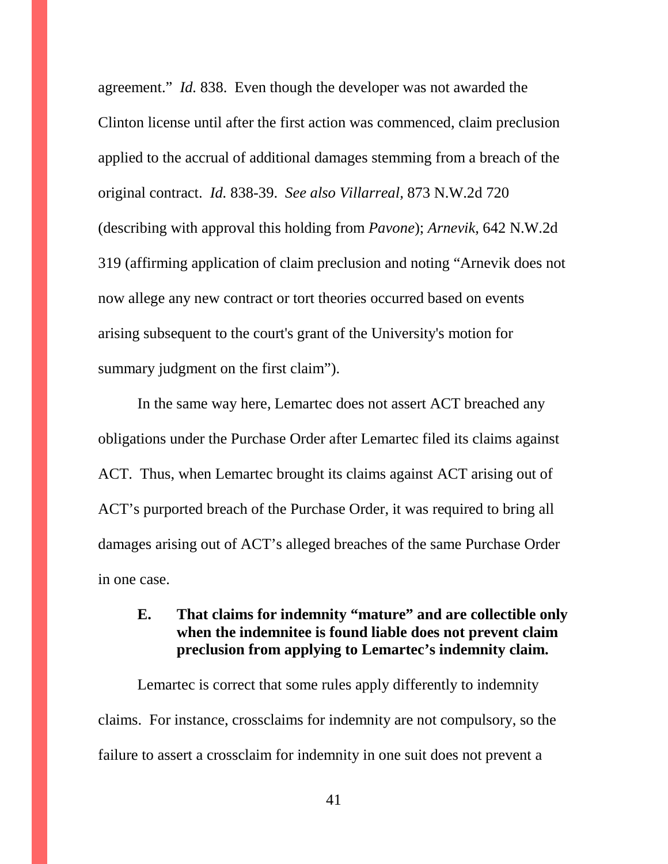agreement." *Id.* 838. Even though the developer was not awarded the Clinton license until after the first action was commenced, claim preclusion applied to the accrual of additional damages stemming from a breach of the original contract. *Id.* 838-39. *See also Villarreal,* 873 N.W.2d 720 (describing with approval this holding from *Pavone*); *Arnevik*, 642 N.W.2d 319 (affirming application of claim preclusion and noting "Arnevik does not now allege any new contract or tort theories occurred based on events arising subsequent to the court's grant of the University's motion for summary judgment on the first claim").

In the same way here, Lemartec does not assert ACT breached any obligations under the Purchase Order after Lemartec filed its claims against ACT. Thus, when Lemartec brought its claims against ACT arising out of ACT's purported breach of the Purchase Order, it was required to bring all damages arising out of ACT's alleged breaches of the same Purchase Order in one case.

## **E. That claims for indemnity "mature" and are collectible only when the indemnitee is found liable does not prevent claim preclusion from applying to Lemartec's indemnity claim.**

Lemartec is correct that some rules apply differently to indemnity claims. For instance, crossclaims for indemnity are not compulsory, so the failure to assert a crossclaim for indemnity in one suit does not prevent a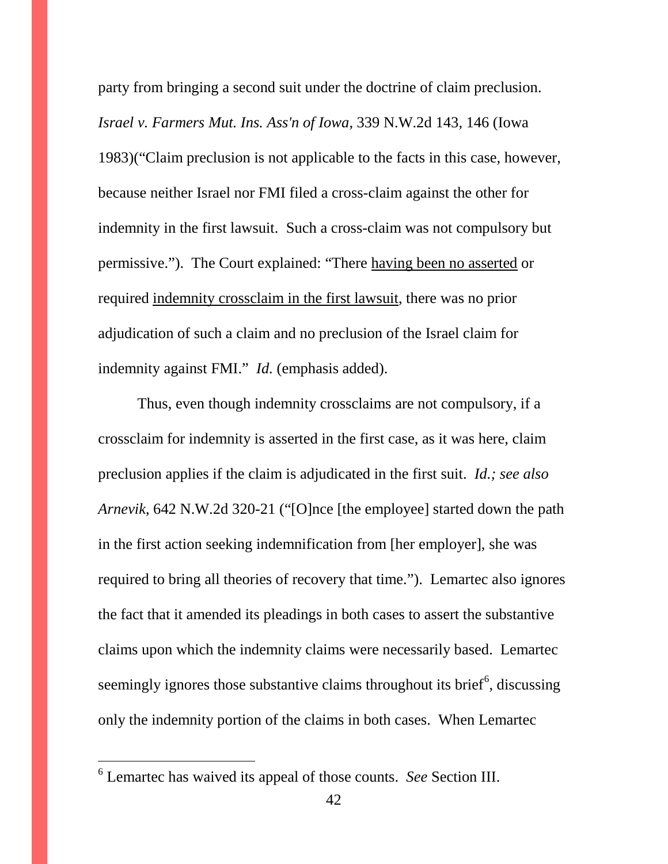party from bringing a second suit under the doctrine of claim preclusion. *Israel v. Farmers Mut. Ins. Ass'n of Iowa*, 339 N.W.2d 143, 146 (Iowa 1983)("Claim preclusion is not applicable to the facts in this case, however, because neither Israel nor FMI filed a cross-claim against the other for indemnity in the first lawsuit. Such a cross-claim was not compulsory but permissive."). The Court explained: "There having been no asserted or required indemnity crossclaim in the first lawsuit, there was no prior adjudication of such a claim and no preclusion of the Israel claim for indemnity against FMI." *Id.* (emphasis added).

Thus, even though indemnity crossclaims are not compulsory, if a crossclaim for indemnity is asserted in the first case, as it was here, claim preclusion applies if the claim is adjudicated in the first suit. *Id.; see also Arnevik*, 642 N.W.2d 320-21 ("[O]nce [the employee] started down the path in the first action seeking indemnification from [her employer], she was required to bring all theories of recovery that time."). Lemartec also ignores the fact that it amended its pleadings in both cases to assert the substantive claims upon which the indemnity claims were necessarily based. Lemartec seemingly ignores those substantive claims throughout its brief<sup>[6](#page-45-0)</sup>, discussing only the indemnity portion of the claims in both cases. When Lemartec

<span id="page-41-0"></span><sup>6</sup> Lemartec has waived its appeal of those counts. *See* Section III.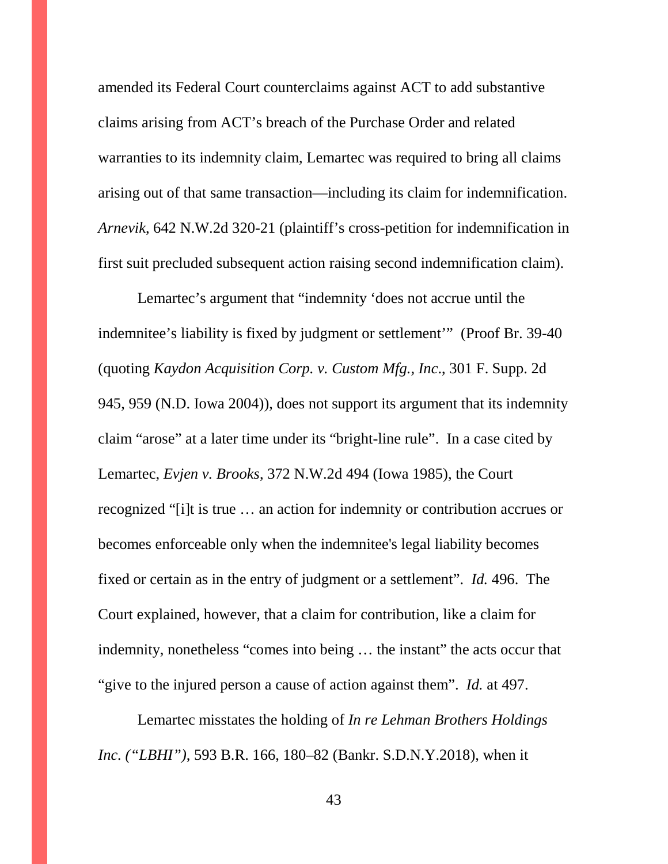amended its Federal Court counterclaims against ACT to add substantive claims arising from ACT's breach of the Purchase Order and related warranties to its indemnity claim, Lemartec was required to bring all claims arising out of that same transaction—including its claim for indemnification. *Arnevik*, 642 N.W.2d 320-21 (plaintiff's cross-petition for indemnification in first suit precluded subsequent action raising second indemnification claim).

Lemartec's argument that "indemnity 'does not accrue until the indemnitee's liability is fixed by judgment or settlement'" (Proof Br. 39-40 (quoting *Kaydon Acquisition Corp. v. Custom Mfg., Inc*., 301 F. Supp. 2d 945, 959 (N.D. Iowa 2004)), does not support its argument that its indemnity claim "arose" at a later time under its "bright-line rule". In a case cited by Lemartec, *Evjen v. Brooks*, 372 N.W.2d 494 (Iowa 1985), the Court recognized "[i]t is true … an action for indemnity or contribution accrues or becomes enforceable only when the indemnitee's legal liability becomes fixed or certain as in the entry of judgment or a settlement". *Id.* 496. The Court explained, however, that a claim for contribution, like a claim for indemnity, nonetheless "comes into being … the instant" the acts occur that "give to the injured person a cause of action against them". *Id.* at 497.

Lemartec misstates the holding of *In re Lehman Brothers Holdings Inc. ("LBHI")*, 593 B.R. 166, 180–82 (Bankr. S.D.N.Y.2018), when it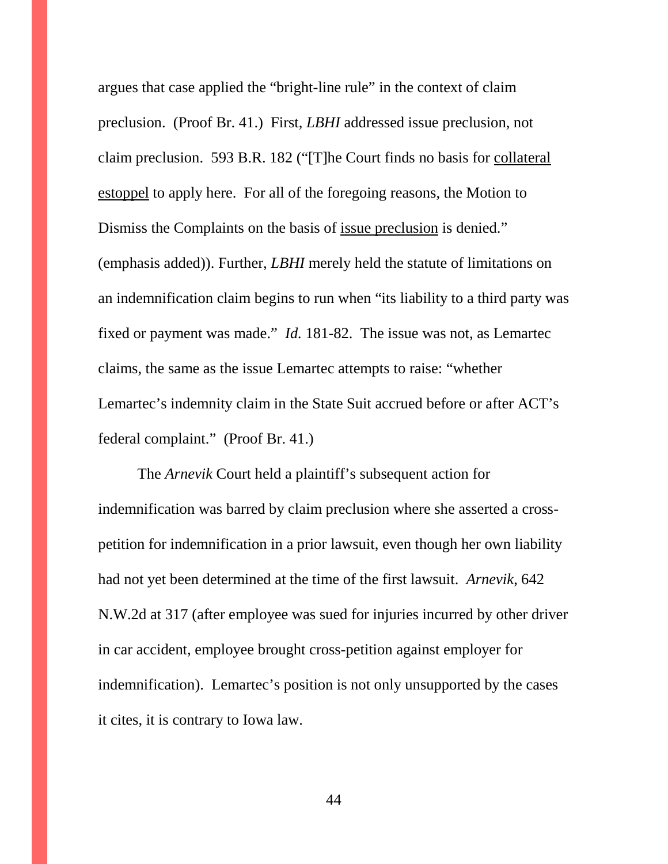argues that case applied the "bright-line rule" in the context of claim preclusion. (Proof Br. 41.) First, *LBHI* addressed issue preclusion, not claim preclusion. 593 B.R. 182 ("[T]he Court finds no basis for collateral estoppel to apply here. For all of the foregoing reasons, the Motion to Dismiss the Complaints on the basis of issue preclusion is denied." (emphasis added)). Further, *LBHI* merely held the statute of limitations on an indemnification claim begins to run when "its liability to a third party was fixed or payment was made." *Id.* 181-82. The issue was not, as Lemartec claims, the same as the issue Lemartec attempts to raise: "whether Lemartec's indemnity claim in the State Suit accrued before or after ACT's federal complaint." (Proof Br. 41.)

The *Arnevik* Court held a plaintiff's subsequent action for indemnification was barred by claim preclusion where she asserted a crosspetition for indemnification in a prior lawsuit, even though her own liability had not yet been determined at the time of the first lawsuit. *Arnevik*, 642 N.W.2d at 317 (after employee was sued for injuries incurred by other driver in car accident, employee brought cross-petition against employer for indemnification). Lemartec's position is not only unsupported by the cases it cites, it is contrary to Iowa law.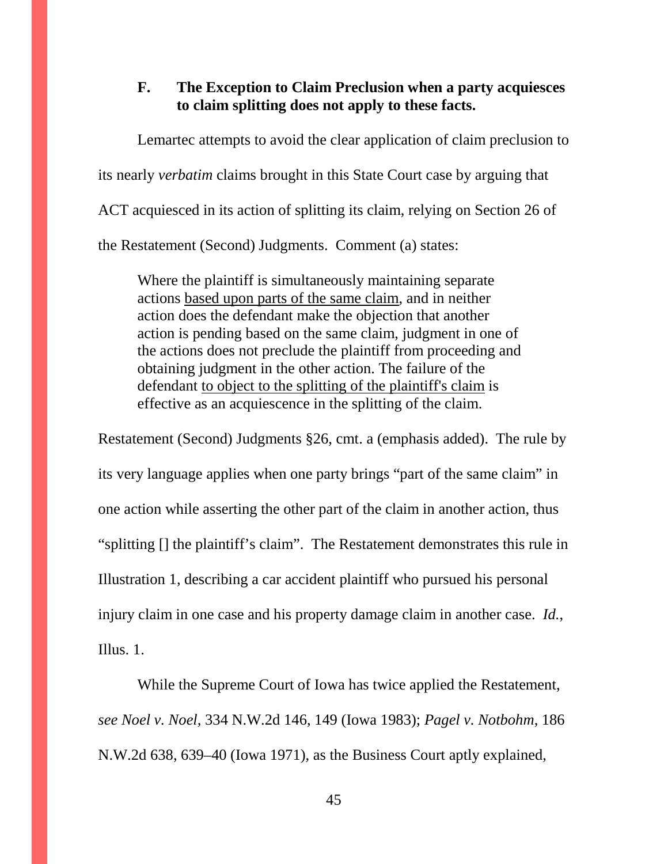#### **F. The Exception to Claim Preclusion when a party acquiesces to claim splitting does not apply to these facts.**

Lemartec attempts to avoid the clear application of claim preclusion to its nearly *verbatim* claims brought in this State Court case by arguing that ACT acquiesced in its action of splitting its claim, relying on Section 26 of the Restatement (Second) Judgments. Comment (a) states:

Where the plaintiff is simultaneously maintaining separate actions based upon parts of the same claim, and in neither action does the defendant make the objection that another action is pending based on the same claim, judgment in one of the actions does not preclude the plaintiff from proceeding and obtaining judgment in the other action. The failure of the defendant to object to the splitting of the plaintiff's claim is effective as an acquiescence in the splitting of the claim.

Restatement (Second) Judgments §26, cmt. a (emphasis added). The rule by its very language applies when one party brings "part of the same claim" in one action while asserting the other part of the claim in another action, thus "splitting [] the plaintiff's claim". The Restatement demonstrates this rule in Illustration 1, describing a car accident plaintiff who pursued his personal injury claim in one case and his property damage claim in another case. *Id.*, Illus. 1.

While the Supreme Court of Iowa has twice applied the Restatement, *see Noel v. Noel,* 334 N.W.2d 146, 149 (Iowa 1983); *Pagel v. Notbohm*, 186 N.W.2d 638, 639–40 (Iowa 1971), as the Business Court aptly explained,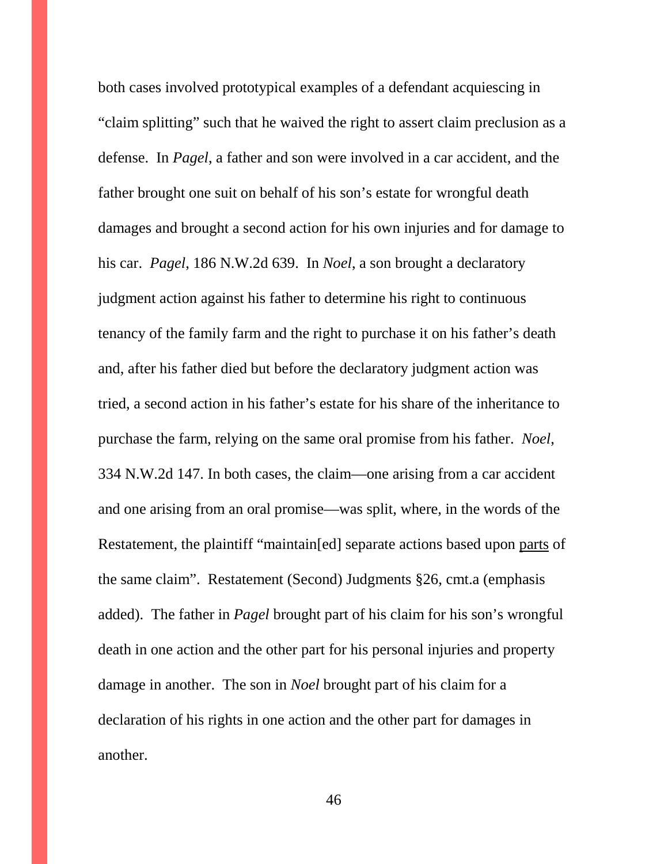<span id="page-45-0"></span>both cases involved prototypical examples of a defendant acquiescing in "claim splitting" such that he waived the right to assert claim preclusion as a defense. In *Pagel*, a father and son were involved in a car accident, and the father brought one suit on behalf of his son's estate for wrongful death damages and brought a second action for his own injuries and for damage to his car. *Pagel*, 186 N.W.2d 639. In *Noel*, a son brought a declaratory judgment action against his father to determine his right to continuous tenancy of the family farm and the right to purchase it on his father's death and, after his father died but before the declaratory judgment action was tried, a second action in his father's estate for his share of the inheritance to purchase the farm, relying on the same oral promise from his father. *Noel*, 334 N.W.2d 147. In both cases, the claim—one arising from a car accident and one arising from an oral promise—was split, where, in the words of the Restatement, the plaintiff "maintain[ed] separate actions based upon parts of the same claim". Restatement (Second) Judgments §26, cmt.a (emphasis added). The father in *Pagel* brought part of his claim for his son's wrongful death in one action and the other part for his personal injuries and property damage in another. The son in *Noel* brought part of his claim for a declaration of his rights in one action and the other part for damages in another.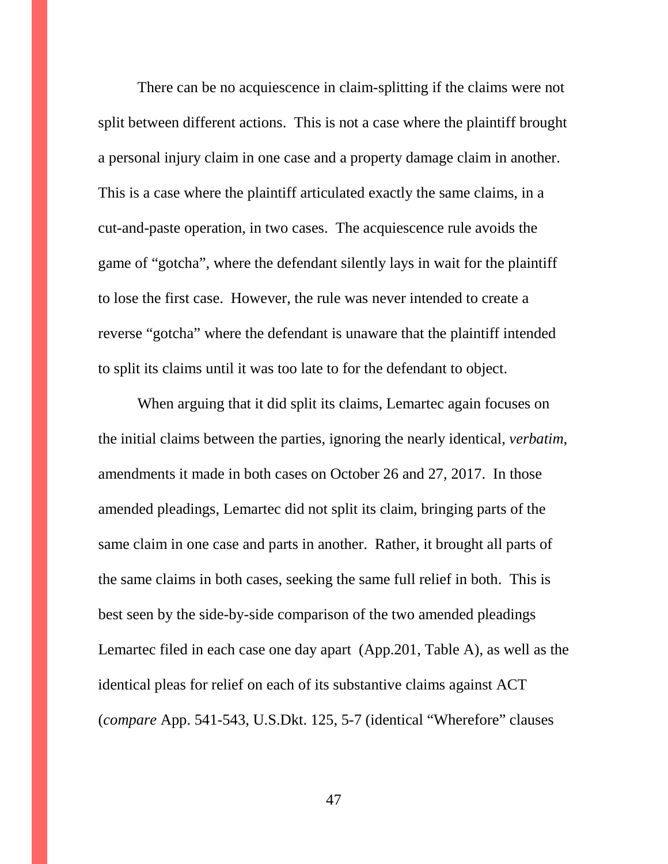There can be no acquiescence in claim-splitting if the claims were not split between different actions. This is not a case where the plaintiff brought a personal injury claim in one case and a property damage claim in another. This is a case where the plaintiff articulated exactly the same claims, in a cut-and-paste operation, in two cases. The acquiescence rule avoids the game of "gotcha", where the defendant silently lays in wait for the plaintiff to lose the first case. However, the rule was never intended to create a reverse "gotcha" where the defendant is unaware that the plaintiff intended to split its claims until it was too late to for the defendant to object.

When arguing that it did split its claims, Lemartec again focuses on the initial claims between the parties, ignoring the nearly identical, *verbatim*, amendments it made in both cases on October 26 and 27, 2017. In those amended pleadings, Lemartec did not split its claim, bringing parts of the same claim in one case and parts in another. Rather, it brought all parts of the same claims in both cases, seeking the same full relief in both. This is best seen by the side-by-side comparison of the two amended pleadings Lemartec filed in each case one day apart (App.201, Table A), as well as the identical pleas for relief on each of its substantive claims against ACT (*compare* App. 541-543, U.S.Dkt. 125, 5-7 (identical "Wherefore" clauses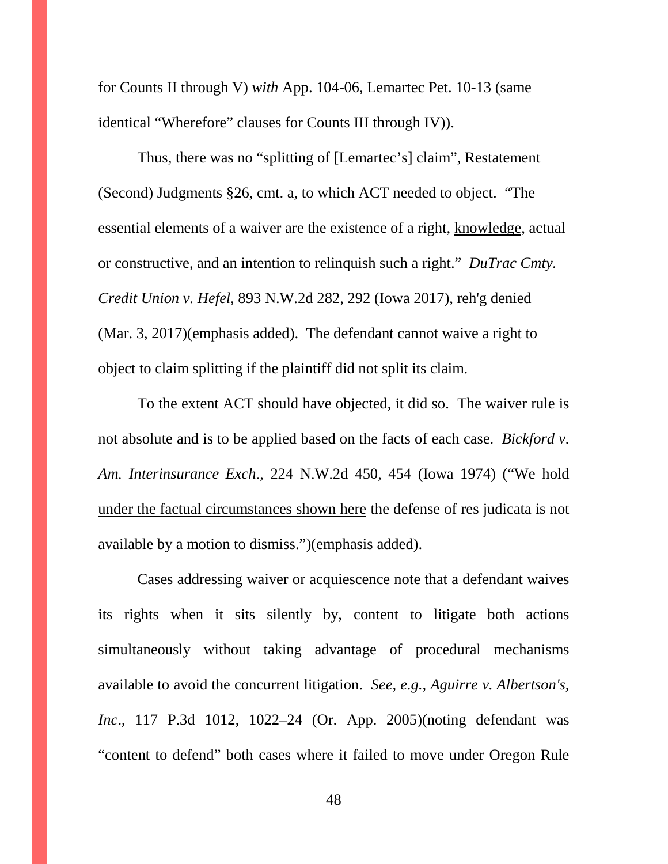for Counts II through V) *with* App. 104-06, Lemartec Pet. 10-13 (same identical "Wherefore" clauses for Counts III through IV)).

Thus, there was no "splitting of [Lemartec's] claim", Restatement (Second) Judgments §26, cmt. a, to which ACT needed to object. "The essential elements of a waiver are the existence of a right, knowledge, actual or constructive, and an intention to relinquish such a right." *DuTrac Cmty. Credit Union v. Hefel*, 893 N.W.2d 282, 292 (Iowa 2017), reh'g denied (Mar. 3, 2017)(emphasis added). The defendant cannot waive a right to object to claim splitting if the plaintiff did not split its claim.

To the extent ACT should have objected, it did so. The waiver rule is not absolute and is to be applied based on the facts of each case. *Bickford v. Am. Interinsurance Exch*., 224 N.W.2d 450, 454 (Iowa 1974) ("We hold under the factual circumstances shown here the defense of res judicata is not available by a motion to dismiss.")(emphasis added).

Cases addressing waiver or acquiescence note that a defendant waives its rights when it sits silently by, content to litigate both actions simultaneously without taking advantage of procedural mechanisms available to avoid the concurrent litigation. *See, e.g., Aguirre v. Albertson's, Inc*., 117 P.3d 1012, 1022–24 (Or. App. 2005)(noting defendant was "content to defend" both cases where it failed to move under Oregon Rule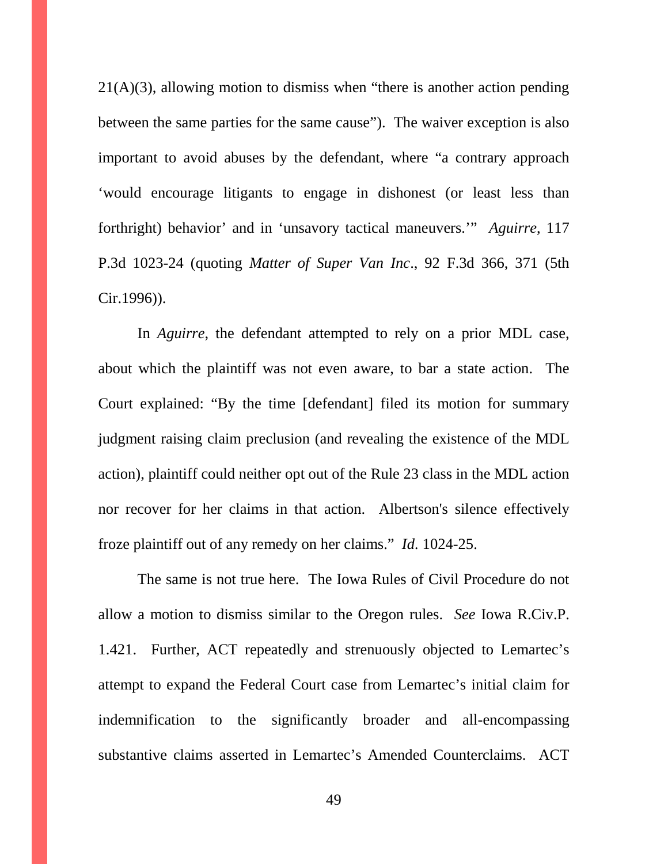$21(A)(3)$ , allowing motion to dismiss when "there is another action pending between the same parties for the same cause"). The waiver exception is also important to avoid abuses by the defendant, where "a contrary approach 'would encourage litigants to engage in dishonest (or least less than forthright) behavior' and in 'unsavory tactical maneuvers.'" *Aguirre*, 117 P.3d 1023-24 (quoting *Matter of Super Van Inc*., 92 F.3d 366, 371 (5th Cir.1996)).

In *Aguirre*, the defendant attempted to rely on a prior MDL case, about which the plaintiff was not even aware, to bar a state action. The Court explained: "By the time [defendant] filed its motion for summary judgment raising claim preclusion (and revealing the existence of the MDL action), plaintiff could neither opt out of the Rule 23 class in the MDL action nor recover for her claims in that action. Albertson's silence effectively froze plaintiff out of any remedy on her claims." *Id.* 1024-25.

The same is not true here. The Iowa Rules of Civil Procedure do not allow a motion to dismiss similar to the Oregon rules. *See* Iowa R.Civ.P. 1.421. Further, ACT repeatedly and strenuously objected to Lemartec's attempt to expand the Federal Court case from Lemartec's initial claim for indemnification to the significantly broader and all-encompassing substantive claims asserted in Lemartec's Amended Counterclaims. ACT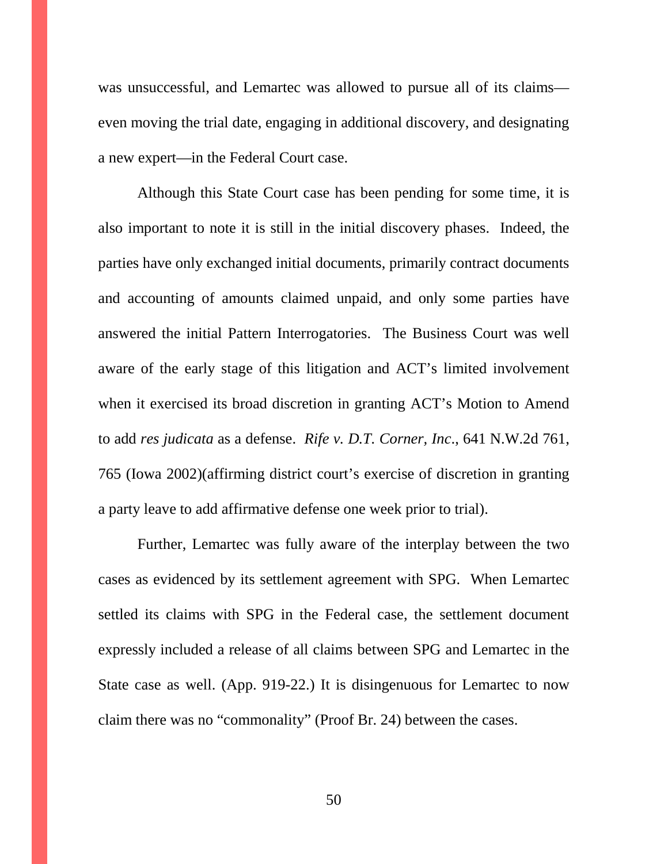was unsuccessful, and Lemartec was allowed to pursue all of its claims even moving the trial date, engaging in additional discovery, and designating a new expert—in the Federal Court case.

Although this State Court case has been pending for some time, it is also important to note it is still in the initial discovery phases. Indeed, the parties have only exchanged initial documents, primarily contract documents and accounting of amounts claimed unpaid, and only some parties have answered the initial Pattern Interrogatories. The Business Court was well aware of the early stage of this litigation and ACT's limited involvement when it exercised its broad discretion in granting ACT's Motion to Amend to add *res judicata* as a defense. *Rife v. D.T. Corner, Inc*., 641 N.W.2d 761, 765 (Iowa 2002)(affirming district court's exercise of discretion in granting a party leave to add affirmative defense one week prior to trial).

Further, Lemartec was fully aware of the interplay between the two cases as evidenced by its settlement agreement with SPG. When Lemartec settled its claims with SPG in the Federal case, the settlement document expressly included a release of all claims between SPG and Lemartec in the State case as well. (App. 919-22.) It is disingenuous for Lemartec to now claim there was no "commonality" (Proof Br. 24) between the cases.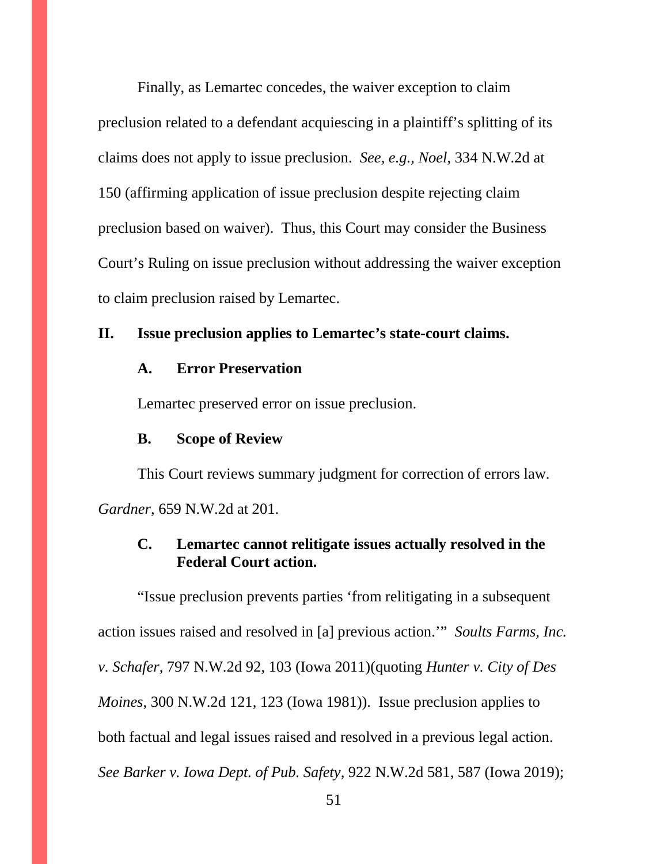Finally, as Lemartec concedes, the waiver exception to claim preclusion related to a defendant acquiescing in a plaintiff's splitting of its claims does not apply to issue preclusion. *See, e.g., Noel*, 334 N.W.2d at 150 (affirming application of issue preclusion despite rejecting claim preclusion based on waiver). Thus, this Court may consider the Business Court's Ruling on issue preclusion without addressing the waiver exception to claim preclusion raised by Lemartec.

#### **II. Issue preclusion applies to Lemartec's state-court claims.**

#### **A. Error Preservation**

Lemartec preserved error on issue preclusion.

#### **B. Scope of Review**

This Court reviews summary judgment for correction of errors law. *Gardner*, 659 N.W.2d at 201.

## **C. Lemartec cannot relitigate issues actually resolved in the Federal Court action.**

"Issue preclusion prevents parties 'from relitigating in a subsequent action issues raised and resolved in [a] previous action.'" *Soults Farms, Inc. v. Schafer*, 797 N.W.2d 92, 103 (Iowa 2011)(quoting *Hunter v. City of Des Moines*, 300 N.W.2d 121, 123 (Iowa 1981)). Issue preclusion applies to both factual and legal issues raised and resolved in a previous legal action. *See Barker v. Iowa Dept. of Pub. Safety,* 922 N.W.2d 581, 587 (Iowa 2019);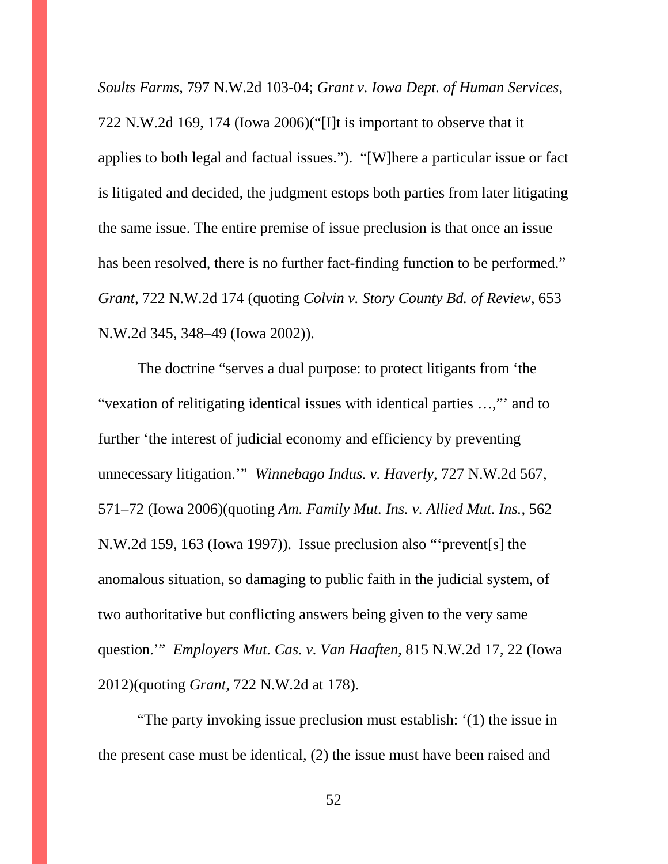*Soults Farms*, 797 N.W.2d 103-04; *Grant v. Iowa Dept. of Human Services*, 722 N.W.2d 169, 174 (Iowa 2006)("[I]t is important to observe that it applies to both legal and factual issues."). "[W]here a particular issue or fact is litigated and decided, the judgment estops both parties from later litigating the same issue. The entire premise of issue preclusion is that once an issue has been resolved, there is no further fact-finding function to be performed." *Grant*, 722 N.W.2d 174 (quoting *Colvin v. Story County Bd. of Review*, 653 N.W.2d 345, 348–49 (Iowa 2002)).

The doctrine "serves a dual purpose: to protect litigants from 'the "vexation of relitigating identical issues with identical parties …,"' and to further 'the interest of judicial economy and efficiency by preventing unnecessary litigation.'" *Winnebago Indus. v. Haverly*, 727 N.W.2d 567, 571–72 (Iowa 2006)(quoting *Am. Family Mut. Ins. v. Allied Mut. Ins.*, 562 N.W.2d 159, 163 (Iowa 1997)). Issue preclusion also "'prevent[s] the anomalous situation, so damaging to public faith in the judicial system, of two authoritative but conflicting answers being given to the very same question.'" *Employers Mut. Cas. v. Van Haaften*, 815 N.W.2d 17, 22 (Iowa 2012)(quoting *Grant*, 722 N.W.2d at 178).

"The party invoking issue preclusion must establish: '(1) the issue in the present case must be identical, (2) the issue must have been raised and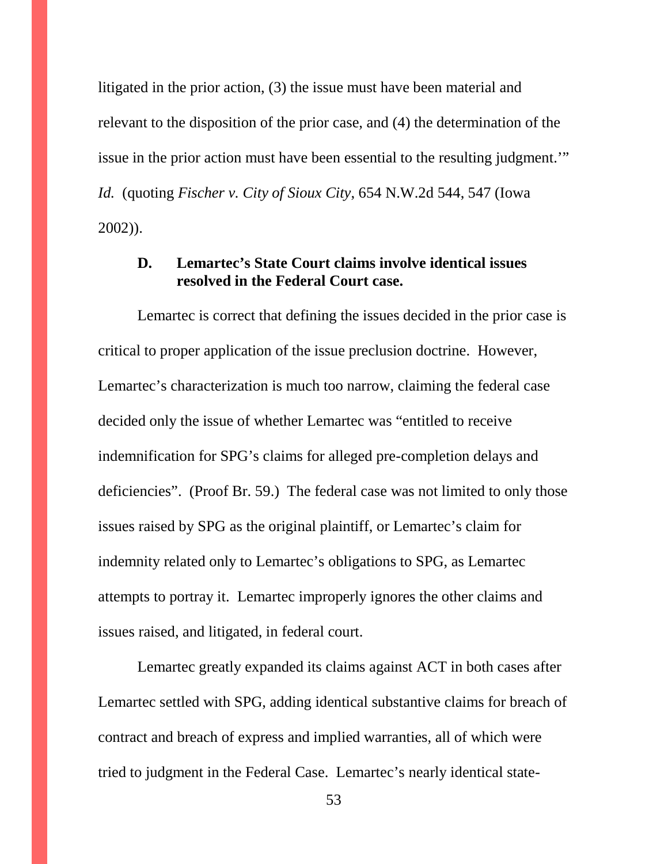litigated in the prior action, (3) the issue must have been material and relevant to the disposition of the prior case, and (4) the determination of the issue in the prior action must have been essential to the resulting judgment.'" *Id.* (quoting *Fischer v. City of Sioux City*, 654 N.W.2d 544, 547 (Iowa 2002)).

### **D. Lemartec's State Court claims involve identical issues resolved in the Federal Court case.**

Lemartec is correct that defining the issues decided in the prior case is critical to proper application of the issue preclusion doctrine. However, Lemartec's characterization is much too narrow, claiming the federal case decided only the issue of whether Lemartec was "entitled to receive indemnification for SPG's claims for alleged pre-completion delays and deficiencies". (Proof Br. 59.) The federal case was not limited to only those issues raised by SPG as the original plaintiff, or Lemartec's claim for indemnity related only to Lemartec's obligations to SPG, as Lemartec attempts to portray it. Lemartec improperly ignores the other claims and issues raised, and litigated, in federal court.

Lemartec greatly expanded its claims against ACT in both cases after Lemartec settled with SPG, adding identical substantive claims for breach of contract and breach of express and implied warranties, all of which were tried to judgment in the Federal Case. Lemartec's nearly identical state-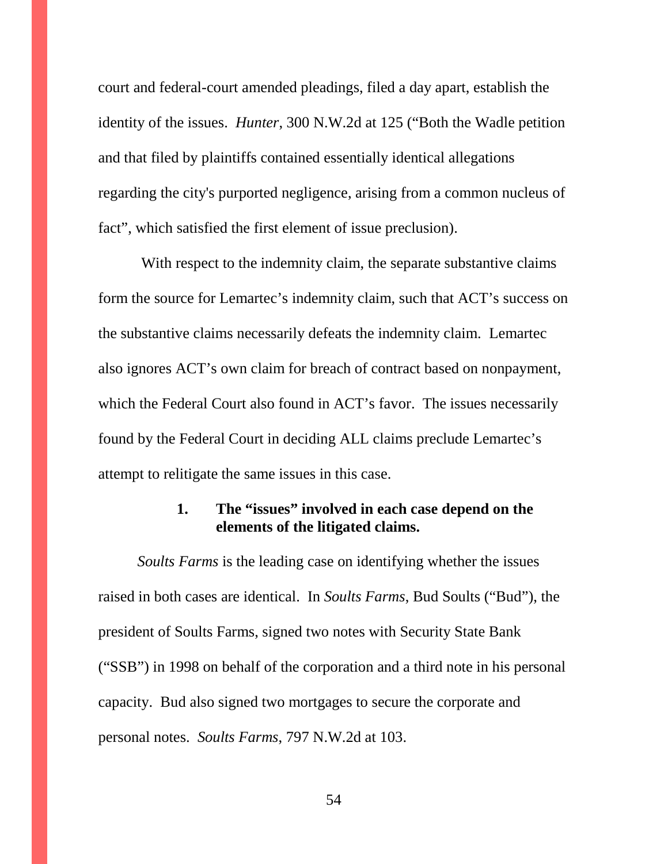court and federal-court amended pleadings, filed a day apart, establish the identity of the issues. *Hunter*, 300 N.W.2d at 125 ("Both the Wadle petition and that filed by plaintiffs contained essentially identical allegations regarding the city's purported negligence, arising from a common nucleus of fact", which satisfied the first element of issue preclusion).

With respect to the indemnity claim, the separate substantive claims form the source for Lemartec's indemnity claim, such that ACT's success on the substantive claims necessarily defeats the indemnity claim. Lemartec also ignores ACT's own claim for breach of contract based on nonpayment, which the Federal Court also found in ACT's favor. The issues necessarily found by the Federal Court in deciding ALL claims preclude Lemartec's attempt to relitigate the same issues in this case.

### **1. The "issues" involved in each case depend on the elements of the litigated claims.**

*Soults Farms* is the leading case on identifying whether the issues raised in both cases are identical. In *Soults Farms*, Bud Soults ("Bud"), the president of Soults Farms, signed two notes with Security State Bank ("SSB") in 1998 on behalf of the corporation and a third note in his personal capacity. Bud also signed two mortgages to secure the corporate and personal notes. *Soults Farms*, 797 N.W.2d at 103.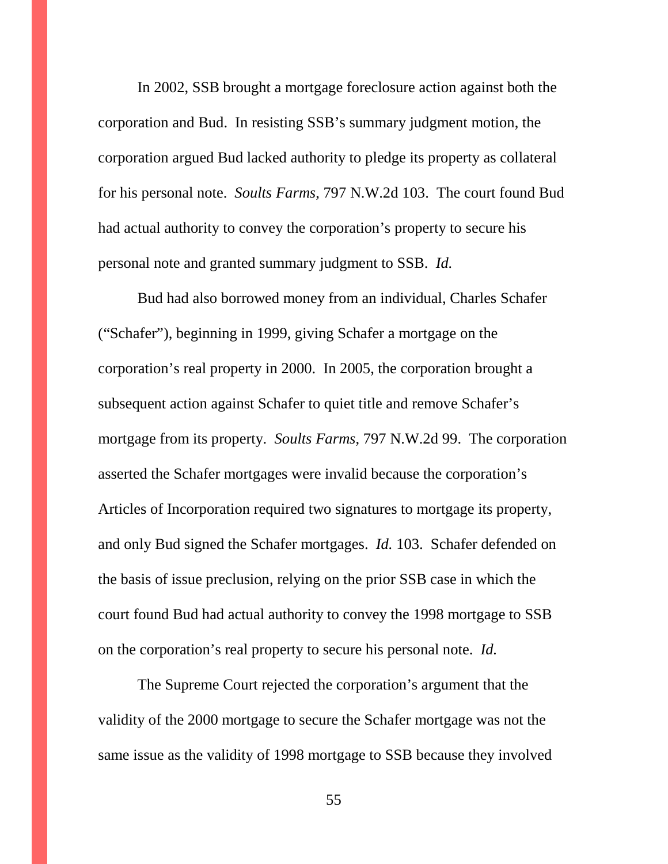In 2002, SSB brought a mortgage foreclosure action against both the corporation and Bud. In resisting SSB's summary judgment motion, the corporation argued Bud lacked authority to pledge its property as collateral for his personal note. *Soults Farms*, 797 N.W.2d 103. The court found Bud had actual authority to convey the corporation's property to secure his personal note and granted summary judgment to SSB. *Id.*

Bud had also borrowed money from an individual, Charles Schafer ("Schafer"), beginning in 1999, giving Schafer a mortgage on the corporation's real property in 2000. In 2005, the corporation brought a subsequent action against Schafer to quiet title and remove Schafer's mortgage from its property. *Soults Farms*, 797 N.W.2d 99. The corporation asserted the Schafer mortgages were invalid because the corporation's Articles of Incorporation required two signatures to mortgage its property, and only Bud signed the Schafer mortgages. *Id.* 103. Schafer defended on the basis of issue preclusion, relying on the prior SSB case in which the court found Bud had actual authority to convey the 1998 mortgage to SSB on the corporation's real property to secure his personal note. *Id.* 

The Supreme Court rejected the corporation's argument that the validity of the 2000 mortgage to secure the Schafer mortgage was not the same issue as the validity of 1998 mortgage to SSB because they involved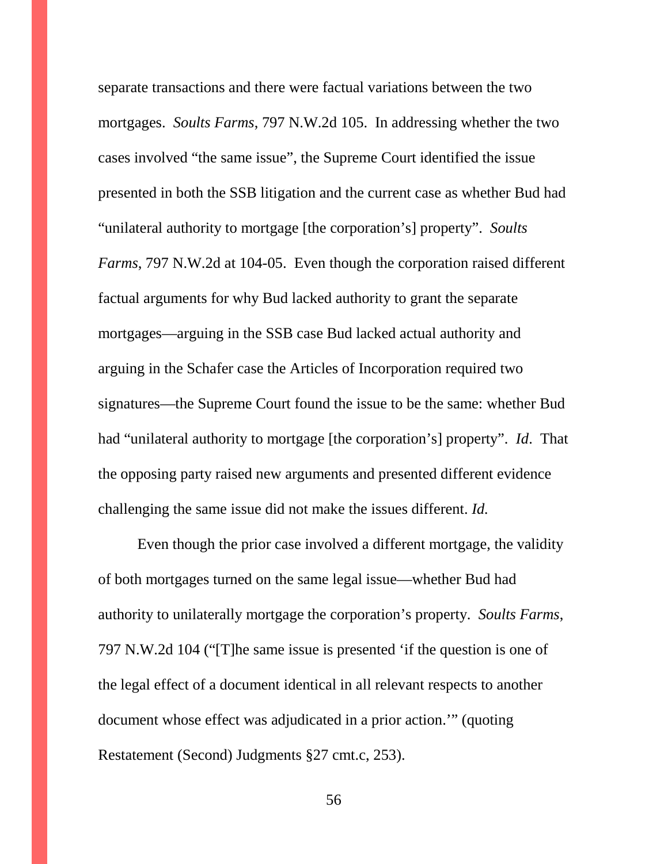separate transactions and there were factual variations between the two mortgages. *Soults Farms*, 797 N.W.2d 105. In addressing whether the two cases involved "the same issue", the Supreme Court identified the issue presented in both the SSB litigation and the current case as whether Bud had "unilateral authority to mortgage [the corporation's] property". *Soults Farms*, 797 N.W.2d at 104-05. Even though the corporation raised different factual arguments for why Bud lacked authority to grant the separate mortgages—arguing in the SSB case Bud lacked actual authority and arguing in the Schafer case the Articles of Incorporation required two signatures—the Supreme Court found the issue to be the same: whether Bud had "unilateral authority to mortgage [the corporation's] property". *Id*. That the opposing party raised new arguments and presented different evidence challenging the same issue did not make the issues different. *Id.*

Even though the prior case involved a different mortgage, the validity of both mortgages turned on the same legal issue—whether Bud had authority to unilaterally mortgage the corporation's property. *Soults Farms*, 797 N.W.2d 104 ("[T]he same issue is presented 'if the question is one of the legal effect of a document identical in all relevant respects to another document whose effect was adjudicated in a prior action.'" (quoting Restatement (Second) Judgments §27 cmt.c, 253).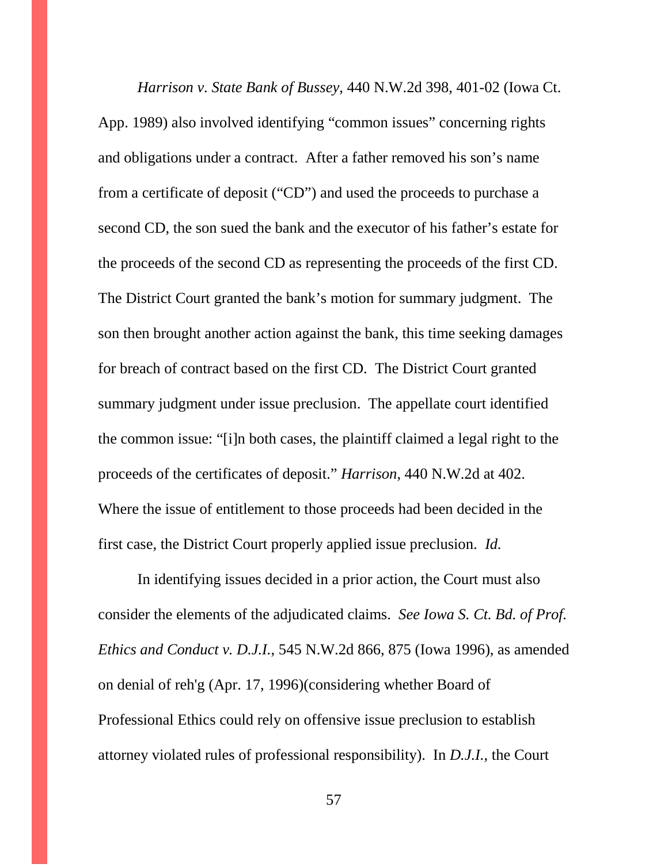*Harrison v. State Bank of Bussey,* 440 N.W.2d 398, 401-02 (Iowa Ct. App. 1989) also involved identifying "common issues" concerning rights and obligations under a contract. After a father removed his son's name from a certificate of deposit ("CD") and used the proceeds to purchase a second CD, the son sued the bank and the executor of his father's estate for the proceeds of the second CD as representing the proceeds of the first CD. The District Court granted the bank's motion for summary judgment. The son then brought another action against the bank, this time seeking damages for breach of contract based on the first CD. The District Court granted summary judgment under issue preclusion. The appellate court identified the common issue: "[i]n both cases, the plaintiff claimed a legal right to the proceeds of the certificates of deposit." *Harrison*, 440 N.W.2d at 402. Where the issue of entitlement to those proceeds had been decided in the first case, the District Court properly applied issue preclusion. *Id.*

In identifying issues decided in a prior action, the Court must also consider the elements of the adjudicated claims. *See Iowa S. Ct. Bd. of Prof. Ethics and Conduct v. D.J.I.*, 545 N.W.2d 866, 875 (Iowa 1996), as amended on denial of reh'g (Apr. 17, 1996)(considering whether Board of Professional Ethics could rely on offensive issue preclusion to establish attorney violated rules of professional responsibility). In *D.J.I.*, the Court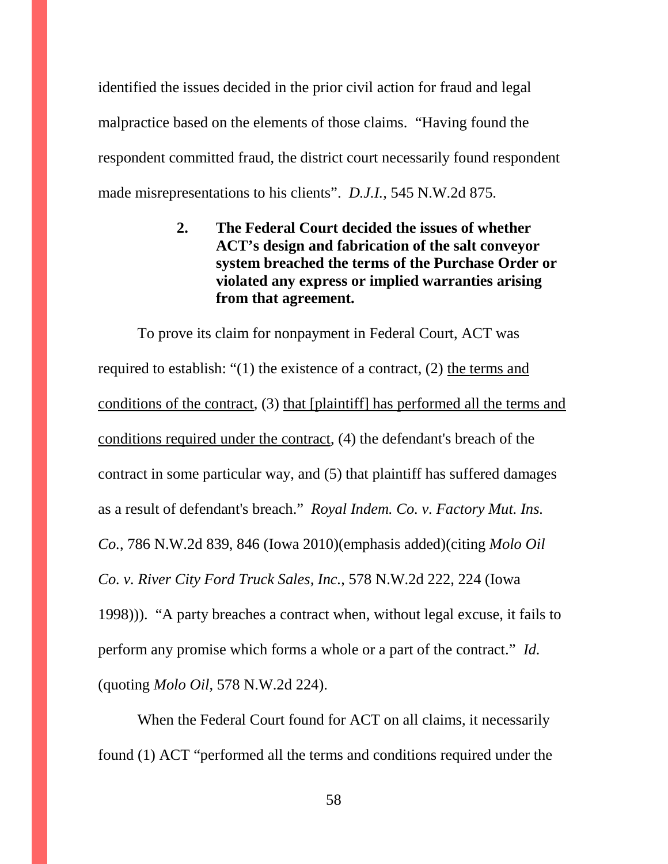identified the issues decided in the prior civil action for fraud and legal malpractice based on the elements of those claims. "Having found the respondent committed fraud, the district court necessarily found respondent made misrepresentations to his clients". *D.J.I.*, 545 N.W.2d 875.

> **2. The Federal Court decided the issues of whether ACT's design and fabrication of the salt conveyor system breached the terms of the Purchase Order or violated any express or implied warranties arising from that agreement.**

To prove its claim for nonpayment in Federal Court, ACT was required to establish: "(1) the existence of a contract, (2) the terms and conditions of the contract, (3) that [plaintiff] has performed all the terms and conditions required under the contract, (4) the defendant's breach of the contract in some particular way, and (5) that plaintiff has suffered damages as a result of defendant's breach." *Royal Indem. Co. v. Factory Mut. Ins. Co.*, 786 N.W.2d 839, 846 (Iowa 2010)(emphasis added)(citing *Molo Oil Co. v. River City Ford Truck Sales, Inc.*, 578 N.W.2d 222, 224 (Iowa 1998))). "A party breaches a contract when, without legal excuse, it fails to perform any promise which forms a whole or a part of the contract." *Id.* (quoting *Molo Oil*, 578 N.W.2d 224).

When the Federal Court found for ACT on all claims, it necessarily found (1) ACT "performed all the terms and conditions required under the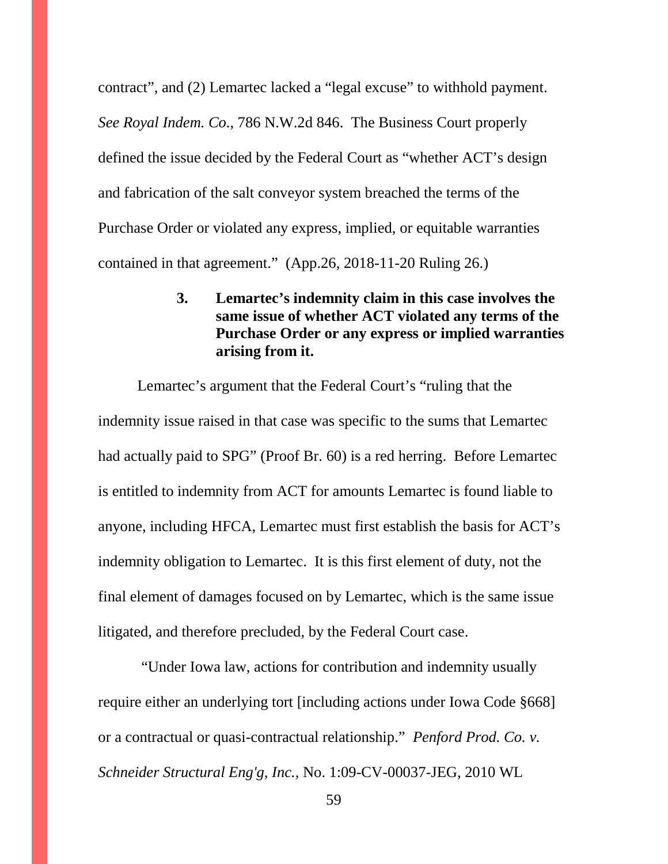contract", and (2) Lemartec lacked a "legal excuse" to withhold payment. *See Royal Indem. Co*., 786 N.W.2d 846. The Business Court properly defined the issue decided by the Federal Court as "whether ACT's design and fabrication of the salt conveyor system breached the terms of the Purchase Order or violated any express, implied, or equitable warranties contained in that agreement." (App.26, 2018-11-20 Ruling 26.)

## **3. Lemartec's indemnity claim in this case involves the same issue of whether ACT violated any terms of the Purchase Order or any express or implied warranties arising from it.**

Lemartec's argument that the Federal Court's "ruling that the indemnity issue raised in that case was specific to the sums that Lemartec had actually paid to SPG" (Proof Br. 60) is a red herring. Before Lemartec is entitled to indemnity from ACT for amounts Lemartec is found liable to anyone, including HFCA, Lemartec must first establish the basis for ACT's indemnity obligation to Lemartec. It is this first element of duty, not the final element of damages focused on by Lemartec, which is the same issue litigated, and therefore precluded, by the Federal Court case.

"Under Iowa law, actions for contribution and indemnity usually require either an underlying tort [including actions under Iowa Code §668] or a contractual or quasi-contractual relationship." *Penford Prod. Co. v. Schneider Structural Eng'g, Inc.,* No. 1:09-CV-00037-JEG, 2010 WL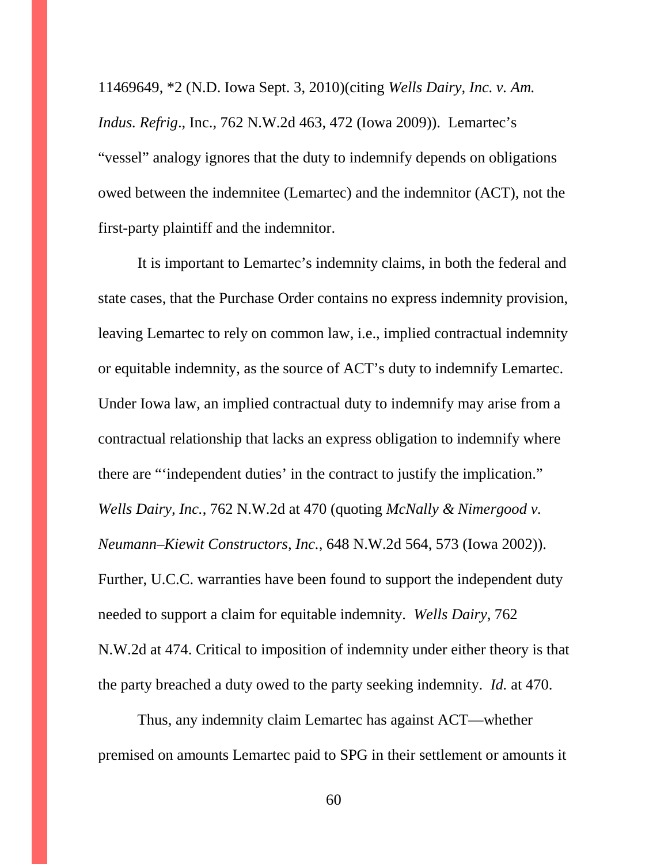11469649, \*2 (N.D. Iowa Sept. 3, 2010)(citing *Wells Dairy, Inc. v. Am. Indus. Refrig*., Inc., 762 N.W.2d 463, 472 (Iowa 2009)). Lemartec's "vessel" analogy ignores that the duty to indemnify depends on obligations owed between the indemnitee (Lemartec) and the indemnitor (ACT), not the first-party plaintiff and the indemnitor.

It is important to Lemartec's indemnity claims, in both the federal and state cases, that the Purchase Order contains no express indemnity provision, leaving Lemartec to rely on common law, i.e., implied contractual indemnity or equitable indemnity, as the source of ACT's duty to indemnify Lemartec. Under Iowa law, an implied contractual duty to indemnify may arise from a contractual relationship that lacks an express obligation to indemnify where there are "'independent duties' in the contract to justify the implication." *Wells Dairy, Inc.*, 762 N.W.2d at 470 (quoting *McNally & Nimergood v. Neumann–Kiewit Constructors, Inc.*, 648 N.W.2d 564, 573 (Iowa 2002)). Further, U.C.C. warranties have been found to support the independent duty needed to support a claim for equitable indemnity. *Wells Dairy*, 762 N.W.2d at 474. Critical to imposition of indemnity under either theory is that the party breached a duty owed to the party seeking indemnity. *Id.* at 470.

Thus, any indemnity claim Lemartec has against ACT—whether premised on amounts Lemartec paid to SPG in their settlement or amounts it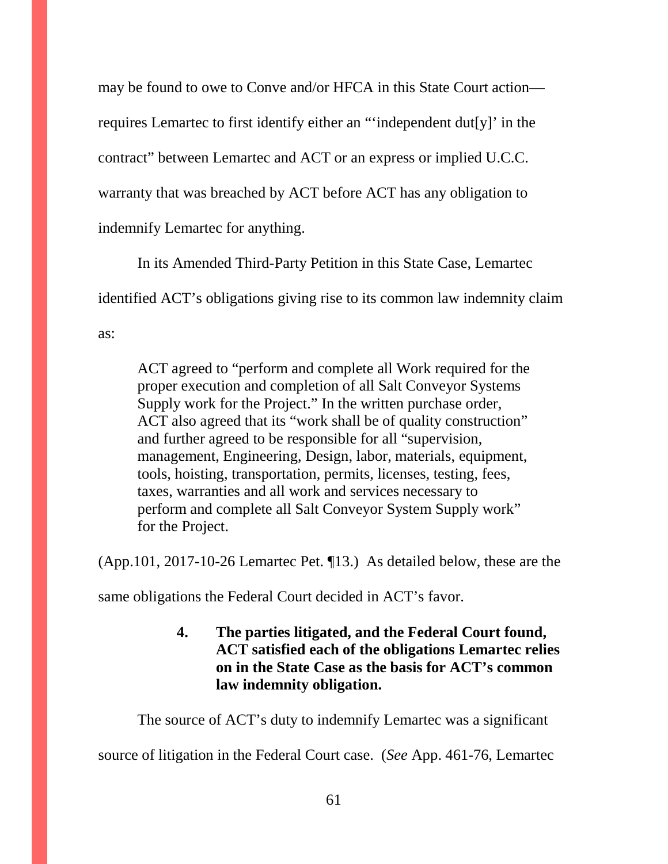may be found to owe to Conve and/or HFCA in this State Court action requires Lemartec to first identify either an "'independent dut[y]' in the contract" between Lemartec and ACT or an express or implied U.C.C. warranty that was breached by ACT before ACT has any obligation to indemnify Lemartec for anything.

In its Amended Third-Party Petition in this State Case, Lemartec identified ACT's obligations giving rise to its common law indemnity claim as:

ACT agreed to "perform and complete all Work required for the proper execution and completion of all Salt Conveyor Systems Supply work for the Project." In the written purchase order, ACT also agreed that its "work shall be of quality construction" and further agreed to be responsible for all "supervision, management, Engineering, Design, labor, materials, equipment, tools, hoisting, transportation, permits, licenses, testing, fees, taxes, warranties and all work and services necessary to perform and complete all Salt Conveyor System Supply work" for the Project.

(App.101, 2017-10-26 Lemartec Pet. ¶13.) As detailed below, these are the

same obligations the Federal Court decided in ACT's favor.

# **4. The parties litigated, and the Federal Court found, ACT satisfied each of the obligations Lemartec relies on in the State Case as the basis for ACT's common law indemnity obligation.**

The source of ACT's duty to indemnify Lemartec was a significant source of litigation in the Federal Court case. (*See* App. 461-76, Lemartec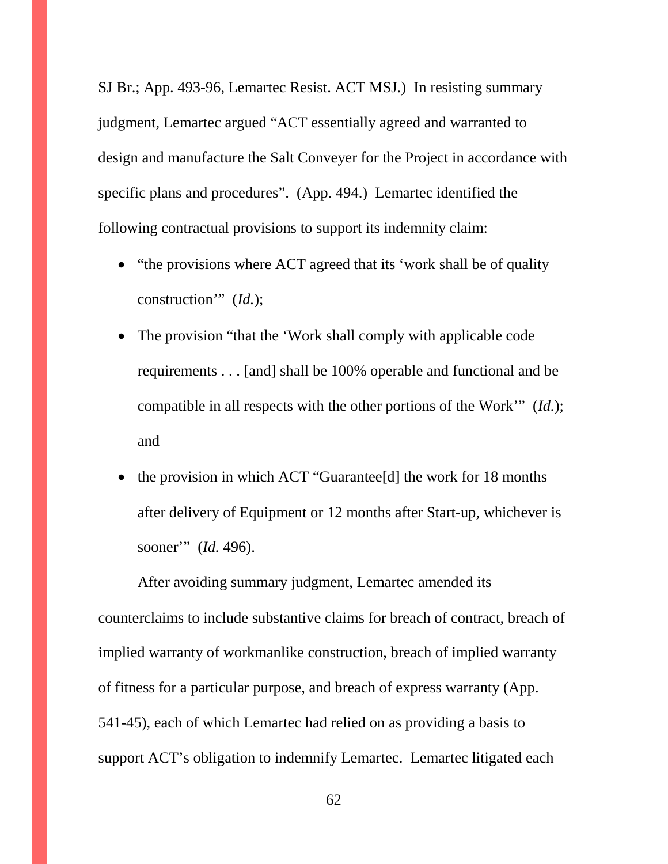SJ Br.; App. 493-96, Lemartec Resist. ACT MSJ.) In resisting summary judgment, Lemartec argued "ACT essentially agreed and warranted to design and manufacture the Salt Conveyer for the Project in accordance with specific plans and procedures". (App. 494.) Lemartec identified the following contractual provisions to support its indemnity claim:

- "the provisions where ACT agreed that its 'work shall be of quality construction'" (*Id.*);
- The provision "that the 'Work shall comply with applicable code" requirements . . . [and] shall be 100% operable and functional and be compatible in all respects with the other portions of the Work'" (*Id.*); and
- the provision in which ACT "Guarantee<sup>[d]</sup> the work for 18 months after delivery of Equipment or 12 months after Start-up, whichever is sooner'" (*Id.* 496).

After avoiding summary judgment, Lemartec amended its counterclaims to include substantive claims for breach of contract, breach of implied warranty of workmanlike construction, breach of implied warranty of fitness for a particular purpose, and breach of express warranty (App. 541-45), each of which Lemartec had relied on as providing a basis to support ACT's obligation to indemnify Lemartec. Lemartec litigated each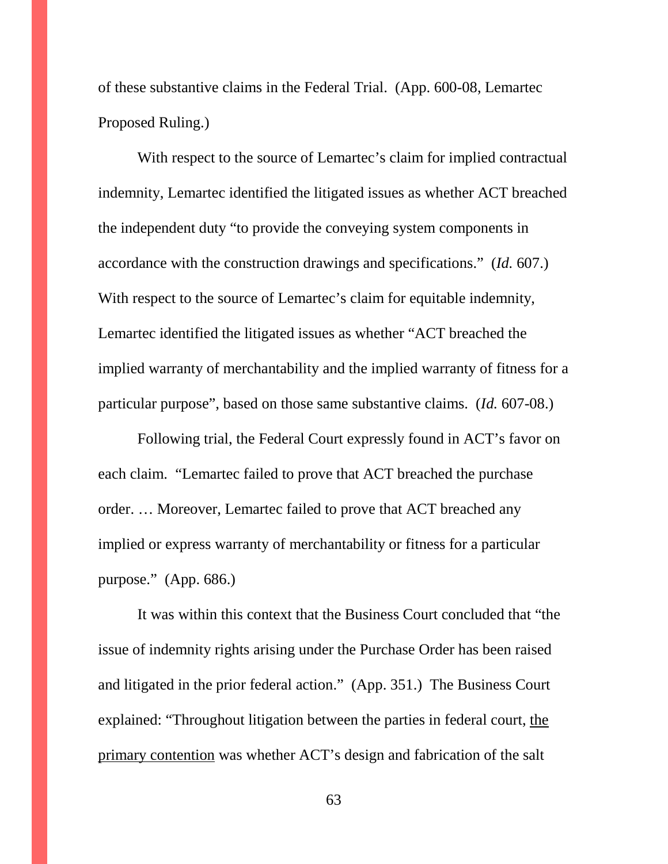of these substantive claims in the Federal Trial. (App. 600-08, Lemartec Proposed Ruling.)

With respect to the source of Lemartec's claim for implied contractual indemnity, Lemartec identified the litigated issues as whether ACT breached the independent duty "to provide the conveying system components in accordance with the construction drawings and specifications." (*Id.* 607.) With respect to the source of Lemartec's claim for equitable indemnity, Lemartec identified the litigated issues as whether "ACT breached the implied warranty of merchantability and the implied warranty of fitness for a particular purpose", based on those same substantive claims. (*Id.* 607-08.)

Following trial, the Federal Court expressly found in ACT's favor on each claim. "Lemartec failed to prove that ACT breached the purchase order. … Moreover, Lemartec failed to prove that ACT breached any implied or express warranty of merchantability or fitness for a particular purpose." (App. 686.)

It was within this context that the Business Court concluded that "the issue of indemnity rights arising under the Purchase Order has been raised and litigated in the prior federal action." (App. 351.) The Business Court explained: "Throughout litigation between the parties in federal court, the primary contention was whether ACT's design and fabrication of the salt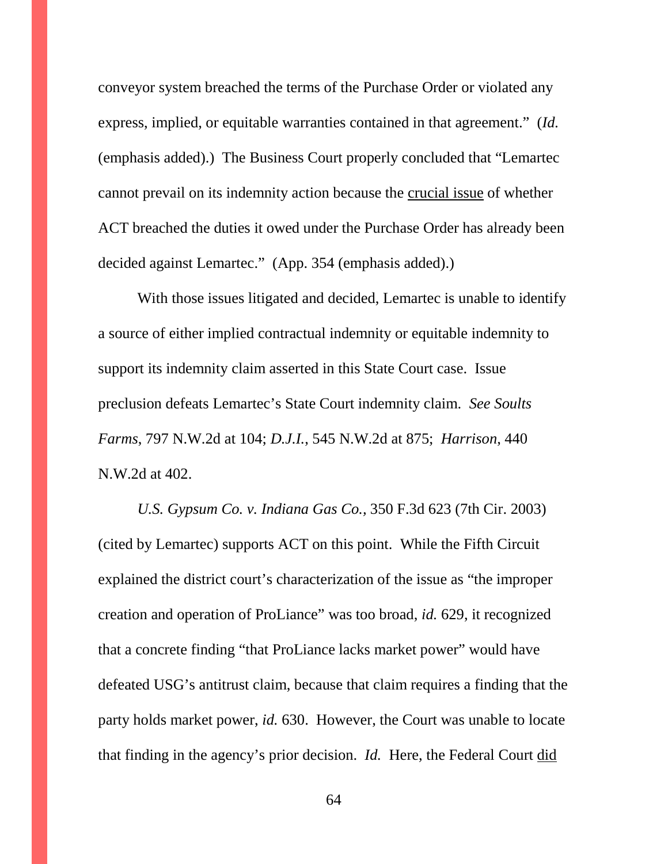conveyor system breached the terms of the Purchase Order or violated any express, implied, or equitable warranties contained in that agreement." (*Id.*  (emphasis added).) The Business Court properly concluded that "Lemartec cannot prevail on its indemnity action because the crucial issue of whether ACT breached the duties it owed under the Purchase Order has already been decided against Lemartec." (App. 354 (emphasis added).)

With those issues litigated and decided, Lemartec is unable to identify a source of either implied contractual indemnity or equitable indemnity to support its indemnity claim asserted in this State Court case. Issue preclusion defeats Lemartec's State Court indemnity claim. *See Soults Farms*, 797 N.W.2d at 104; *D.J.I.*, 545 N.W.2d at 875; *Harrison*, 440 N.W.2d at 402.

*U.S. Gypsum Co. v. Indiana Gas Co.,* 350 F.3d 623 (7th Cir. 2003) (cited by Lemartec) supports ACT on this point. While the Fifth Circuit explained the district court's characterization of the issue as "the improper creation and operation of ProLiance" was too broad, *id.* 629, it recognized that a concrete finding "that ProLiance lacks market power" would have defeated USG's antitrust claim, because that claim requires a finding that the party holds market power, *id.* 630. However, the Court was unable to locate that finding in the agency's prior decision. *Id.* Here, the Federal Court did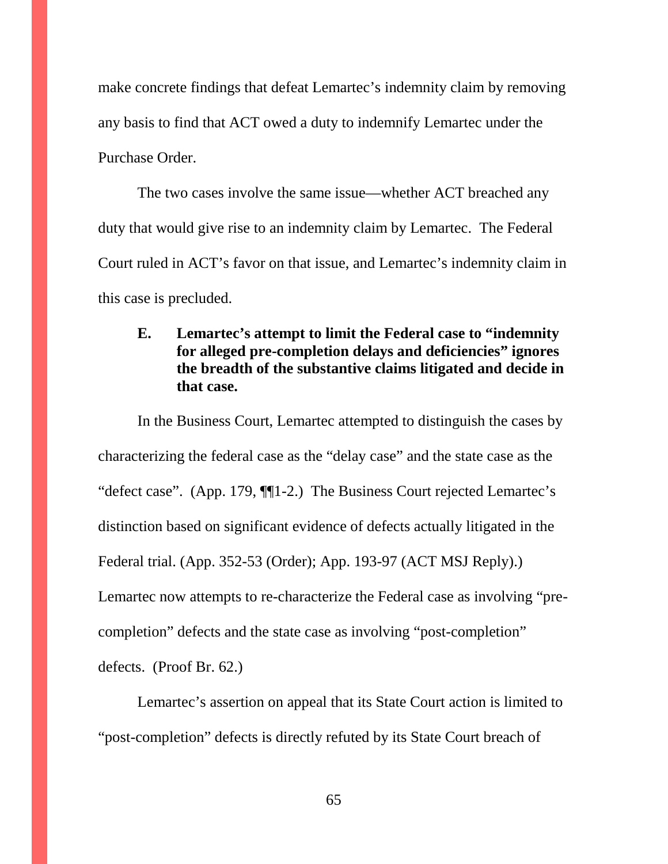make concrete findings that defeat Lemartec's indemnity claim by removing any basis to find that ACT owed a duty to indemnify Lemartec under the Purchase Order.

The two cases involve the same issue—whether ACT breached any duty that would give rise to an indemnity claim by Lemartec. The Federal Court ruled in ACT's favor on that issue, and Lemartec's indemnity claim in this case is precluded.

## **E. Lemartec's attempt to limit the Federal case to "indemnity for alleged pre-completion delays and deficiencies" ignores the breadth of the substantive claims litigated and decide in that case.**

In the Business Court, Lemartec attempted to distinguish the cases by characterizing the federal case as the "delay case" and the state case as the "defect case". (App. 179, ¶¶1-2.) The Business Court rejected Lemartec's distinction based on significant evidence of defects actually litigated in the Federal trial. (App. 352-53 (Order); App. 193-97 (ACT MSJ Reply).) Lemartec now attempts to re-characterize the Federal case as involving "precompletion" defects and the state case as involving "post-completion" defects. (Proof Br. 62.)

Lemartec's assertion on appeal that its State Court action is limited to "post-completion" defects is directly refuted by its State Court breach of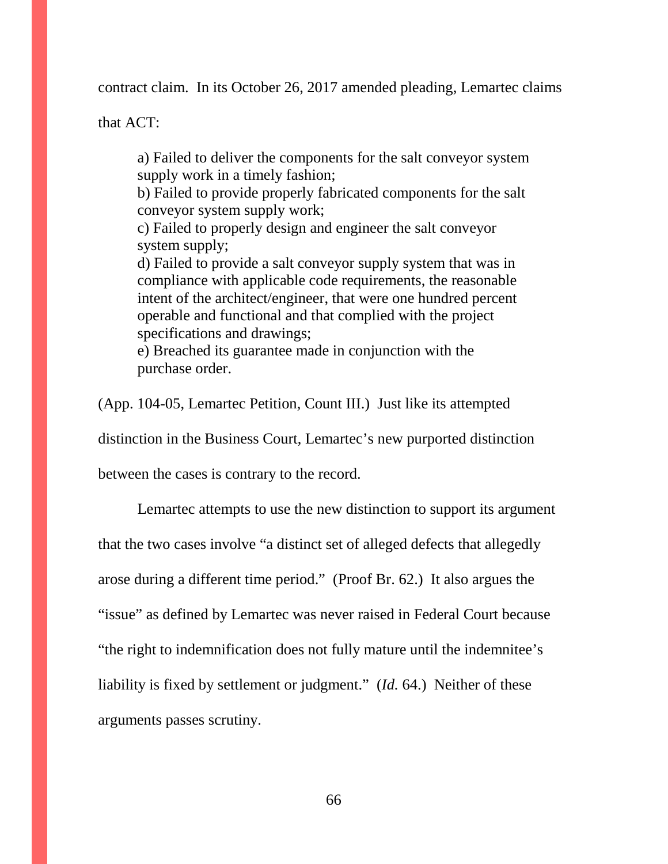contract claim. In its October 26, 2017 amended pleading, Lemartec claims

that ACT:

a) Failed to deliver the components for the salt conveyor system supply work in a timely fashion;

b) Failed to provide properly fabricated components for the salt conveyor system supply work;

c) Failed to properly design and engineer the salt conveyor system supply;

d) Failed to provide a salt conveyor supply system that was in compliance with applicable code requirements, the reasonable intent of the architect/engineer, that were one hundred percent operable and functional and that complied with the project specifications and drawings;

e) Breached its guarantee made in conjunction with the purchase order.

(App. 104-05, Lemartec Petition, Count III.) Just like its attempted

distinction in the Business Court, Lemartec's new purported distinction

between the cases is contrary to the record.

Lemartec attempts to use the new distinction to support its argument that the two cases involve "a distinct set of alleged defects that allegedly arose during a different time period." (Proof Br. 62.) It also argues the "issue" as defined by Lemartec was never raised in Federal Court because "the right to indemnification does not fully mature until the indemnitee's liability is fixed by settlement or judgment." (*Id.* 64.) Neither of these arguments passes scrutiny.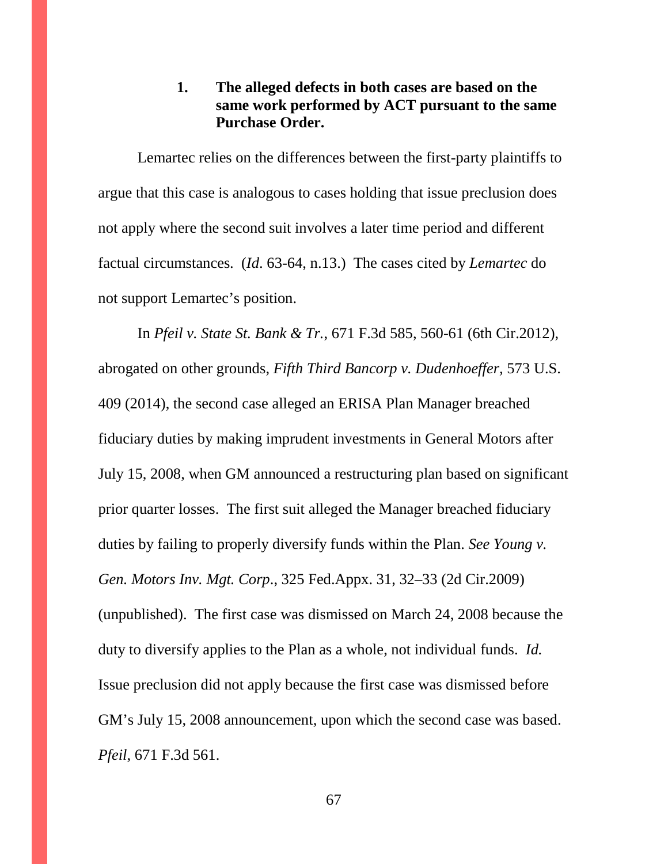#### **1. The alleged defects in both cases are based on the same work performed by ACT pursuant to the same Purchase Order.**

Lemartec relies on the differences between the first-party plaintiffs to argue that this case is analogous to cases holding that issue preclusion does not apply where the second suit involves a later time period and different factual circumstances. (*Id*. 63-64, n.13.) The cases cited by *Lemartec* do not support Lemartec's position.

In *Pfeil v. State St. Bank & Tr.*, 671 F.3d 585, 560-61 (6th Cir.2012), abrogated on other grounds, *Fifth Third Bancorp v. Dudenhoeffer,* 573 U.S. 409 (2014), the second case alleged an ERISA Plan Manager breached fiduciary duties by making imprudent investments in General Motors after July 15, 2008, when GM announced a restructuring plan based on significant prior quarter losses. The first suit alleged the Manager breached fiduciary duties by failing to properly diversify funds within the Plan. *See Young v. Gen. Motors Inv. Mgt. Corp*., 325 Fed.Appx. 31, 32–33 (2d Cir.2009) (unpublished). The first case was dismissed on March 24, 2008 because the duty to diversify applies to the Plan as a whole, not individual funds. *Id.* Issue preclusion did not apply because the first case was dismissed before GM's July 15, 2008 announcement, upon which the second case was based. *Pfeil*, 671 F.3d 561.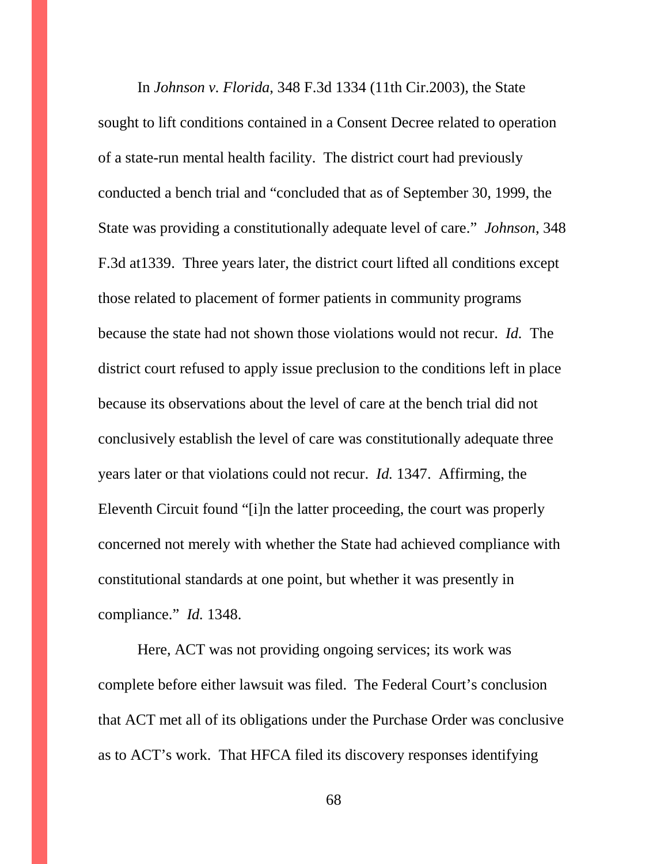In *Johnson v. Florida*, 348 F.3d 1334 (11th Cir.2003), the State sought to lift conditions contained in a Consent Decree related to operation of a state-run mental health facility. The district court had previously conducted a bench trial and "concluded that as of September 30, 1999, the State was providing a constitutionally adequate level of care." *Johnson*, 348 F.3d at1339. Three years later, the district court lifted all conditions except those related to placement of former patients in community programs because the state had not shown those violations would not recur. *Id.* The district court refused to apply issue preclusion to the conditions left in place because its observations about the level of care at the bench trial did not conclusively establish the level of care was constitutionally adequate three years later or that violations could not recur. *Id.* 1347. Affirming, the Eleventh Circuit found "[i]n the latter proceeding, the court was properly concerned not merely with whether the State had achieved compliance with constitutional standards at one point, but whether it was presently in compliance." *Id.* 1348.

Here, ACT was not providing ongoing services; its work was complete before either lawsuit was filed. The Federal Court's conclusion that ACT met all of its obligations under the Purchase Order was conclusive as to ACT's work. That HFCA filed its discovery responses identifying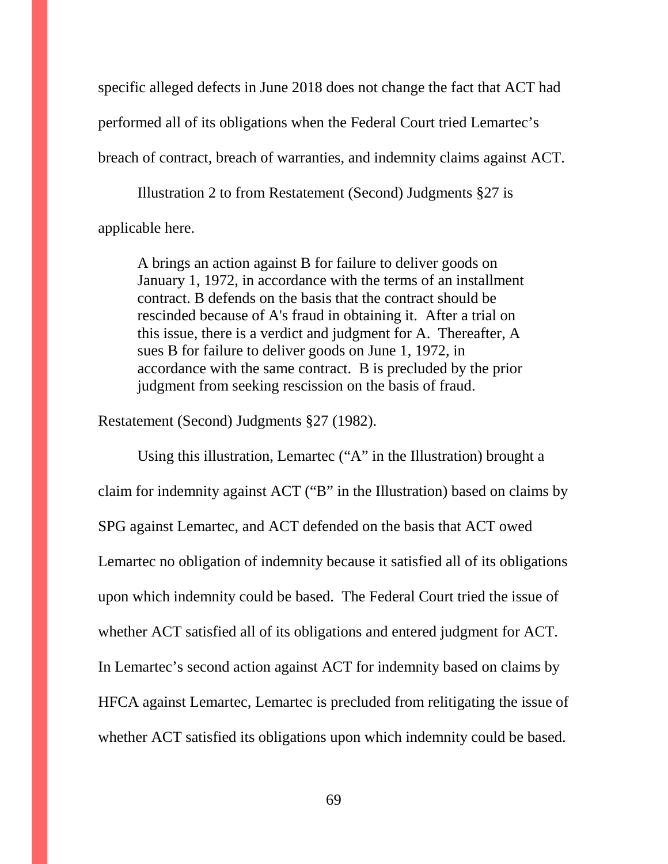specific alleged defects in June 2018 does not change the fact that ACT had performed all of its obligations when the Federal Court tried Lemartec's breach of contract, breach of warranties, and indemnity claims against ACT.

Illustration 2 to from Restatement (Second) Judgments §27 is applicable here.

A brings an action against B for failure to deliver goods on January 1, 1972, in accordance with the terms of an installment contract. B defends on the basis that the contract should be rescinded because of A's fraud in obtaining it. After a trial on this issue, there is a verdict and judgment for A. Thereafter, A sues B for failure to deliver goods on June 1, 1972, in accordance with the same contract. B is precluded by the prior judgment from seeking rescission on the basis of fraud.

Restatement (Second) Judgments §27 (1982).

Using this illustration, Lemartec ("A" in the Illustration) brought a claim for indemnity against ACT ("B" in the Illustration) based on claims by SPG against Lemartec, and ACT defended on the basis that ACT owed Lemartec no obligation of indemnity because it satisfied all of its obligations upon which indemnity could be based. The Federal Court tried the issue of whether ACT satisfied all of its obligations and entered judgment for ACT. In Lemartec's second action against ACT for indemnity based on claims by HFCA against Lemartec, Lemartec is precluded from relitigating the issue of whether ACT satisfied its obligations upon which indemnity could be based.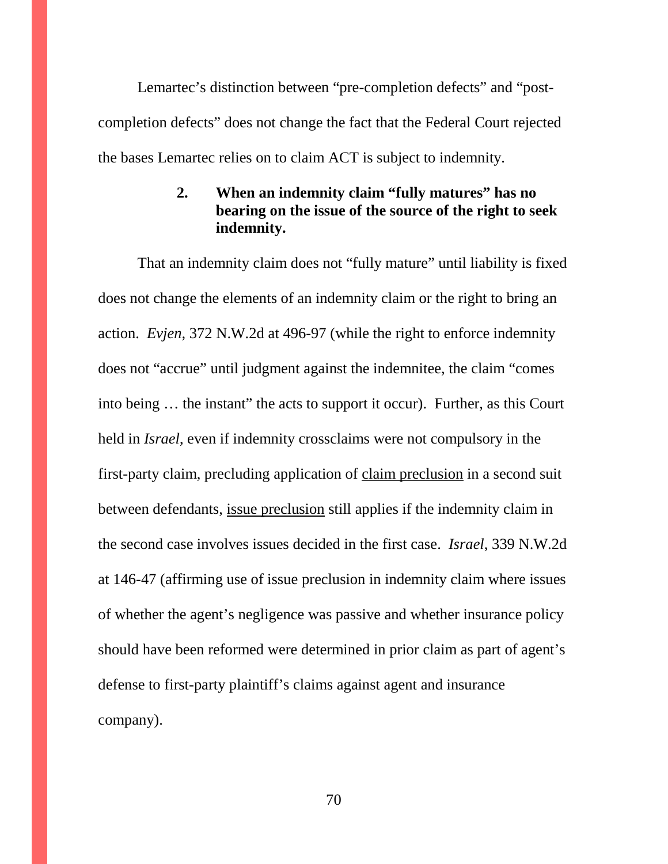Lemartec's distinction between "pre-completion defects" and "postcompletion defects" does not change the fact that the Federal Court rejected the bases Lemartec relies on to claim ACT is subject to indemnity.

## **2. When an indemnity claim "fully matures" has no bearing on the issue of the source of the right to seek indemnity.**

That an indemnity claim does not "fully mature" until liability is fixed does not change the elements of an indemnity claim or the right to bring an action. *Evjen,* 372 N.W.2d at 496-97 (while the right to enforce indemnity does not "accrue" until judgment against the indemnitee, the claim "comes into being … the instant" the acts to support it occur). Further, as this Court held in *Israel*, even if indemnity crossclaims were not compulsory in the first-party claim, precluding application of claim preclusion in a second suit between defendants, issue preclusion still applies if the indemnity claim in the second case involves issues decided in the first case. *Israel*, 339 N.W.2d at 146-47 (affirming use of issue preclusion in indemnity claim where issues of whether the agent's negligence was passive and whether insurance policy should have been reformed were determined in prior claim as part of agent's defense to first-party plaintiff's claims against agent and insurance company).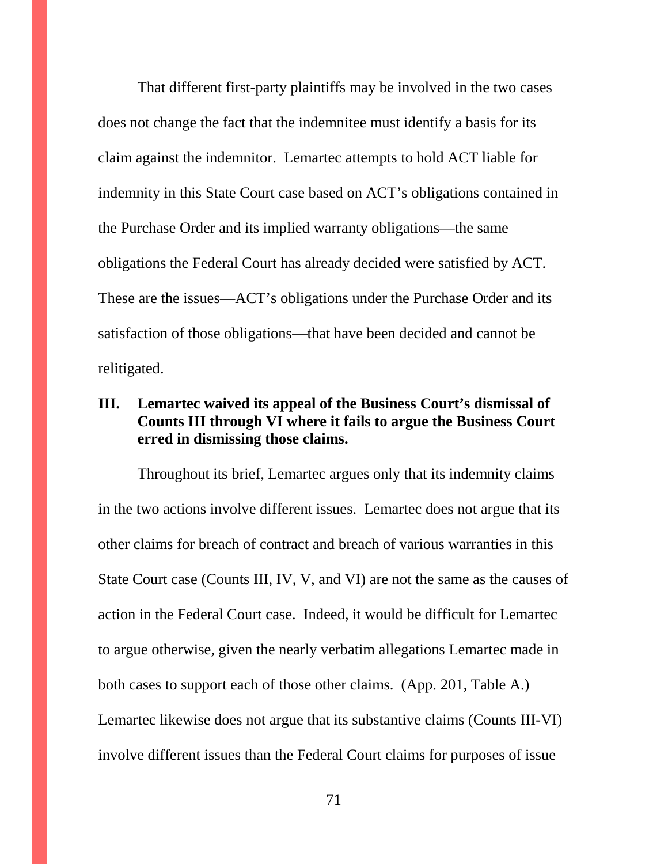That different first-party plaintiffs may be involved in the two cases does not change the fact that the indemnitee must identify a basis for its claim against the indemnitor. Lemartec attempts to hold ACT liable for indemnity in this State Court case based on ACT's obligations contained in the Purchase Order and its implied warranty obligations—the same obligations the Federal Court has already decided were satisfied by ACT. These are the issues—ACT's obligations under the Purchase Order and its satisfaction of those obligations—that have been decided and cannot be relitigated.

### **III. Lemartec waived its appeal of the Business Court's dismissal of Counts III through VI where it fails to argue the Business Court erred in dismissing those claims.**

Throughout its brief, Lemartec argues only that its indemnity claims in the two actions involve different issues. Lemartec does not argue that its other claims for breach of contract and breach of various warranties in this State Court case (Counts III, IV, V, and VI) are not the same as the causes of action in the Federal Court case. Indeed, it would be difficult for Lemartec to argue otherwise, given the nearly verbatim allegations Lemartec made in both cases to support each of those other claims. (App. 201, Table A.) Lemartec likewise does not argue that its substantive claims (Counts III-VI) involve different issues than the Federal Court claims for purposes of issue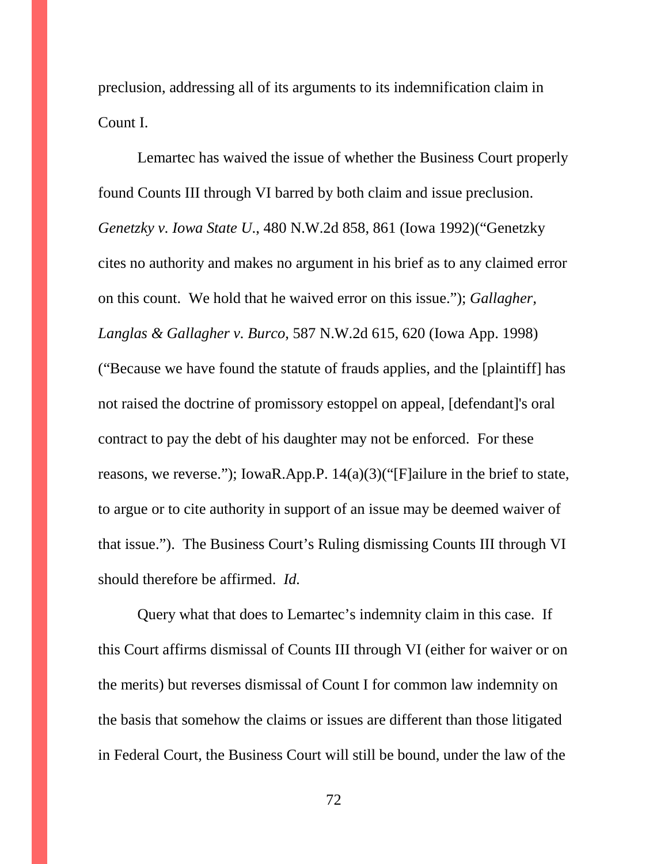preclusion, addressing all of its arguments to its indemnification claim in Count I.

Lemartec has waived the issue of whether the Business Court properly found Counts III through VI barred by both claim and issue preclusion. *Genetzky v. Iowa State U*., 480 N.W.2d 858, 861 (Iowa 1992)("Genetzky cites no authority and makes no argument in his brief as to any claimed error on this count. We hold that he waived error on this issue."); *Gallagher, Langlas & Gallagher v. Burco*, 587 N.W.2d 615, 620 (Iowa App. 1998) ("Because we have found the statute of frauds applies, and the [plaintiff] has not raised the doctrine of promissory estoppel on appeal, [defendant]'s oral contract to pay the debt of his daughter may not be enforced. For these reasons, we reverse."); IowaR.App.P. 14(a)(3)("[F]ailure in the brief to state, to argue or to cite authority in support of an issue may be deemed waiver of that issue."). The Business Court's Ruling dismissing Counts III through VI should therefore be affirmed. *Id.*

Query what that does to Lemartec's indemnity claim in this case. If this Court affirms dismissal of Counts III through VI (either for waiver or on the merits) but reverses dismissal of Count I for common law indemnity on the basis that somehow the claims or issues are different than those litigated in Federal Court, the Business Court will still be bound, under the law of the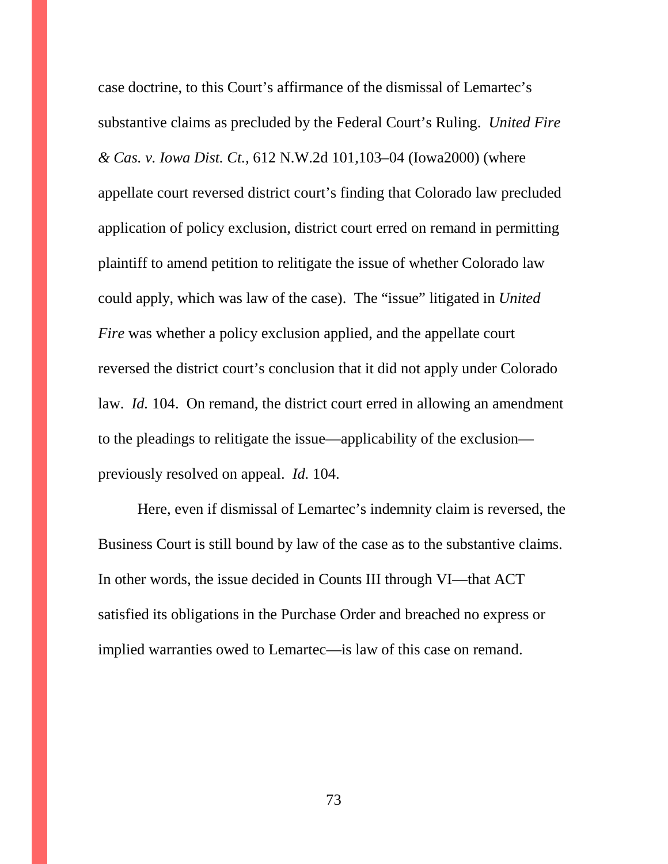case doctrine, to this Court's affirmance of the dismissal of Lemartec's substantive claims as precluded by the Federal Court's Ruling. *United Fire & Cas. v. Iowa Dist. Ct.,* 612 N.W.2d 101,103–04 (Iowa2000) (where appellate court reversed district court's finding that Colorado law precluded application of policy exclusion, district court erred on remand in permitting plaintiff to amend petition to relitigate the issue of whether Colorado law could apply, which was law of the case). The "issue" litigated in *United Fire* was whether a policy exclusion applied, and the appellate court reversed the district court's conclusion that it did not apply under Colorado law. *Id.* 104. On remand, the district court erred in allowing an amendment to the pleadings to relitigate the issue—applicability of the exclusion previously resolved on appeal. *Id.* 104.

Here, even if dismissal of Lemartec's indemnity claim is reversed, the Business Court is still bound by law of the case as to the substantive claims. In other words, the issue decided in Counts III through VI—that ACT satisfied its obligations in the Purchase Order and breached no express or implied warranties owed to Lemartec—is law of this case on remand.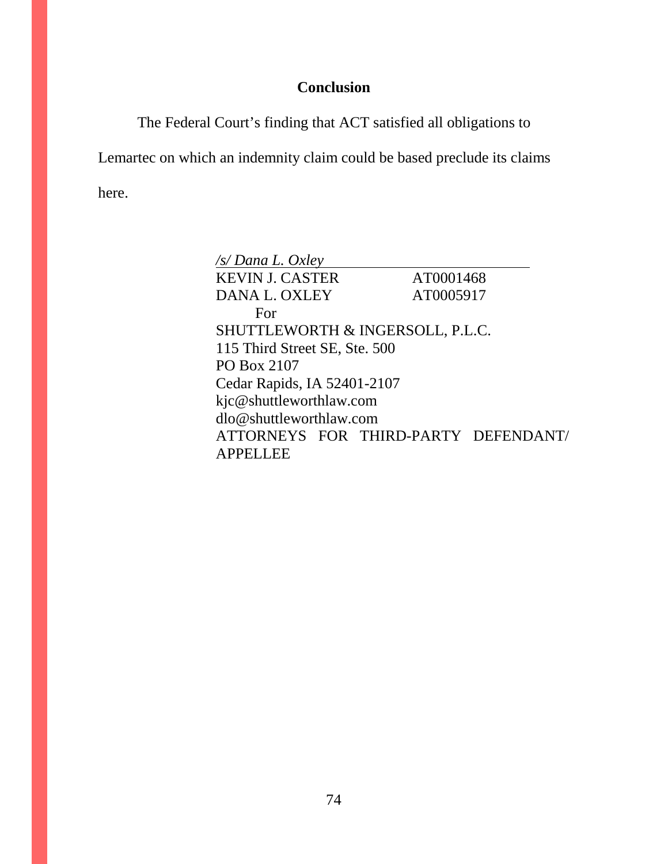## **Conclusion**

The Federal Court's finding that ACT satisfied all obligations to

Lemartec on which an indemnity claim could be based preclude its claims here.

| $\sqrt{s}$ Dana L. Oxley             |           |  |
|--------------------------------------|-----------|--|
| <b>KEVIN J. CASTER</b>               | AT0001468 |  |
| DANA L. OXLEY                        | AT0005917 |  |
| For                                  |           |  |
| SHUTTLEWORTH & INGERSOLL, P.L.C.     |           |  |
| 115 Third Street SE, Ste. 500        |           |  |
| PO Box 2107                          |           |  |
| Cedar Rapids, IA 52401-2107          |           |  |
| kjc@shuttleworthlaw.com              |           |  |
| $d$ lo@shuttleworthlaw.com           |           |  |
| ATTORNEYS FOR THIRD-PARTY DEFENDANT/ |           |  |
| PPELLEE<br>$\mathbf{A}$              |           |  |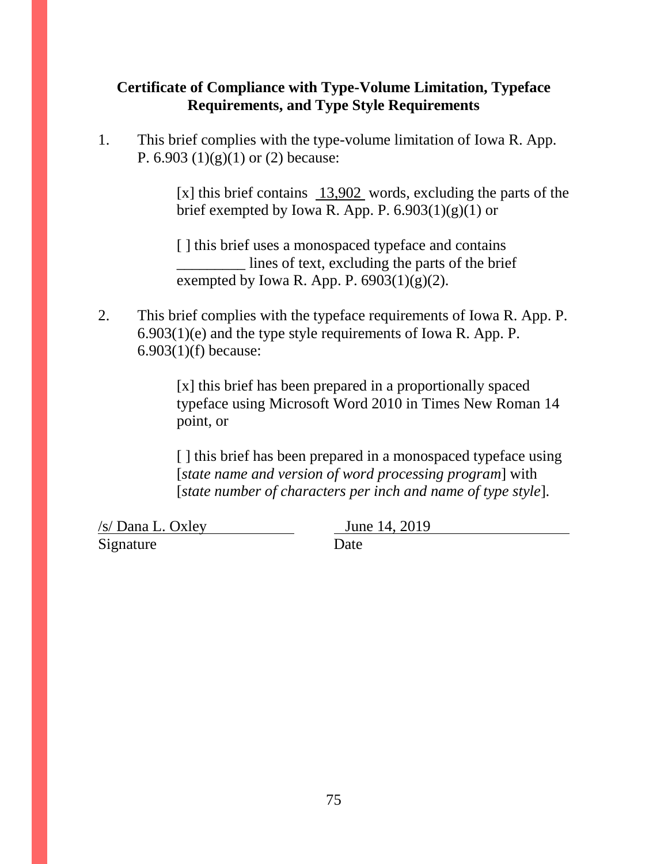## **Certificate of Compliance with Type-Volume Limitation, Typeface Requirements, and Type Style Requirements**

1. This brief complies with the type-volume limitation of Iowa R. App. P.  $6.903(1)(g)(1)$  or  $(2)$  because:

> [x] this brief contains 13,902 words, excluding the parts of the brief exempted by Iowa R. App. P.  $6.903(1)(g)(1)$  or

[] this brief uses a monospaced typeface and contains \_\_\_\_\_\_\_\_\_ lines of text, excluding the parts of the brief exempted by Iowa R. App. P.  $6903(1)(g)(2)$ .

2. This brief complies with the typeface requirements of Iowa R. App. P. 6.903(1)(e) and the type style requirements of Iowa R. App. P. 6.903(1)(f) because:

> [x] this brief has been prepared in a proportionally spaced typeface using Microsoft Word 2010 in Times New Roman 14 point, or

> [] this brief has been prepared in a monospaced typeface using [*state name and version of word processing program*] with [*state number of characters per inch and name of type style*].

 $\frac{f(s)}{D}$ ana L. Oxley June 14, 2019 Signature Date